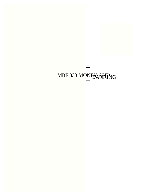# MBF 833 MONEY AND BOARD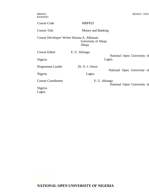Course Code MBF833

Course Title Money and Banking

Course Developer/ Writer Haruna A. Alhassan University of Abuja Abuja.

| Course Editor             | E. U. Abianga                                | Lagos. |  | National Open University of |  |
|---------------------------|----------------------------------------------|--------|--|-----------------------------|--|
| Nigeria                   |                                              |        |  |                             |  |
| Programme Leader          | Dr. O. J. On we                              |        |  |                             |  |
| Nigeria                   | Lagos.                                       |        |  | National Open University of |  |
| <b>Course Coordinator</b> | E. U. Abianga<br>National Open University of |        |  |                             |  |
| Nigeria<br>Lagos.         |                                              |        |  |                             |  |

**NATIONAL OPEN UNIVERSITY OF NIGERIA**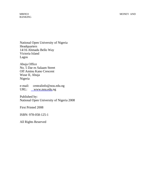National Open University of Nigeria **Headquarters** 14/16 Ahmadu Bello Way Victoria Island Lagos

Abuja Office No. 5 Dar es Salaam Street Off Aminu Kano Crescent Wuse II, Abuja Nigeria

e-mail: centralinfo@nou.edu.ng URL: www.nou.edu.ng

Published by: National Open University of Nigeria 2008

First Printed 2008

ISBN: 978-058-125-1

All Rights Reserved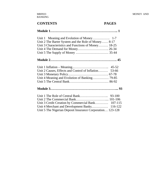# **CONTENTS PAGES**

| Unit 2 The Barter System and the Role of Money 8-17<br>Unit 3 Characteristics and Functions of Money 18-25<br>Unit 4 The Demand for Money 26-34 |
|-------------------------------------------------------------------------------------------------------------------------------------------------|
|                                                                                                                                                 |
| Unit 2 Causes, Effects and Control of Inflation 53-66<br>Unit 4 Meaning and Evolution of Banking 79-85                                          |
|                                                                                                                                                 |
| Unit 3 Credit Creation by Commercial Bank 107-115<br>Unit 5 The Nigerian Deposit Insurance Corporation 123-128                                  |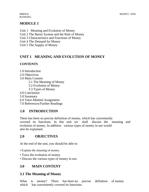BANKING

# **MODULE 1**

Unit 1 Meaning and Evolution of Money Unit 2 The Barter System and the Role of Money Unit 3 Characteristics and Functions of Money Unit 4 The Demand for Money Unit 5 The Supply of Money

# **UNIT 1 MEANING AND EVOLUTION OF MONEY**

# **CONTENTS**

- 1.0 Introduction
- 2.0 Objectives
- 3.0 Main Content
	- 3.1 The Meaning of Money
	- 3.2 Evolution of Money
	- 3.3 Types of Money
- 4.0 Conclusion
- 5.0 Summary
- 6.0 Tutor-Marked Assignment
- 7.0 References/Further Readings

# **1.0 INTRODUCTION**

There has been no precise definition of money, which has conveniently covered its functions. In this unit we shall discuss the meaning and evolution of money. In addition various types of money in use would also be explained.

# **2.0 OBJECTIVES**

At the end of the unit, you should be able to:

- Explain the meaning of money.
- Trace the evolution of money
- Discuss the various types of money in use.

# **3.0 MAIN CONTENT**

# **3.1 The Meaning of Money**

What is money? There has been no precise definition of money which has conveniently covered its functions.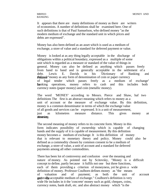It appears that there are many definitions of money as there are writers of economists. A number of definitions shall be examined here. One of such definitions is that of Paul Samuelson, who defined money "as the modern medium of exchange and the standard unit in which prices and debts are expressed".

Money has also been defined as an asset which is used as a medium of exchange, a store of value and a standard for deferred payment or value.

Money is looked at as any thing legally acceptable in the discharge of obligations within a political boundary, expressed as a multiple of some unit which is regarded as a measure or standard of the value of things in general. Money can also be defined as anything which passes freely from hand to hand and is generally acceptable in the settlement of a debt. Lewis E. Davids in his 'Dictionary of Banking and **Figured** "money as any form of denomination of coin or paper currency of legal tender which passes freely as a medium of exchange" **hanking** operations, money refers to cash and this includes both currency notes (paper money) and coin (metallic money).

The word 'MONEY' according to Messrs. Pierce and Shaw, haf two definitions The first is an abstract meaning which refers to money as a unit of account or the measure of exchange value. By this definition, money is a common denominator in terms of which the exchange value of all goods and services can be expressed. It is a unit of measurement, just as kilometres measure distance. This gives money an nbearning.

The second meaning of money refers to its concrete form. Money in this form indicates possibility of ownership which is capable of changing hands and the supply of it is capable of measurement. By this definition money becomes a medium of exchange. It is this definition of money that is relevant to monetary theory and policy. Money could also be defined as a commodity chosen by common consent to be a medium of exchange, a store of value, a unit of account and a standard for deferred payments among all other commodities.

There has been lot of controversy and confusion over the meaning and nature of money. As pointed out by Scitovsky, "Money is a difficult concept to define, partly because it fulfils not one but three functions, each of them providing a criterion of moneyness, yet he gives a wide definition of money. Professor Coulborn defines money as "the means of valuation and of payment; as both the unit of account **generally acceptable medium of exchange." Coulborn's definition is very** wide He includes in it the 'concrete' money such as gold, cheques, coins, currency notes, bank draft, etc. and also abstract money which "is the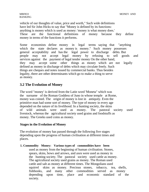vehicle of our thoughts of value, price and worth," Such wide definitions have led Sir John Hicks to say that "Money is defined by its functions: anything is money which is used as money: 'money is what money does.' These are the functional definitions of money because they define money in terms of the functions it performs.

Some economists define money in legal terms saying that "anything which the state declares as money is money." Such money possesses general acceptability and has the legal power to discharge debts. But people may not accept legal money by refusing to sell goods and services against the payment of legal tender money On the other hand, they may accept some other things as money which are not legally defined as money in discharge of debts which may circulate freely. Such things are cheques and notes issued by commercial banks. Thus besides legality, there are other determinants which go to make a thing to serve as money.

# **3.2 The Evolution of Money**

The word "money' is derived from the Latin word 'Moneta" which was the surname of the Roman Goddess of Juno in whose temple at Rome, money was coined. The origin of money is lost in antiquity. Even the primitive man had some sort of money. The type of money in every age depended on the nature of its livelihood. In a hunting society, the skins of wild animals were used as money. The pastoral society used livestock, whereas the agricultural society used grains and foodstuffs as money. The Greeks used coins as money.

#### **Stages in the Evolution of Money**

The evolution of money has passed through the following five stages depending upon the progress of human civilisation at different times and places.

#### **1. Commodity Money: Various types of commodities have been**

used as money from the beginning of human civilisation. Stones, spears, skins, bows and arrows, and axes were used as money in the hunting society. The pastoral society used cattle as money. The agricultural society used grains as money. The Roman used cattle and salt as money at different times. The Mongolians used squirrel skins as money. Precious stones, tobacco, tea, shells, fishhooks, and many other commodities served as money depending upon time, place and economic standard of the society.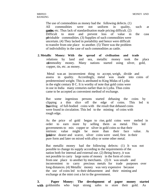The use of commodities as money had the following defects. (1) All commodities were not uniform in quality, such as **gratures** etc. Thus lack of standardisation made pricing difficult.  $(2)$ Difficult to store and prevent loss of value in the case of perishable commodities. (3) Supplies of such commodities were uncertain. (4) They lacked in portability and hence were difficult to transfer from one place to another. (5) There was the problem of indivisibility in the case of such commodities as cattle.

**2. Metallic Money: With the spread of civilisation and trade**  relations by land and sea, metallic money took the place **of** of the money. Many nations started using silver, gold, copper, tin, etc. as money.

Metal was an inconvenient thing to accept, weigh, divide and assess in quality. Accordingly, metal was made into coins of predetermined weight. This is attributed to King Midas of Lydia in the eight century B C. It is worthy of note that gold coins were in use in India many centuries earlier than in Lydia. Thus coins came to be accepted as convenient method of exchange.

But some ingenious persons started debasing the coins by clipping a thin slice off the edge of coins. This led to the hoarding of full-bodied coins with the result that debased coins were found in circulation. This led to the minting of coins with rough edge.

As the price of gold began to rise, gold coins were melted in order to earn more by selling them as metal. This led governments to mix copper or silver in gold coins so that their intrinsic value might be more than their face value. As bold algebra became dearer and scarce, silver coins were used, first in their pure form and later on mixed with alloy or some other metal.

But metallic money had the following defects: (1) It was not possible to change its supply according to the requirements of the nation both for internal and external use. (2) Being heavy, it was not possible to carry large sums of money in the form of coins from one place to another by merchants. (3) It was unsafe and inconvenient to carry precious metals for trade purposes over long distances. (4) Metallic money was very expensive because the use of coins led to their debasement and their minting and exchange at the mint cost a lot to the government.

**3. Paper Money: The development of paper money started**  with goldsmiths who kept strong safes to store their gold. As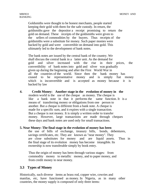Goldsmiths were thought to be honest merchants, people started keeping their gold with them for the safe custody. In return, the goldsmiths gave the depositor a receipt promising to return the gold on demand. These receipts of the goldsmiths were given to the sellers of commodities by the buyers. Thus receipts of the goldsmiths were a substitute for money. Such paper monies were backed by gold and were convertible on demand into gold. This ultimately led to the development of bank notes.

The bank notes are issued by the central bank of the country. We shall discuss the central bank in a latter unit. As the demand for gold and silver increased with the rise in their prices, the convertibility of bank notes into gold and silver was gradually given up during the beginning and after the First World War in all the countries of the world. Since then the bank money has ceased to be representative money and is simply fiat money which is inconvertible and is accepted as money because it is backed by law

**4. Credit Money: Another stage in the evolution of money in the**  modern world is the use of the cheque as money. The cheque is like a bank note in that it performs the same function. It is a means of transferring money or obligations from one person to another. But a cheque is different from a bank note. A cheque is made for a specific sum, and it expires with a single transaction. But a cheque is not money. It is simply a written order to transfer money. However, large transactions are made through cheques these days and bank notes are used only for small transactions.

#### **5. Near Money: The final stage in the evolution of money has been**

the use of bills of exchange, treasury bills, bonds, debentures, savings certificates, etc. They are known as "near money". They are close substitutes for money and are liquid assets. Thus in the final stage of its evolution money has become intangible. Its ownership is now transferable simply by book entry.

Thus the origin of money has been through various stages: from commodity money to metallic money, and to paper money, and from credit money to near money.

#### **3.3 Types of Money**

Historically, such diverse items as brass rod, copper wire, cowries and manilas, etc, have functioned as money. In Nigeria, as in many other countries, the money supply is composed of only three items: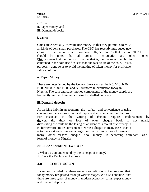i. Coins ii. Paper money, and iii. Demand deposits

#### **i. Coins**

Coins are essentially 'convenience money' in that they permit us to rru'.e all kinds of very small purchases. The CBN has recently introduced new coins to the nation which comprise 50k, Nl and N2 that is in 2007.It should be noted that all coins in circulation are token money. This simply means that the intrinsic value, that is, the value of the bullion contained in the coin itself, is less than the face value of the coin. This is purposely done so as to avoid the melting of token money for profitable sale as bullion.

#### **ii. Paper Money**

These are notes issued by the Central Bank such as the N5, N10, N20, N50, N100, N200, N500 and N1000 notes in circulation today in Nigeria. The coin and paper money components of the money supply are frequently lumped together and simply labelled currency.

#### **iii. Demand deposits**

As banking habit in an economy, the safety and convenience of using cheques, or bank money (demand deposits) become rather too obvious. For instance, as the writing of cheque requires endorsement by the the theft or loss of one's cheque book is not nearly devastating as would be the losing of an identical amount of currency. It is, furthermore, more convenient to write a cheque in many cases than it is to transport and count out a large sum of currency. For all these and many other reasons, cheque book money is becoming dominant as a form of money in Nigeria.

#### **SELF ASSESSMENT EXERCIS**

i. What do you understand by the concept of money?

ii. Trace the Evolution of money.

# **4.0 CONCLUSION**

It can be concluded that there are various definitions of money and that today money has passed through various stages. We also conclude that there are three types of money in modern economy: coins, paper money and demand deposits.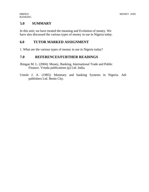# **5.0 SUMMARY**

In this unit; we have treated the meaning and Evolution of money. We have also discussed the various types of money in use in Nigeria today.

# **6.0 TUTOR MARKED ASSIGNMENT**

1. What are the various types of money in use in Nigeria today?

# **7.0 REFERENCES/FURTHER READINGS**

- Jhingan M. L. (2004): Money, Banking, International Trade and Public Finance. Vrinda publications (p) Ltd. India.
- Umole J. A. (1985): Monetary and banking Systems in Nigeria. Adi publishers Ltd. Benin City.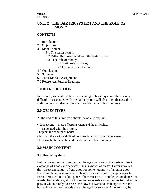# **UNIT 2 THE BARTER SYSTEM AND THE ROLE OF MONEY**

#### **CONTENTS**

- 1.0 Introduction
- 2.0 Objectives
- 3.0 Main Content
	- 3.1 The barter system
	- 3.2 Difficulties associated with the barter system
	- 3.3 The role of money
		- 3.3.1 Static role of money
		- 3.3.2 Dynamic role of money
- 4.0 Conclusion
- 5.0 Summary
- 6.0 Tutor Marked Assignment
- 7.0 References/Further Readings

# **1.0 INTRODUCTION**

In this unit, we shall explain the meaning of barter system. The various difficulties associated with the barter system will also be discussed. In addition we shall discuss the static and dynamic roles of money.

# **2.0 OBJECTIVES**

At the end of this unit, you should be able to explain:

- Concept and nature of barter system and the difficulties associated with the system.
- Explain the concept of barter
- Explain the various difficulties associated with the barter system.
- Discuss both the static and the dynamic roles of money.

#### **3.0 MAIN CONTENT**

#### **3.1 Barter System**

Before the evolution of money, exchange was done on the basis of direct exchange of goods and services. This is known as barter. Barter involves the direct exchange of one good for some quantity of another good. For example, a horse may be exchanged for a cow, or 3 sheep or 4 goats. For a transaction to take place there must be a double coincidence of **wants. For instance, if the horse-owner wants a cow, he has to find out a**  person who not only possesses the cow but wants to exchange it with the horse. In other cases, goods are exchanged for services A doctor may be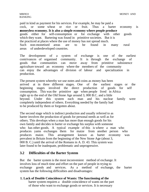paid in kind as payment for his services. For example, he may be paid a cock, or some wheat or rice or fruit. Thus a barter economy is a **moneyless economy. It is also a simple economy where people produce**  goods either for self-consumption or for exchange with other goods which they want. Bartering was found in primitive societies. But it is the practiced at places where the use of money has not spread much. Such non-monetised areas are to be found in many rural areas of underdeveloped countries.

The development of a system of exchange is one of the earliest contrivances of organised community. It is through the exchange of goods that communities can move away from primitive subsistence agriculture toward an economy where the members of the community can enjoy the advantages of division of labour and specialization in production.

The present system whereby we use notes and coins as money has been arrived at in three different stages. One of the earliest stages or the beginning stages involved the direct production of goods for self consumption. This was the primitive age when people lived in Africa right up to the end of the Old Stone Age around 3, 000 B.C. and a little beyond. Under this system each man and his nuclear family were completely independent of others. Everything needed by the family had to be produced by them or forgotten about.

The second stage which is indirect production and usually referred to as barter involves the production of goods for personal needs as well as for others. This develops when a man has more than enough goods for his own family and decides to barter or exchange his surplus with someone who has other goods. A typical example of this is where a man who produces yams exchanges them for maize from another person who produces maize. This arrangement known as barter economy was prevalent in Britain from the beginning of the New Stone Age (about 3, 000 B. C.) until the arrival of the Romans in A. D. 43. This system was later found to be inadequate, problematic and unprogressive.

# **3.2 Difficulties of the Barter System**

But the barter system is the most inconvenient method of exchange. It involves loss of much time and effort on the part of people in trying to exchange goods and services. As a method of exchange, the barter system has the following difficulties and disadvantages:

#### **1. Lack of Double Coincidence of Wants: The functioning of the**

barter system requires a double coincidence of wants on the part of those who want to exchange goods or services. It is necessary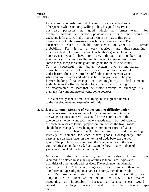for a person who wishes to trade his good or service to find some other person who is not only willing to buy his good or service, but also possesses that good which the former wants. For example suppose a person possesses a horse and wants to exchange it for a cow. In the barter system he has to find out a person who not only possesses a cow but also wants a horse. The existence of such a double coincidence of wants is a remote probability. For, it is a very laborious and time-consuming process to find out person who want each other's goods. Often the horse-owner would have to carry through a number of intermediary transactions He might have to trade his horse for some sheep, sheep for some goats and goats for the cow he wants. To be successful, the barter system involves multilateral transactions which are not matched exactly; no trade is possible under barter. This is the problem of finding someone who wants what you have to offer and who also has what you want. The yam farmer looking for a change of diet might try to find someone with plantains to offer, but having found such a person he might be disappointed to learn that he is not anxious to exchange his plantains for yam but instead wants some potatoes.

Thus a barter system is time-consuming and is a great hindrance to the development and expansion of trade.

#### **2. Lack of a Common Measure of Value: Another difficulty under**

the barter system relates to the lack of a common unit in which the value of goods and services should be measured. Even if the two persons who want each other's goods meet by coincidence, the problem arises as to the proportion in which the two goods should be exchanged. There being no common measure of value, the rate of exchange will be arbitrarily fixed according to the ensity of demand for each other's goods. Consequently, one party is at a disadvantage in the terms of trade between the two goods. The problem here is in fixing the relative values of the two commodities being bartered. For example, how many tubers of yams are equivalent to a bunch of plantains?

Moreover, under a barer system the value of each good **is required to be stated in as many quantities as there** are types and quantities of other goods and services. The exchange rate formula given by Prof. Culberston is  $n(n-1)/2$ . For example, if there are 100 different types of good in a barter economy, then there would be 4950 exchange rates for it to function smoothly, i.e. 100(100-1)72 = 100x99/2 or 9900/2 = 4950. This makes accounting an impossibility because a balance sheet would consist of a long physical inventory of the various types and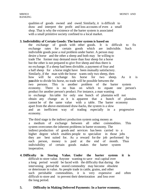qualities of goods owned and owed. Similarly, it is difficult to draw and interpret the profit and loss accounts of even a small shop. That is why the existence of the barter system is associated with a small primitive society confined to a local market.

#### **3. Indivisibility of Certain Goods: The barter system is based on**

the exchange of goods with other goods. It is difficult to fix exchange rates for certain goods which are indivisible. Such indivisible goods pose a real problem under barter. A person may desire a horse and the other a sheep and both may be willing to trade The former may demand more than four sheep for a horse but the other is not prepared to give five sheep and thus there is no exchange. If a sheep had been divisible, a payment of four and a half sheep for a horse might have been mutually satisfactory. Similarly, if the man with the horse wants only two sheep, then how will he exchange his horse for two sheep. As it is **not** possible to divide his horse, no trade will be possible between the two persons. This is another problem of the barter system economy. There is no bias on which to equate one person's product for another person's product. For instance, a man wanting to exchange his table for only one bunch of plantains will not obtain any change as it is apparent that a bunch of plantains cannot be of the same value with a table. The barter economy apart from the above-mentioned draw-backs, the system is a slow and an inefficient way of trading especially in a progressive economy.

The third stage is the indirect production system using money as a medium of exchange between all other commodities. This system overcomes the inherent problems in barter economy. The indirect production of goods and services has been carried to a higher degree which enables people to specialize in those jobs they are best suited for. As a reward for the job performed by each person, money is paid at the end of month. Thus indivisibility of certain goods makes the barter system inoperative.

**4. Difficulty in Storing Value. Under the barter system it is**  difficult to store value. Anyone wanting to save real capital over a long period would be faced with the difficulty that during the intervening period the stored commodity may become obsolete or deteriorate in value. As people trade in cattle, grains, and other such perishable commodities, it is very expensive and often difficult to store and to prevent their deterioration and loss over the long period.

#### **5. Difficulty in Making Deferred Payments: In a barter economy,**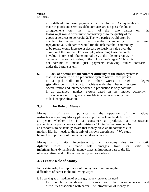it is difficult to make payments in the future. As payments are made in goods and services, debt contracts are not possible due to disagreements on the part of the two parties on the following It would often invite controversy as to the quality of the goods or services to be repaid. 2. The two parties would often be unable to agree on the specific commodity to be used **for** form represented Figures and represent the commodity for a set of parties would run the risk that the commodity to be repaid would increase or decease seriously in value over the duration of the contract. For example, wheat might rise markedly in value in terms of other commodities, to the debtor's regret, or decrease markedly in value, to the H creditor's regret." Thus it is not possible to make just payments involving future contracts under the barter system.

**6. Lack of Specialisation: Another difficulty of the barter system is**  that it is associated with a production system where each person is a jack-of-all trade. In other words, a high degree of specialization is difficult to achieve under the barter system. Specialization and interdependence in production is only possible in an expanded market system based on the money economy. Thus no economic progress is possible in a barter economy due to lack of specialization.

# **3.3 The Role of Money**

Money is of vital importance to the operation of the national **international economy Money plays an important role in the daily life of** a person whether he is a consumer, a producer, a businessman, an ademician, a politician or an administrator "An individual need not be an economist to be actually aware that money plays an important role in modern life: he needs to think only of his own experience "We study below the importance of money in a modern economy.

Money is of vital importance to an economy due to its static dydamic roles. Its static role emerges from its static or funditional In its dynamic role, money plays an important part of the life of every citizen and in the economic system as a whole.

# **3.3.1 Static Role of Money**

In its static role, the importance of money lies in removing the difficulties of barter in the following ways:

i. By serving as a medium of exchange, money removes the need for double coincidence of wants and the inconveniences and difficulties associated with barter. The introduction of money as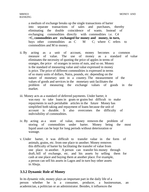a medium of exchange breaks up the single transactions of barter into separate transactions of sales and purchases, thereby eliminating the double coincidence of wants. Instead of exchanging commodities directly with commodities i.e. C4 **>C, commodities are exchanged for money and money, in turn,**  buys other commodities as C M C; where C refers to commodities and M to money.

- ii. By acting as a unit of account, money becomes a common measure of value. The use of money as a standard of value eliminates the necessity of quoting the price of apples in terms of oranges, the price of oranges in terms of nuts, and so on. Money is the standard of measuring value and value expressed in money is price. The price of different commodities is expressed in terms of so many units of dollars, Naira, pounds, etc. depending on the nature of monetary unit in a country. The measurement of the values of goods and services in the monetary unit facilitates the problem of measuring the exchange values of goods in the market.
- iii. Money acts as a standard of deferred payments. Under barter, it was easy to take loans in goats or grains but difficult to make repayments in such perishable articles in the future Money has simplified both taking and repayment of loans because the unit of account is durable. It also overcomes the difficulty of indivisibility of commodities.
- iv. By acting as a store of value, money removes the problem of storing of commodities under barter. Money being the most liquid asset can be kept for long periods without deterioration or wastage.
- v. Under barter, it was difficult to transfer value in the form of animals, grains, etc. from one place to another. Money removes this difficulty of barter by facilitating the transfer of value from one place to another. A person can transfer his money through draft, bill of exchange, etc. and his assets by selling them for cash at one place and buying them at another place. For example, a person can sell his assets in Lagos and in turn buy other assets in Abuja.

# **3.3.2 Dynamic Role of Money**

In its dynamic role, money plays an important part in the daily life of a person whether he is a consumer, producer, a businessman, an academician, a politician or an administrator. Besides, it influences the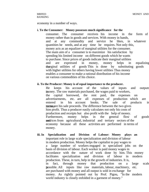economy in a number of ways.

#### **i. To the Consumer: Money possesses much significance for the**

consumer. The consumer receives his income in the form of money rather than in goods and services. With money in hands, and at any commodity and service he likes, in whatever quantities he needs, and at any time he requires. Not only this, money acts as an equalizer of marginal utilities for the consumer. The main aim of a consumer is to maximize his satisfaction by spending his limited income on different goods which he wants to purchase. Since prices of goods indicate their marginal utilities and are expressed in money, money helps in equalizing the marginal utilities of goods This is done by substituting goods with higher utilities for others having lower utilities Thus money enables a consumer to make a rational distribution of his income on various commodities of his choice.

#### **ii. To the Producer: Money is of equal importance to the producer.**

He keeps his account of the values of inputs and outputs in money. The raw materials purchased, the wages paid to workers, the capital borrowed, the rent paid, the expenses on advertisements, etc. are all expenses of production which are entered in his account books. The sale of products in **terms** are his sale proceeds. The difference between the two gives him profit. Thus a producer easily calculates not only his costs of production and receipts but also profit with the help of money. Furthermore, money helps in the general flow of goods **and** subsetsted in a serigion agricultural, industrial and tertiary sectors of the economy because all these activities are performed in terms of money.

**iii. In Specialization and Division of Labour: Money plays an**  important role in large scale specialization and division of labour in modern production. Money helps the capitalist to pay wages to a large number of workers engaged in specialised jobs on the basis of division of labour. Each worker is paid money wages in accordance with the nature of work done by him. This money facilitates specialization and division of labour in modern production. These, in turn, help in the growth of industries. It is, in fact, through money that production on a large scale is possible. All inputs like raw materials, labour, machinery, etc. are purchased with money and all output is sold in exchange for money. As rightly pointed out by Prof. Pigou, "In the modern world industry is closely enfolded in a garment of money."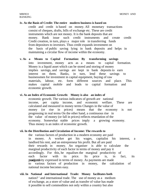#### **iv. As the Basis of Credit: The entire modern business is based on**

credit and credit is based on money. All monetary transactions consist of cheques, drafts, bills of exchange etc. These are credit instruments which are not money. It is the bank deposits that are money. Bank issue such credit instruments and create credit Credit creation, in turn, plays a major role in transferring funds from depositors to investors. Thus credit expands investment on the basis of public saving lying in bank deposits and helps in maintaining a circular flow of income within the economy.

#### **v. As a Means to Capital Formation: By transforming savings**

into investment, money acts as a means to capital formation. Money is a liquid asset which can be stored and storing of money implies savings, and savings are kept in bank deposits to earn interest on them. Banks, in turn, lend these savings to businessmen for investment in capital equipment, buying of raw materials, labour, etc. form different sources and place. This makes capital mobile and leads to capital formation and economic growth.

#### **vi. As an Index of Economic Growth: Money is also an index of**

economic growth. The various indicators of growth are national income, per capita income, and economic welfare. These are calculated and measured in money terms Changes in the value of money (or rise in prices) means that the economy is not progressing in real terms On the other hand, a continuous rise in the value of money (or fall in prices) reflects retardation of the economy. Somewhat stable prices imply a growing economy. Thus money is an index of economic growth.

#### **vii. In the Distribution and Circulation of Income: The rewards to**

the various factors of production in a modern economy are paid in money. A worker get his wages, capitalist his interest, a landlord his rent, and an entrepreneur his profit. But all are paid their rewards in money. An organiser is able to calculate the marginal productivity of each factor in terms of money and pay it accordingly. For this, he equalises the marginal productivity of each factor with its price. Its price is, in fact, its **productivity expressed in terms of money.** As payments are made to various factors of production in money, the calculation of national income becomes easy.

#### **viii. In National and International Trade: Money facilitates both**

nation? ' and international trade. The use of money as a medium of exchange, as a store of value and as transfer of value has made it possible to sell commodities not only within a country but also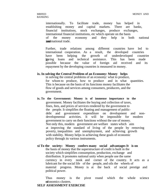internationally. To facilitate trade, money has helped in establishing money and capital markets. There are banks, financial institutions, stock exchanges, produce exchanges, international financial institutions, etc which operate on the basis of the money economy and they help in both national international trade.

Further, trade relations among different countries have led to international cooperation. As a result, the developed countries have been helping the growth of underdeveloped countries by by giving loans and technical assistance. This has been made possible because the value of foreign aid received and its repayment by the developing countries is measured in money.

#### **ix. In solving the Central Problem of an Economy: Money helps**

in solving the central problems of an economy: what to produce, for whom to produce, how to produce and in what quantities. This is because on the basis of its functions money facilitates the flow of goods and services among consumers, producers, and the government.

- **ix. To the Government: Money is of immense importance to the**  government. Money facilitates the buying and collection of taxes, fines, fees, and prices of services rendered by the government to the people. It simplifies the floating and management of publicdebt and government expenditure on development and nondevelopmental activities. It will be impossible for modern government to carry on their functions without the use of money. Not only this, modern government are welfare states which aim at improving the standard of living of the people by removing poverty, inequalities and unemployment, and achieving growth with stability. Money helps in achieving these goals of economic policy through its various instruments.
- **xi To the society: Money confers many social advantages It is on**  the basis of money that the superstructure of credit is built in the society which simplifies consumption, production, exchange and distribution. It promotes national unity when people use the same currency in every nook and corner of the country. It acts as a lubricant for the social life of the people, and oils the wheels of material progress. Money is at the back of social prestige and political power.

Thus money is the pivot round which the whole science of *effore properties*.

#### **SELF ASSESSMENT EXERCISE**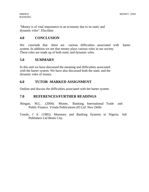"Money is of vital importance to an economy due to its static and dynamic roles". Elucidate

# **4.0 CONCLUSION**

We conclude that there are various difficulties associated with barter system. In addition we see that money plays various roles in our society. These roles are made up of both static and dynamic roles.

# **5.0 SUMMARY**

In this unit we have discussed the meaning and difficulties associated with the barter system. We have also discussed both the static and the dynamic roles of money.

# **6.0 TUTOR -MARKED ASSIGNMENT**

Outline and discuss the difficulties associated with the barter system

# **7.0 REFERENCES/FURTHER READINGS**

- Jhingan, M.L. (2004): Money, Banking, International Trade and Public Finance. Vrinda Publications (P) Ltd. New Delhi
- Umole, J A. (1985). Monetary and Banking Systems in Nigeria. Adi Publishers Ltd Benin City.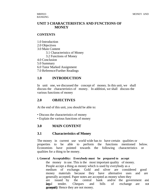# **UNIT 3 CHARACTERISTICS AND FUNCTIONS OF MONEY**

#### **CONTENTS**

- 1.0 Introduction
- 2.0 Objectives
- 3.0 Main Content
	- 3.1 Characteristics of Money
	- 3.2 Functions of Money
- 4.0 Conclusion
- 5.0 Summary
- 6.0 Tutor Marked Assignment
- 7.0 Reference/Further Readings

# **1.0 INTRODUCTION**

In unit one, we discussed the concept of money. In this unit, we shall discuss the characteristics of money. In addition, we shall discuss the various functions of money

#### **2.0 OBJECTIVES**

At the end of this unit, you should be able to:

- Discuss the characteristics of money
- Explain the various functions of money

#### **3.0 MAIN CONTENT**

#### **3.1 Characteristics of Money**

The money in current use world wide has to have certain qualities or properties to be able to perform the functions mentioned below. Economists have pointed towards the following characteristics or qualities for a thing to be money.

#### **i. General Acceptability: Everybody must be prepared to accept**

the money in use. This is the most important quality of money. People accept a thing as money which is used by everybody as a medium of exchange. Gold and silver are considered good money materials because they have alternative uses and are generally accepted. Paper notes are accepted as money when they are issued by the central bank and/or the government and **largal** tender. Cheques and bills of exchange are no **geoepally** Hence they are not money.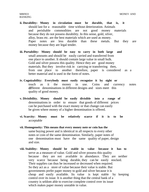- **ii. Durability: Money in circulation must be durable, that is, it**  should last for a reasonable time without deterioration. Animals and perishable commodities are not good money materials because they do not possess durability. In this sense, gold, silver, alloy, brass etc. are the best materials which are used as money. Paper notes are less durable than these metals. But they are money because they are legal tender.
- **iii. Portability: Money should be easy to carry in both large and**  small amounts and should be easily carried and transferred from one place to another. It should contain large value in small bulk. Gold and silver possess this quality. Hence they are good money materials. But they involve risk in carrying or transferring then, from one place to another therefore, paper is considered as a better material and is used in the form of notes.
- **iv. Cognizability: Everybody must easily recognize it by sight or**  touch as it the money in use. Coins and currency notes different denominations in different designs and sizes meet this quality of good money.
- **v. Divisibility. Money should be easily divisible into a range of**  denominations in order to ensure that goods of different prices can be purchased with the exact money or that change can easily be given where money of a higher denomination is offered.
- **vi. Scarcity: Money must be relatively scarce if it is to be**  acceptable
- **vii. Homogeneity: This means that every money note or coin has the**  same buying power and is identical in all respects to every other notes or coin of the same denomination. Similarly, paper notes of one denomination must have the same quality of paper, design and size.
- **viii. Stability: Money should be stable in value because it has to**  serve as a measure of value. Gold and silver possess this quality because they are not available in abundance. They are neither very scarce because being durable, they can be easily stocked. Their supplies can thus be increased or decreased when required. So they act as a store of value because their value is stable. But governments prefer paper money to gold and silver because it is cheap and easily available. Its value is kept stable by keeping control over its issue. It is another thing that the central bank of a country is seldom able to exercise complete control over its issue which makes paper money unstable in value.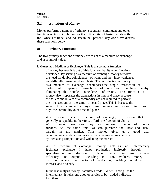# **3.2 Functions of Money**

Money performs a number of primary, secondary, contingent and other functions which not only remove the difficulties of barter but also oils the wheels of trade and industry in the present day world. We discuss these functions below.

#### **a) Primary Functions**

The two primary functions of money are to act as a medium of exchange and as a unit of value.

#### **i. Money as a Medium of Exchange: This is the primary function**

of money because it is out of this function that its other functions developed. By serving as a medium of exchange, money removes the need for double coincidence of wants and the inconveniences and difficulties associated with barter The introduction of money as a medium of exchange decomposes the single transaction of barter into separate transactions of sale and purchase thereby eliminating the double coincidence of wants. This function of money also separates the transactions in time and place because the sellers and buyers of a commodity are not required to perform the transactions at the same time and place. This is because the seller of a commodity buys some money and money, in turn, buys the commodity over time and place.

When money acts a medium of exchange, it means that it is generally acceptable. It, therefore, affords the freedom of choice. With money, we can buy an assorted bundle of goods and services. At the same time, we can purchase the best and also bargain in the market. Thus money gives us a good deal of economic independence and also perfects the market mechanism by increasing competition and widening the market.

As a medium of exchange, money acts as an intermediary It facilitates exchange. It helps production indirectly through specialization and division of labour which, in turn, increase efficiency and output. According to Prof. Walters, money, therefore, serves as a 'factor of production', enabling output to 'factor of production', enabling output to increase and diversify.

In the last analysis money facilitates trade. When acting as the intermediary, it helps one good or service to be traded indirectly for others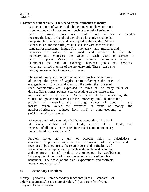#### **ii. Money as Unit of Value: The second primary function of money**

is to act as a unit of value. Under barter one would have to resort to some standard of measurement, such as a length of string or a piece of wood. Since one would have to use a standard the measure the length or height of any object, it is only sensible that one particular standard should be accepted as the standard Money is the standard for measuring value just as the yard or metre is the standard for measuring length. The monetary unit measures and expresses the value of all goods and services. In fact the monetary unit expresses the value of each good or service in terms of price. Money is the common denominator which determines the rate of exchange between goods and services which are priced in terms of the monetary unit. There can be no pricing process without a measure of value.

The use of money as a standard of value eliminates the necessity of quoting the price of apples in terms of oranges, the price of oranges in terms of nuts, and so on. Unlike barter, the prices of such commodities are expressed in terms of so many units of dollars, Naira, francs, pounds, etc., depending on the nature of the monetary unit in a country. As a matter of fact, measuring the values of goods and services in the monetary unit facilities the problem of measuring the exchange values of goods in the market. When values are expressed in terms of money, the number of prices are reduced from n(n-l) in barter economy to *(n-1) in monetary economy.*

Money as a unit of value also facilitates accounting. "Assets of all kinds, liabilities of all kinds, income of all kinds, and expenses of all kinds can be stated in terms of common monetary units to be added or subtracted."

Further, money as a unit of account helps in calculations of economic importance such as the estimation of the costs, and revenues of business firms, the relative costs and profitability of various public enterprises and projects under a planned economy, and the gross national product. As pointed out by Coulbertson, "Prices quoted in terms of money become the focus of people's behaviour. Their calculations, plans, expectations, and contracts focus on money prices."

#### **b) Secondary Functions**

Money performs three secondary functions: (i) as a standard of deferred payments,(ii) as a store of value, (iii) as a transfer of value. They are discussed below.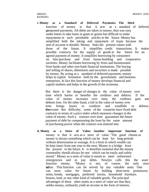**i. Money as a Standard of Deferred Payments: The third**  function of money is that it acts as a standard of deferred postponed payments. All debts are taken in money, thus was easy under barter to take loans in goats or grains but difficult to make repayments in such perishable articles in the future. Money has simplified both the taking and repayment of loans because the unit of account is durable. Money links the present values with those of the future. It simplifies credit transactions. It makes possible contracts for the supply of goods in the future for an agreed payment of money. It simplifies borrowing by consumers on hire-purchase and from house-building and cooperative societies. Money facilitates borrowing by firms and businessmen from banks and other non-bank financial institutions. The buying and selling of shares, debentures and securities is made possible by money. By acting as a standard of deferred payments, money helps in capital formation both by the government and business enterprises. In fact this function of money develops financial and capital markets and helps in the growth of the economy.

But there is the danger of changes in the value of money over time which harms or benefits the creditors and debtors. If the value of money increases over time, the creditors gain and debtors lose. On the other hand, a fall in the value of money over time brings losses to creditors and windfalls to debtors. The overcome this difficulty, some of the countries have fixed debt contracts in terms of a price index which measures changes in the value of money. Such a contract over time guarantees the future payment of debt by compensating the loser by the same amount of purchasing power when the contract was entered into.

**ii. Money as a Store of Value: Another important function of**  money is that it acts as a store of value. The good chosen as money is always something which can be kept for long periods without deterioration or wastage. It is a form in which wealth can be kept intact from one year to the next. Money is a bridge from the present to the future. It is therefore essential that the money commodity should always be one which can be easily and safely stored." Money as a store of value is meant to meet unforeseen emergencies and to pay debts. Newlyn calls this the asset function money. "Money is not, of course, the only store walue. This function can be served by any valuable asset. One can store value for future by holding short-term promissory notes, bonds, mortgages, preferred stocks, household furniture, houses, land, or any other kind of valuable goods. The principal advantages of these other assets as a store of value are that they, unlike money, ordinarily yield an income in the form of interest,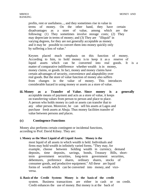profits, rent or usefulness..., and they sometimes rise in value in terms of money. On the other hand, they have certain disadvantages as a store of value, among which are the following: (1) They sometimes involve storage costs; (2) They may depreciate in terms of money; and (3) They are "illiquid" in varying degrees, for they are not generally acceptable as money and it may be possible to convert them into money quickly only by suffering a loss of value."

Keynes placed much emphasis on this function of money. According to him, to hold money is to keep it as a reserve of liquid assets which can be converted into real goods. It is a matter of comparative indifference whether wealth is in money, money claims, or goods. In fact, money and money claims have certain advantages of security, convenience and adaptability over real goods. But the store of value function of money also suffers from changes in the value of money. This introduces considerable hazard in using money or assets as a store of value.

**iii. Money as a Transfer of Value. Since money is a generally**  acceptable means of payment and acts as a store of value, it keeps on transferring values from person to person and place to place. A person who holds money in cash or assets can transfer that to any other person. Moreover, he can sell his assets at Lagos and purchase fresh assets at Abuja. Thus money facilities transfer of value between persons and places.

#### **(c) Contingence Functions**

Money also performs certain contingent or incidental functions, according to Prof. David Kilney. They are:

#### **i. Money as the Most Liquid of all Liquid Assets. Money is the**

most liquid of all assets in which wealth is held. Individuals and firms may hold wealth in infinitely varied forms. "They may, for example, choose between holding wealth in currency, demand deposits, time deposits, savings, bonds, Treasury Bills, shortterm government securities, long-term government securities, debentures, preference shares, ordinary shares, stocks of consumer goods, and productive equipment." All these are liquid forms of wealth which can be converted into money, and viceversa.

#### **ii. Basis of the Credit System: Money is the basis of the credit**  system. Business transactions are either in cash or on credit. Credit enhances the use of money. But money is at the back of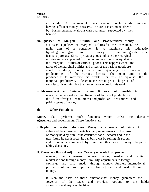all credit. A commercial bank cannot create credit without having sufficient money in reserve. The credit instruments drawn by businessmen have always cash guarantee supported by their bankers.

- **iii. Equaliser of Marginal Utilities and Productivities: Money**  acts as an equaliser of marginal utilities for the consumer. The main aim of a consumer is to maximise his satisfaction by by ending a given sum of money on various goods which he keants to purchase. Since prices of goods indicate their marginal utilities and are expressed in money, money helps in equalising the marginal utilities of various goods. This happens when the ratios of the marginal utilities and prices of the various goods are equal. Similarly, money helps in equalising the marginal productivities of the various factors. The main aim of the producer is to maximise his profits. For this, he equalises the marginal productivity of each factor with its price. The price of each factor is nothing but the money he receives for his work.
- **iv. Measurement of National Income: It was not possible to**  measure the national income. Rewards of factors of production in the form of wages, rent, interest and profit are determined and paid in terms of money.

#### **d) Other Functions**

Money also performs such functions which affect the decisions of of assumers and governments. These functions are:

**i. Helpful in making decisions: Money is a means of store of**  value and the consumer meets his daily requirements on the basis of money held by him. If the consumer has a scooter and in the near future he needs a car, he can buy a car by selling his scooter and money accumulated by him in this way, money helps in taking decisions.

#### **ii. Money as a Basis of Adjustment: To carry on trade in a proper**  manner, the adjustment between money market and capital market is done through money. Similarly, adjustments in foreign exchange are also made through money. Further, international

payments of various types are also adjusted and made through money.

It is on the basis of these functions that money guarantees the solvency of the payer and provides options to the holder of the money to use it any way, he likes.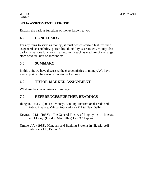#### **SELF- ASSESSMENT EXERCISE**

Explain the various functions of money known to you

# **4.0 CONCLUSION**

For any thing to serve as money,, it must possess certain features such as general acceptability, portability, durability, scarcity etc. Money also performs various functions in an economy such as medium of exchange, store of value, unit of account etc.

# **5.0 SUMMARY**

In this unit, we have discussed the characteristics of money. We have also explained the various functions of money.

# **6.0 TUTOR-MARKED ASSIGNMENT**

What are the characteristics of money?

# **7.0 REFERENCES/FURTHER READINGS**

- Jhingan, M.L. (2004): Money, Banking, International Trade and Public Finance. Vrinda Publications (P) Ltd New Delhi.
- Keynes, J M (1936): The General Theory of Employment, Interest and Money. (London Macmillan) Last 3 Chapters.
- Umole, J.A. (1985): Monetary and Banking Systems in Nigeria. Adi Publishers Ltd, Benin City.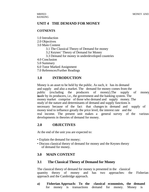# **UNIT 4 THE DEMAND FOR MONEY**

#### **COTNENTS**

- 1.0 Introduction
- 2.0 Objectives
- 3.0 Main Content
	- 3.1 The Classical Theory of Demand for money
	- 3.2 Keynes' Theory of Demand for Money
	- 3.3 Demand for money in underdeveloped countries
- 4.0 Conclusion

5.0 Summary

- 6.0 Tutor Marked Assignment
- 7.0 References/Further Readings

# **1.0 INTRODUCTION**

Money is an asset to be held by the public. As such, it has its demand and supply and also a market. The demand for money comes from the public (excluding the producers of money).The supply of money is made by its producers, i.e., the government and the banking system. The money market comprise of those who demand and supply money. The study of the nature and determinants of demand and supply functions is necessary because of the fact that changes in demand and supply of money tend to influence greatly the price level, the interest rate and the real income. The present unit makes a general survey of the various developments in theories of demand for money.

# **2.0 OBJECTIVES**

At the end of the unit you are expected to:

- Explain the demand for money;
- Discuss classical theory of demand for money and the Keynes theory of demand for money.

# **3.0 MAIN CONTENT**

# **3.1 The Classical Theory of Demand for Money**

The classical theory of demand for money is presented in the classical quantity theory of money and has two approaches: the Fisherian approach and the Cambridge approach.

**a) Fisherian Approach: To the classical economists, the demand**  for money is transactions demand for money. Money is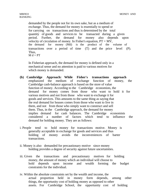demanded by the people not for its own sake, but as a medium of exchange. Thus, the demand for money is essentially to spend or for carrying on transactions and thus is determined by the total quantity of goods and services to be transacted during a given period. Further, the demand for money also depends upon velocity of circulation of money. In Fisher's equation,  $PT = MV$ , the demand for money (Md) is the product of the volume of transactions over a period of time (T) and the price level (P). Thus,  $M d = PT$ 

In Fisherian approach, the demand for money is defined only in a mechanical sense and no attention is paid to various motives for which money is demanded.

- **(b) Cambridge Approach: While Fisher's transactions approach**  emphasized the medium of exchange function of money, the Cambridge cash-balance approach is based on the store of value function of money. According to the Cambridge economists, the demand for money comes from those who want to hold it for various motives and not from those who want to exchange it for goods and services. This amounts to the same thing as saying that the real demand for houses comes from those who want to live in them, and not from those who simply want to construct and sell them. Thus, in the Cambridge approach, the demand for money implies demand for cash balances. The Cambridge economists considered a number of factors which tend to influence the demand for holding money. They are as follows:
- i. People tend to hold money for transactions motive. Money is generally acceptable in exchange for goods and services and thus holding of money avoids the inconveniences of barter transactions.
- ii. Money is also demanded for precautionary motive since money holding provides a degree of security against future uncertainties.
- iii. Given the transactions and precautionary motives for holding money, the amount of money which an individual will choose to hold depends upon income and wealth forming the budget constraints for the individual.
- iv. Within the absolute constraints set by the wealth and income, the actual proportion held in money form depends, among other things, the opportunity cost of holding money as opposed to other assets. For Cambridge School, the opportunity cost of holding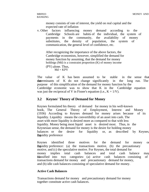money consists of rate of interest, the yield on real capital and the expected rate of inflation

v. Other factors influencing money demand according to the Cambridge Schools are habits of the individual, the system of payments in the community, the availability of money substitutes, the density of population, the system of communication, the general level of confidence, etc.

After recognizing the importance of the above factors, the Cambridge economists, however, simplified the demand for money function by assuming, that the demand for money holdings (Md) is a constraint proportion (K) of money income (PY) alone. Thus,  $Md = KPY$ 

The value of K has been assumed to be stable in the sense that the determinants of K do not change significantly in the long run. The purpose of this simplification of the demand for money function by the Cambridge economic was to show that K in the Cambridge equation was just the reciprocal of V in Fisner's equation (i.e.,  $K = 1/V$ ).

# **3.2 Keynes' Theory of Demand for Money**

Keynes formulated his theory of demand for money in his well-known book, The General Theory of Employment, Interest and Money (1936) According to Keynes demand for money arises because of its liquidity. Liquidity means the convertibility of an asset into cash. The asset with more liquidity is desired more as compared to that with less liquidity. Money being most liquid asset is desired most. Thus, in the Keynesian sense, the demand for money is the desire for holding money balances or the desire for liquidity or, as described by Keynes the uidity preference

Keynes identified three motives for the demand for money or the liquidity preference: (a) the transactions motive, (b) the precautionary motive, and (c) the speculative motive. For Keynes, the total demand for money implies total cash balances and total cash balance may be be categories: (a) active cash balances consisting of transactions demand for money and precautionary demand for money, and (b) idle cash balances-consisting of speculative demand for money.

#### **Active Cash Balances**

Transactions demand for money and precautionary demand for money together constitute active cash balances.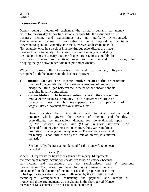#### **Transaction Motive**

Money being a medium of exchange, the primary demand for money arises for making day-to-day transactions. In daily life, the individual or business income and expenditures are not perfectly synchronised. People receive income in periods that do not correspond to the times they want to spend it. Generally, income is received at discrete intervals (for example, once in a week or in a month), but expenditures are made more or less continuously. Thus certain amount of money is needed by the people in order to carry out their frequent transactions smoothly. In this way, transactions motives refer to the demand for money for bridging the gap between periodic receipts and payments.

While discussing the transactions demand for money, Keynes recognized both the income and the business motive:

- **1. Income Motive: The income motive relates to the transactions**  motive of the households. The households need to hold money to bridge the time gap between the receipt of their income and its spending in daily transactions.
- **2. Business Motive: The business motive refers to the transactions**  motive of the business community. The businessmen require cash balances to meet their business expenses, such as, payment of wages, salaries, payment for raw materials, etc.

Given society's basic institutional and technical customs and practices which govern the receipt of income and the flow of expenditures, the transactions demand for money depends upon *(a) the personal income and (b) the business turnover. The*  demand for money for transactions motive, thus, varies in direct proportion to change in money income. The transaction demand for money is not influenced by the rate of interest, it is interestinelastic.

Symbolically, the transaction demand for the money function can be stated as:

#### $Lt = Kt(Y)$

Where Lt: represents the transactions demand for money, Kt represents the fraction of money income society desires to hold as money because its income and expenditure are not synchronised, and Y represents money income. The transactions demand for money is assumed to be a constant and stable function of income because the proportion of income to be kept for transactions purpose is influenced by the institutional and technological arrangements influencing the payment and receipt of money and these arrangements do not change in the short period. Hence, the value of Kt is assumed to be constant in the short period.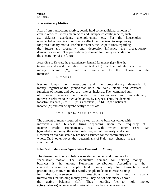#### **Precautionary Motive**

Apart from transactions motive, people hold some additional amount of cash in order to meet emergencies and unexpected contingencies, such as, sickness, accidents, unemployment, etc. For the households, unexpected economic circumstances affect their decision to keep money for precautionary motive. For businessmen, the expectations regarding the future and prosperity and depression influence the precautionary demand for money. The precautionary demand for money depends upon the uncertainty of the future.

According to Keynes, the precautionary demand for money (Lp), like the transactions demand, is also a constant (Kp) function of the level of money income (Y), and is insensitive to the change in the *raterests* 

$$
LP = KP(Y)
$$

Keynes lumps the transactions and the precautionary demands for money together on the ground that both are fairly stable and constant functions of income and both are interest inelastic. The combined sum of money balances held under the transactions and precautionary motives is referred to as 'active balances' by Keynes. Thus, the demand for active balances (Lt = Lt + Lp) is a constant (K = Kt + Kp) function of income (Y) and can be symbolically written as:

 $Li = Lt + Lp = K$ ,  $(Y) + KP(Y) = K(Y)$ 

The amount of money required to be kept as active balances varies with individuals and business firms depending upon the frequency of income, credit arrangements, ease with which other assets can be observerted into money, the individuals' degree of insecurity, and so on. However an over all stable K has been assumed for the community as a whole. Or, in other words, the determinants of  $K$  do not change in the short period.

#### **Idle Cash Balances or Speculative Demand for Money**

The demand for idle cash balances relates to the demand of money for speculative motive. The speculative demand for holding money balances is the unique Keynesian contribution. According to the classical economists, people hold money only for transactions and precautionary motives In other words, people trade off interest earnings for the convenience of transactions and the security against funceretainties that holding money gives. They do not hold money above the active balances (Li). Thus, hoarding (i.e. to hold money above balances) is considered irrational by the classical economists.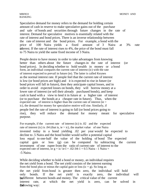MBF833 MONEY AND

Speculative demand for money refers to the demand for holding certain amount of cash in reserve to make speculative gains out of the purchase and sale of bonds and securities through future changes in the rate of interest. Demand for speculative motives is essentially related with the rate of interest and bond prices. There is an inverse relationship between the rate of interest and the bond prices. For example, a bond with the price of 100 Naira yields a fixed amount of 3 Naira at 3% rate interest. If the rate of interest rises to  $4\%$ , the price of the bond must fall to 75 Naira to yield the same fixed income of 3 Naira.

People desire to have money in order to take advantages from knowing better than others about the future changes in the rate of interest (or bond prices). In deciding whether to hold wealth in money or a bond form, an individual compares the current rate of interest (ic) with the rate of interest expected to prevail in future (ie). The latter is called Keynes as the normal interest rate. If people feel that the current rate of interest is low (or bond prices are high) and it is expected to rise in future (or bond prices will fall in future), then they anticipate capital losses, and in order to avoid expected losses on bonds, they will borrow money at a lower rate of interest (or sell their already purchased bonds), and keep cash in hand with a view to lend it in future at a higher rate of interest (or to purchase the bonds at a cheaper rate in future). Thus, when the expected rate of interest is higher than the current rate of interest (ie  $>$ ic), the demand for money for speculative motive will rise. Similarly, if people feel the rate of interest is going to fall (or bond prices going to rise), they will reduce the demand for money meant for speculative purpose.

For example, if the current rate of interest (ic) is .02 and the expected rate of interest (ic) is .04 (that is, ie  $>$  ic), the market value of one Naira invested today in a bond yielding .02 per year would be expected to decline to .5 Naira and the bond holder would suffer a potential capital loss equal to one-half the value of the holding of bond The expected capital gain or loss (g) can be computed by subtracting the current investment of one rupee from the ratio of current rate of interest to the expected rate of interest, or  $g = ic/$  ie-l = .02/.04-1 = 0.5 Naira - 1 Naira = -5 Naira.

While deciding whether to hold a bond or money, an individual requires the net yield from a bond. The net yield consists of the interest earning from the bond plus or minus the capital gain or loss (ic  $+$  g). So long as the net yield from bond is greater then zero, the individual will hold only bonds. If the net yield is exactly zero, the individual will be indifferent between bonds and money. The critical value of the current interest rate, at which the net yield is zero, can be solved in fbelowing way: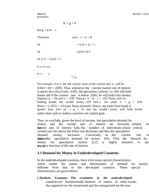$1c + g = 0$ 

but  $g = ic/ie - 1$ 

Therefore  $ic/ie - 1 + ic = 0$ 

Or  $=$  ic/ie + ic = 1

Or  $ic(l/ie+1)=l$ 

Or ic  $(1 + ie/ie) = 1$ 

Or ic=l/l+ie/ie

Or  $ic =$  ie

 $1 + ie$ 

For example, if ie is .04, the critical value of the current rate, ic, will be  $0.04/1 + .04 = .0385$ . Thus, whenever the current market rate of interest is above the critical rate, .0385, the speculator, (whose i is .04) will hold bonds and if the current rate is below .0385, he will hold only money. Suppose ie = .04 and ic = .039. Then  $g = ic / ie - 1 = -.025$  Naira, and, by holding bonds, the wealth owner will earn a net yield, ic +  $g = .039$ Naira  $+ (-0.025) = 0.014$  per Naira invested. Hence, net yield from bond is greater than zero (ic +  $g > 0$ ) and the wealth owner will hold bonds rather than cash to realise a positive net capital gain.

Thus, to conclude, given the level of income, the speculative demand for money and the current rate of interest are inversely related. As **the** current rate of interest falls, the number of individuals whose critical current rate lies above the fallen rate decreases and thus the speculative demand money increases. Conversely, as the current rate of **interest rises** research interest rises, the speculative demand for money falls. Thus, the demand for money for speculative motive (L2) is highly sensitive to and is inegative function of the rate of interest

# **3.3 Demand for Money in Underdeveloped Countries**

In the underdeveloped countries, there exist some special characteristics which render the nature and determinants of demand for money different from that in the developed countries. These special characteristics are given below:

**i. Dualistic Economy: The economies in the underdeveloped**  countries are fundamentally dualistic in nature. In other words, the organised (or the monetised) and the unorganised (or the non-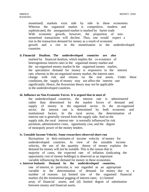monetised) markets exist side by side in these economies. Whereas the organised market is competitive, modern and sophisticated, the unorganised market is marked by barter trade With economic growth, however, the proportion of nonmonetised transactions will decline. Thus, one would expect a rise in the transaction demand for money as a result of economic growth and a rise in the monetisation in the underdeveloped countries

#### **ii. Financial Dualism. The underdeveloped countries are also**

marked by financial dualism, which implies the co-existence of heterogeneous interest rates in the organised money market and the un-organised money market In the organised money market, the speculative demand for money is responsive to the interest rate, whereas in the un-organised money market, the interest rates change with risk and returns on the real assets. Under these conditions, the supply of money may not affect the interest rate significantly. Hence, the Keynesian theory may not be applicable in the underdeveloped countries.

#### **iii. Influence on Non-Economic Forces. It is argued that in most of**

the underdeveloped countries, the interest rate is administered rather than determined by the market forces of demand and supply of money in the organised sector. In the un-organised sector, the interest rate is determined by both economic and institutional factors. In the rural sector, the determination of interest rate is generally viewed from the supply side. And on the supply side, the rural interest rate is normally influenced by risk premium, administrative costs, opportunity cost, and the degree of monopoly power of the money lenders.

#### **iv. Unstable Income Velocity. Some researchers observed short-run**

fluctuations in their estimates of income velocity of money for underdeveloped countries. In view of the unstable income velocity, the use of the quantity theory of money explains the demand for money will not be suitable. This is the reason that in majority of cases, the expected rate of inflation (indicating the opportunity cost of money holdings) is observed as an important variable influencing the demand for money in these economies.

#### **v. Interest-Inelastic Demand. In the underdeveloped countries,**

rate of interest, in particular, is not regarded as an appropriate variable in the determination of demand for money due to a number of reasons: (a) limited size of the organised financial market; (b) the institutional pegging of interest rates; (c) limited array of financial assets; and (d) limited degree of substitution between money and financial assets.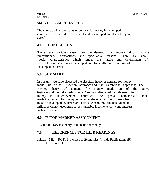#### **SELF-ASSESSMENT EXERCISE**

The nature and determinants of demand for money in developed countries are different from those of underdeveloped countries. Do you agree?

### **4.0 CONCLUSION**

There are various reasons for the demand for money which include precautionary, transactions and speculative reasons. There are also special characteristics which render the nature and determinant of demand for money in underdeveloped countries different from those of developed countries.

# **5.0 SUMMARY**

In this unit, we have discussed the classical theory of demand for money made up of the fisherian approach and the Cambridge approach; The Keynes theory of demand for money made up of the active **balances** and the idle cash balance. We also discussed the demand for money in underdeveloped countries. The special characteristics that made the demand for money in underdeveloped countries different from those of developed countries are: Dualistic economy, financial dualism, Influence on non-economic forces, unstable income velocity and Interest inelastic demand.

### **6.0 TUTOR MARKED ASSIGNMENT**

Discuss the Keynes theory of demand for money.

### **7.0 REFERENCES/FURTHER READINGS**

Jhingan, ML (2004): Principles of Economics. Vrinda Publications (P) Ltd New Delhi.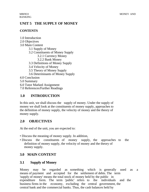# **UNIT 5 THE SUPPLY OF MONEY**

### **CONTENTS**

- 1.0 Introduction
- 2.0 Objectives
- 3.0 Main Content
	- 3.1 Supply of Money
	- 3.2 Constituents of Money Supply
		- 3.2.1 Currency Money
		- 3.2.2 Bank Money
	- 3.3 Definitions of Money Supply
	- 3.4 Velocity of Money
	- 3.5 Theory of Money Supply
	- 3.6 Determinants of Money Supply

4.0 Conclusion

5.0 Summary

6.0 Tutor Marked Assignment

7.0 References/Further Readings

# **1.0 INTRODUCTION**

In this unit, we shall discuss the supply of money. Under the supply of money we shall look at the constituents of money supply, approaches to the definition of money supply, the velocity of money and the theory of money supply.

# **2.0 OBJECTIVES**

At the end of the unit, you are expected to:

- Discuss the meaning of money supply. In addition,
- Discuss the constituents of money supply, the approaches to the definition of money supply, the velocity of money and the theory of money supply.

# **3.0 MAIN CONTENT**

# **3.1 Supply of Money**

Money may be regarded as something which is generally used as a means of payment and accepted for the settlement of debts. The term 'supply of money' means the total stock of money held by the public in expenditure form. The term 'public' refers to the individuals and the business firms in the economy, excluding the central government, the central bank and the commercial banks. Thus, the cash balances held by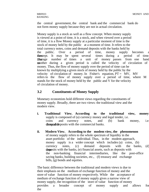the central government, the central bank and the commercial bank do not form money supply because they are not in actual circulation.

Money supply is a stock as well as a flow concept. When money supply is viewed at a point of time, it is a stock, and when viewed over a period of time, it is a flow Money supply at a particular moment of time is the stock of money held by the public at a moment of time. It refers to the total currency notes, coins and demand deposits with the banks held by the public. Over a period of time, money supply becomes a **flow** concept. It may be spent several times during a period of time.<br>**Therage** number of times a unit of money passes from one hand The agree number of times a unit of money passes from one hand to to another during a given period is called the velocity of circulation of money. Thus, the flow of money supply over the period of time can be known by multiplying a given stock of money held by the public by the velocity of circulation of money. In Fisher's equation,  $PT = MV$ , MV refers to the flow of money supply over a period of time, where M stands for the stock of money held by the public and V for the velocity of circulation of money.

### **3.2 Constituents of Money Supply**

Monetary economists hold different views regarding the constituents of money supply. Broadly, there are two views: the traditional view and the modern view.

- **i. Traditional View. According to the traditional view, money**  supply is composed of (a) currency money and legal tender, i.e. coins and currency notes, and (b) bank money, i.e. dhequamble posits with the commercial banks.
- **ii. Modern View. According to the modem view, the phenomenon**  of money supply refers to the whole spectrum of liquidity in the asset portfolio of the individual. Thus, in the modem approach, money supply is a wider concept which includes (a) coins, (b) currency notes, (c) demand deposits with the banks, (d) time deposits with the banks, (e) financial assets, such as deposits with the non-banking financial intermediaries, like the post-office saving banks, building societies, etc., (f) treasury and exchange bills, (g) bonds and equities.

The basic difference between the traditional and modern views is due to their emphasis on the medium of exchange function of money and the store of value function of money respectively. While the acceptance of medium of exchange function of money supply gives a narrow view of money supply, the recognition of the store of value function of money provides a broader concept of money supply and allows for the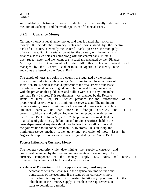substitutability between money (which is traditionally defined as a medium of exchange) and the whole spectrum of financial assets.

# **3.2.1 Currency Money**

Currency money is legal tender money and thus is called high-powered money. It includes the currency notes and coins issued by the central bank of a country. Generally the central bank possesses the monopoly of note issue. But, in certain countries, the treasury or the ministry of finance also issues notes or coins along with the central bank. In India, one rupee note and the coins are issued and managed by the Finance Ministry of the Government of India. All other notes are issued and managed by the Reserve Bank of India. In Nigeria all currency notes and coins are issued by the Central Bank.

The supply of notes and coins in a country are regulated by the system of note issue adopted in the country. According to the Reserve Bank of India Act, 1934, note less than 40 per cent of the total assets of the issue department should consist of gold coins, bullion and foreign securities with the provision that gold coins and bullion were not at any time to be less than Rs. 40 crores. This requirement was changed by the Reserve Bank of India Act, 1956, which provides for the substitution of the proportional reserve system by minimum reserve system. The minimum reserve system, fixes a minimum for the essential reserves in absolute amounts, namely, Rs. 400 crores in foreign securities, and Rs. 115 crores in gold coins and bullion However, in the second amendment to the Reserve Bank of India Act, in 1957, the provision was made that the total value of gold coins, gold bullion and foreign securities, held in the issue department at any time should not be less than Rs 200 crores and the gold value should not be less than Rs. 15 crores. Thus, in Indip, the minimum reserve method is the governing principle of note issue. In Nigeria the supply of notes and coins are regulated by the Central Bank.

### **Factors Influencing Currency Money**

The monetary authority while determining the supply of currency and coins must be guided by the general requirements of the economy. The currency component of the money supply, i.e., coins and notes, is influenced by a number of factors as discussed below:

#### **i. Volume of Transactions. The supply of currency must vary in**

accordance with the changes in the physical volume of trade and transactions of the economy. If the issue of the currency is more than what is required, it creates inflationary pressures. On the other hand, if the money supply is less than the requirements, it leads to deflationary trends.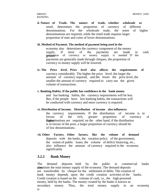**ii. Nature of Trade. The nature of trade, whether wholesale or**  retail, determines the proportion of currency of different denominations. For the wholesale trade, the notes of higher denominations are required, while the retail trade requires larger proportion of note and coins of lower denominations.

#### **iii. Method of Payment. The method of payment being used in the**

economy also determines the currency component of the money supply. If most of the payments are made in cash prenetration of currency to money supply is needed Tf the payments are generally made through cheques, the proportion of currency to money supply will be lowered.

- **iv. The Price level. Price level also affects the requirements of**  currency considerably. The higher the price level, the larger the amount of currency required, and the lower the price level, the smaller the amount of currency required to carry out the given volume of transactions.
- **v. Banking Habits. If the public has confidence in the bank money**  and has banking habits, the currency requirements will be less. But, if the people have less banking habits, the transactions will be conducted with currency and more currency is required.

#### **vi. Distribution of Income. Distribution of income also influences**

the currency requirements. If the distribution of income is in favour of the rich, greater proportion of currency of **digitarizations** are required, on the other hand, if the distribution is in favour of the poor, a larger proportion of currency should be of low denominations.

**vii. Other Factors. Other factors, like the volume of demand**  deposits with the banks, the taxation policy of the government, the extent of public loans, the volume of deficit financing, etc., also influence the amount of currency required in the economy significantly

#### **3.2.2 Bank Money**

The demand deposits held by the public in commercial banks aboustitute the total money supply of the economy. The demand deposits are transferable by cheque for the settlement of debts. The creation of bank money depends upon the credit creation activities of the banks. Credit creation is based on the volume of cash, i.e., the high-powered money, held by the banks. The money created by the banks is known as secondary money. Thus, the total money supply in an economy is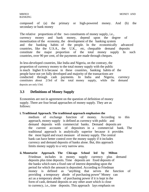composed of (a) the primary or high-powered money. And (b) the secondary or bank money

The relative proportions of the two constituents of money supply, i.e., currency money and bank money, depend upon the degree of monetisation of the economy, the development of the banking system and the banking habits of the people. In the economically advanced countries, like the U.S.A., the U.K., etc, chequable demand deposits constitute the major proportion of the total money supply In such countries, over 90 per cent, of the payments are made through cheques.

In less-developed countries, like India and Nigeria, on the contrary, the proportion of currency money to the total money supply with the public is much higher It is because in these countries, banking habits of the people have not yet fully developed and majority of the transactions are conducted through cash payments. In India and Nigeria, currency constitutes about 2/3rd of the total money supply, while the demand deposits are only l/3rd.

# **3.3 Definitions of Money Supply**

Economists are not in agreement on the question of definition of money supply. There are four broad approaches of money supply. They are as follows:

#### **i. Traditional Approach. The traditional approach emphasises the**

medium of exchange function of money. According to this approach, money supply is defined as currency with public and demand deposits with commercial banks. Demand deposits are the current accounts of depositors in a commercial bank. The traditional approach is analytically superior because it provides the most liquid and exact measure of money supply. The central bank can have better control over the money supply if it includes currency and demand deposits of banks alone. But, this approach limits money supply to a very narrow area.

**ii. Monetarist Approach. The Chicago School led by Milton**  Friedman includes in money supply currency plus demand deposits plus time deposits. Time deposits are fixed deposits of the banks which earn a fixed rate of interest depending upon the period for which the amount is deposited. According to Friedman money is defined as "anything that serves the function of providing a temporary abode of purchasing power" Money can act as a temporary abode of purchasing power if it is kept in the form of cash, demand deposits or any other asset which is close to currency, i.e., time deposits. This approach lays emphasis on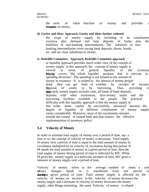the store of value function of money and provides a breasiere of money.

#### **iii. Gurley and Shaw Approach. Gurley and Shaw further widened**

the scope of money supply by including in its constituents currency plus demand and time deposits of banks plus the liabilities of non-banking intermediaries The liabilities of nonbanking intermediaries cover saving bank deposits, shares, bonds, etc. and are close substitutes to money.

#### **iv. Redcliffe Committee Approach. Redcliffe Committee approach**

or liquidity approach provides much wider view of the concept of money supply. In this approach, the concept of money supply is viewed in terms of general liquidity of the economy Money covers "the whole liquidity position that is relevant to spending decisions". The spending is not limited to the amount of money in existence It is related to the amount of money people think they can get hold of whether by receipts of income, by disposal of assets or by borrowing. Thus, according to this approach, money supply includes cash, all kinds of bank deposits, deposits with other institutions, near-money assets and the borrowing facilities available to the people. The practical difficulty with this liquidity approach is that the money supply in this wider sense cannot be successfully measured because the degree of liquidity of different constituents of money supply varies considerably. Moreover, most of the constituents remains outside the control of central bank and thus restrict the effective implementation of monetary policy.

### **3.4 Velocity of Money**

In order to estimate total supply of money over a period of time, say. a year or so, the concept of velocity of money is necessary. Total supply of money over a period of time is equal to the total amount of money in circulation multiplied by its velocity of circulation during that period. If M stands for total amount of money in a given period of time, then the total supply of money during period of time is indicated by MY. While M gives the money supply at a particular moment of time, MV gives a measure of money supply over a period of time.

Velocity of money refers to the average number of times a unit of money changes hands or is transferred from one person to during a given period of time. Total money supply is affected by the velocity of money, an increase in the velocity of money increases the money supply and a decrease in velocity of money decreases the money supply, other things remaining the same. Velocity of money is related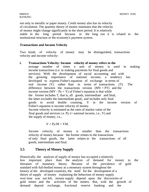not only to metallic or paper money. Credit money also has its velocity of circulation. The quantity theory of money maintains that the velocity of money might change significantly in the short period. It is relatively stable in the long period because in the long run it is related to the institutional structure or the economy's payment system.

#### **Transactions and Income Velocity**

Two kinds of velocity of money may be distinguished, transactions velocity and income velocity:

#### **i. Transactions Velocity: Income velocity of money refers to the**

average number of times a unit of money is used in making income transactions (i.e. in making payments for final goods and services). With the development of social accounting and with the growing importance of national income, a tendency has developed to express Fisher's equation of exchange in terms of real income (Y) rather than in terms of transactions (T). The difference between the transactions version  $(MV = PT)$  and the income version (MV -  $Py = Y$ ) of Fisher's equation is that while the former includes T, that is, all goods, intermediate and final, the latter excludes the intermediate good;, and includes only final goods to avoid double counting. V in the income version of Fisher's equation is income velocity of money. Income velocity is estimated as the ratio of market value of the final goods and services i.e.  $Py (=$  national income, i.e.,  $Y$ ) and the supply of money, i.e.,

$$
V = Py/M = YM.
$$

Income velocity of money is smaller than the transactions velocity of money because the former relates to the transactions of only final goods, the latter relates to the transactions of all goods, intermediate and final.

### **3.5 Theory of Money Supply**

Historically, the analysis of supply of money has occupied a relatively less important place than the analysis of demand for money in the literature of monetary theory. Because of the prevalence of gold standard with full-bodied money as a monetary system throughout the history of the developed countries, the need for the development of a theory of supply of money explaining the behaviour of money supply over time was not felt, money supply depend upon the discoveries of gold mines and the activities of the miners. But, with the growth of demand deposit exchange, fractional reserve banking and the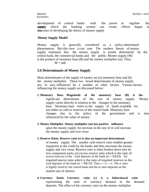development of central banks with the power to regulate the supppedy which the banking system can create, efforts began in the direction of developing the theory of money supply

#### **Money Supply Model**

Money supply is generally considered as a policy-determined phenomenon. But this view is not true. The modern theory of money supply maintains that the money supply is jointly determined by the central bank, the commercial banks and the public. Money supply (M) is the product of monetary base (B) and the money multiplier (m). Thus,

 $M = mB$ 

### **3.6 Determinants of Money Supply**

Main determinants of the supply of money are (a) monetary base and (b) the money multiplier. These two broad determinants of money supply are, in turn, influenced by a number of other factors. Various factors influencing the money supply are discussed below:

- **1. Monetary Base. Magnitude of the monetary base (B) is the**  significant determinant of the size of money supply. Money supply varies directly in relation to the changes in the monetary base. Monetary base refers to the supply of funds available for use either as cash or reserves of the central bank. Monetary base changes due to the policy of the government and is also influenced by the value of money.
- **2. Money Multiplier. Money multiplier (m) has positive influence**  upon the money supply An increase in the size of m will increase the money supply and vice versa

#### **3. Reserve Ratio. Reserve ratio (r) is also an important determinant**

of money supply. The smaller cash-reserve ratio enables greater expansion in the credit by the banks and thus increases the money supply and vice versa. Reserve ratio is often broken down into its two component parts; (a) excess reserve ratio which is the ratio of excess reserves to the total deposits of the bank (re  $=$  ER/D); (b) required reserve ratio which is the ratio of required reserves to the total deposits of the bank ( $rr = RR/D$ ). Thus  $r = rc + rr$ . The rr ratio is legally fixed by the central bank and the re ratio depends on the market rate of interest

**4. Currency Ratio. Currency ratio (c) is a behavioural ratio**  representing the ratio of currency demand to the demand deposits. The effect of the currency ratio on the money multiplier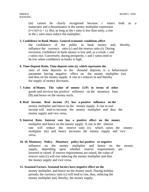(m) cannot be clearly recognised because c enters both as a numerator and a denominator in the money multiplier expression  $(l+c/r(l+t) + c)$ . But, as long as the r ratio is less than unity, a rise in the c ratio must reduce the multiplier:

#### **5. Confidence in Bank Money. General economic conditions affect**

the confidence of the public in bank money and, thereby, influence the currency ratio (c) and the reserve ratio (r). During recession, confidence in bank money is low and, as a result, c and r ratios rise. Conversely, during prosperity, c and r ratios tend to be low when confidence in banks is high.

#### **6. Time-Deposit Ratio. Time-deposit ratio (t), which represents the**

ratio of time deposits to the demand deposits is a behavioural parameter having negative effect on the money multiplier (m) and thus on the money supply. A rise in t reduces m and thereby the supply of money decreases

- **7. Value of Money. The value of money (1/P) in terms of other**  goods and services has positive influence on the monetary base (B) and hence on the money stock.
- **8. Real Income. Real income (Y) has a positive influence on the**  money multiplier and hence on the money supply. A rise in real income will tend to increase the money multiplier and thus the money supply and vice versa.
- **9. Interest Rate. Interest rate has a positive effect on the money**  multiplier and hence on the money supply. A rise in the interest rate will reduce the reserve ratio (r), which raises the money multiplier (m) and hence increases the money supply and vice versa.

#### **10. 10. Monetary Policy. Monetary policy has positive or negative**

influence on the money multiplier and hence on the money supply, depending upon whether reserve requirements are lowered or raised. If reserve requirements are raised, the value of reserve ratio (r) will rise reducing the money multiplier and thus the money supply and vice versa.

**11. Seasonal Factors. Seasonal factors have negative effect on the**  money multiplier, and hence on the money stock. During holiday periods, the currency ratio (c) will tend to rise, thus, reducing the money multiplier and, thereby, the money supply.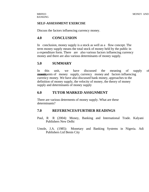#### **SELF-ASSESSMENT EXERCISE**

Discuss the factors influencing currency money.

### **4.0 CONCLUSION**

In conclusion, money supply is a stock as well as a flow concept. The term money supply means the total stock of money held by the public in a expenditure form. There are also various factors influencing currency money and there are also various determinants of money supply.

### **5.0 SUMMARY**

In this unit, we have discussed the meaning of supply of **constituents of money supply, currency money and factors influencing** currency money. We have also discussed bank money, approaches to the definition of money supply, the velocity of money, the theory of money supply and determinants of money supply

### **6.0 TUTOR MARKED ASSIGNMENT**

There are various determents of money supply. What are these determinants?

### **7.0 REFERENCES/FURTHER READINGS**

- Paul, R R (2004): Money, Banking and International Trade. Kalyani Publishers New Delhi
- Umole, J.A. (1985): Monetary and Banking Systems in Nigeria. Adi Publishers Ltd Benin City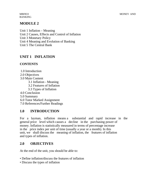BANKING

# **MODULE 2**

Unit 1 Inflation – Meaning Unit 2 Causes, Effects and Control of Inflation Unit 3 Monetary Policy Unit 4 Meaning and Evolution of Banking Unit 5 The Central Bank

# **UNIT 1 INFLATION**

### **CONTENTS**

1.0 Introduction

2.0 Objectives

3.0 Main Content

3.1 Inflation - Meaning

3.2 Features of Inflation

3.3 Types of Inflation

4.0 Conclusion

5.0 Summary

6.0 Tutor Marked Assignment

7.0 References/Further Readings

# **1.0 INTRODUCTION**

For a layman, inflation means a substantial and rapid increase in the general price level which causes a decline in the purchasing power of money. Inflation is statistically measured in terms of percentage increase in the price index per unit of time (usually a year or a month). In this unit, we shall discuss the meaning of inflation, the features of inflation and types of inflation.

# **2.0 OBJECTIVES**

At the end of the unit, you should be able to:

- Define inflation/discuss the features of inflation
- Discuss the types of inflation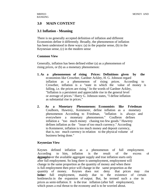### **3.0 MAIN CONTENT**

### **3.1 Inflation - Meaning**

There is no generally accepted definition of inflation and different Economists define it differently. Broadly, the phenomenon of inflation has been understood in three ways: (a) in the popular sense, (b) in the Keynesian sense, (c) in the modern sense

#### **Common View**

Generally, inflation has been defined either (a) as a phenomenon of rising prices, or (b) as a monetary phenomenon:

- **1. As a phenomenon of rising Prices: Definitions given by the**  economists like Crowther, Gardner Ackley, H. G. Johnson regard inflation as a phenomenon of rising prices. According to Crowther, inflation is a "state in which the value of money is falling, i.e. the prices are rising." In the words of Gardner Ackley, "Inflation is a persistent and appreciable rise in the general level or average of prices." Harry G. Johnson states, "I define inflation as substantial rise in prices."
- **2. As a Monetary Phenomenon: Economists like Friedman**  Coulborn, Hawtrey, Kemmerer, define inflation as a monetary phenomenon According to Friedman, "inflation is always and everywhere a monetary phenomenon." Coulbron defines inflation a "too much money chasing too few goods." Hawtrey defines inflation as the "issue of too much currency." According to Kemmerer, inflation is too much money and deposit currency, that is, too much currency in relation to the physical volume of business being done."

#### **Keynesian View**

Keynes defined inflation as a phenomenon of full employment. According to him, inflation is the result of the excess of degriently are the available aggregate supply and true inflation starts only after full employment. So long there is unemployment, employment will change in the same proportion as the quantity of money and when there is full employment then price will change in the same proportion as the quantity of money. Keynes does not deny that prices may rise **before** full employment, mainly due to the existence of certain bottlenecks in the expansion of output. But, he termed such a rise in prices as semi-inflation. It is the true inflation (after full employment), which poses a real threat to the economy and is to be worried about.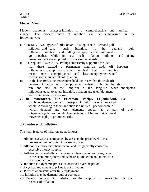#### **Modern View**

Modern economist analyses inflation in a comprehensive and unified manner. The modern view of inflation can be summarized in the following way:

- i. Generally two types of inflation are distinguished: demand pull inflation and cost push inflation. In the demand pull inflation, inflation and falling unemployment are supposed to go together, while in cost push inflation, inflation and rising unemployment are supposed to occur simultaneously,
- ii. During late 1950's A. W. Phillips empirically supported the idea that there existed a permanent long-run trade off between inflation and unemployment which implied that less inflation meant more unemployment and less unemployment would coexist with a higher rate of inflation.
- iii. In the late 1960's the monetarists held the view that the trade off between inflation and unemployment existed only in the shortrun and not in the long-run In the long-run when anticipated inflation is equal to actual inflation, inflation and unemployment will simultaneously increase.
- **vi. The monetarists, like Friedman, Phelps, Leijonhufvud, also**  combined demand-pull and cost-push inflation as one integrated whole. According to them, inflation is a unified phenomenon in which demand and cost elements appear as a part of one integrated cycle and in which expectations of future price level movements play a prominent role.

### **3.2 Features of Inflation**

The main features of inflation are as follows:

- i. Inflation is always accompanied by a rise in the price level. It is a process of uninterrupted increase in prices,
- ii. Inflation is a monetary phenomenon and it is generally caused by excessive money supply,
- iii. Inflation is essentially an economic phenomenon as it originates in the economic system and is the result of action and interaction of economic forces,
- iv. Inflation is a dynamic process as observed over the period.
- v. A cyclical movement of prices is not inflation,
- vi. Pure inflation starts after full employment.
- vii. Inflation may be demand-pull or cost-push.
- viii. Excess demand in relation to the supply of everything is the essence of inflation.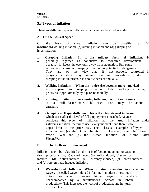### **3.3 Types of Inflation**

There are different types of inflation which can be classified as under:

#### **A. On the Basis of Speed**

On the basis of speed, inflation can be classified as (a)  $\mathbf{in}$  existing inflation, (c) running inflation and (d) galloping or hyperinflation.

- **1. Creeping Inflation: It is the mildest form of inflation. It is** generally regarded as conducive to economic development because it keeps the economy away from stagnation. But, some economists consider creeping inflation as potentially dangerous They are of the view that, if not properly controlled in time time inflation may assume alarming proportions Under creeping inflation, price;, rise about 2 percent annually.
- **2. Walking Inflation: When the price rise becomes more marked**  as compared to creeping inflation. Under walking inflation, prices rise approximately by 5 percent annually.
- **3. Running Inflation: Under running inflation, the prices increase**  at a still faster rate. The price rise may be about 10 percently.
- **4. Galloping or Hyper-Inflation: This is the last stage of inflation**  which starts after the level of full employment is reached. Keynes considers this type of inflation as the true inflation under the galloping inflation, the prices rise every moment and there is no upper limit to the price rise. The classical examples of hyperinflation are (a) the Great Inflation of Germany after the First World War and (b) the Great Inflation of China after Wood are War.

### **B. On the Basis of Inducement**

Inflation may be classified on the basis of factors inducing or causing rise in prices, such as, (a) wage-induced, (b) profit-induced, (c) scarcityinduced, (d) deficit-induced, (e) currency-induced, (f) credit-induced, and (g) foreign trade-induced inflation.

**1. Wage-Induced Inflation. When inflation rises due to a rise in**  wages, it is called wage-induced inflation. In modern times, trade unions are able to secure higher wages for workers unaccompanied by a simultaneous increase in labour productivity. This increases the cost of production, and in turn, the price level.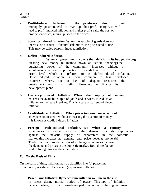- **2. Profit-Induced Inflation. If the producers, due to their**  monopoly position, tend to mark-up their profit margin, it will lead to profit-induced inflation and higher profits raise the cost of production which, in turn, pushes up the prices.
- **3. Scarcity-Induced Inflation. When the supply of goods does not**  increase on account of natural calamities, the prices tend to rise. This may be called scarcity-induced inflation.

#### **4. Deficit-Induced Inflation.**

 **When a government covers the deficit in its budget, through**  creating new money (a method known as deficit financing) the purchasing power of the community increases without a simultaneous increase in production. This leads to a rise in the price level which is referred to as deficit-induced inflation. Deficit-induced inflation is more common in less developed countries, where, due to lack of adequate resources, the government resorts to deficit financing to finance its development plans.

- **5. Currency-Induced Inflation. When the supply of money**  exceeds the available output of goods and services, it leads to an inflationary increase in prices. This is a case of currency-induced inflation.
- **6. Credit-Induced Inflation. When prices increase on account of**  an expansion of credit without increasing the quantity of money it is known as credit-induced inflation
- **7. Foreign Trade-Induced Inflation, (a) When a country**  experiences a sudden rise in the demand for its exportables against the inelastic supply of exportables in the domestic market, this increases the demand and price level at home, (b) Trade gains and sudden inflow of exchange remittances increase the demand and prices in the domestic market. Both these factors lead to foreign trade-induced inflation.

#### **C. On the Basis of Time**

On the basis of time, inflation may be classified into (a) peacetime inflation, (b) war-time inflation and (c) post-war inflation

**1. Peace-Time Inflation. By peace-time inflation we mean the rise**  in prices during normal period of peace. This type of inflation occurs when, in a less-developed economy, the government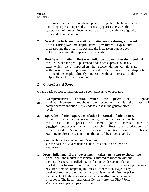increases expenditure on development projects which normally have longer gestation periods. It means a gap arises between the generation of money income and the final availability of goods. This leads to a rise in prices.

- **2. War-Time Inflation. War-time inflation occurs during a period**  of war. During war time, unproductive government expenditure increases and the prices rise because the increase in output does not keep pace with the expansion of expenditure.
- **3. Post-War Inflation. Post-war inflation occurs after the end of**  the war when the pent-up demand finds open expression. Heavy taxes, which were imposed on the people during war time, are withdrawn during post-war period. As a result the disposable income of the people abruptly increases without increase in the output. Hence the prices shoot up.

#### **D. On the Basis of Scope**

On the basis of scope, inflation can be comprehensive or sporadic.

**1. Comprehensive Inflation. When the prices of all goods and** services increase throughout the economy, it is the case of comprehensive inflation. This leads to a rise in the general price level.

#### **2. Sporadic Inflation. Sporadic inflation is sectoral inflation, since,**

instead of affecting whole economy, it affects a few sectors. In this case, the prices of some goods increase due to phytain bottlenecks which adversely affect the production of these goods Sporadic or sectoral inflation can be checked by resorting to direct price control on the sale of the affected goods.

#### **E. On the Basis of Government Reaction**

On the basis of Government reaction, inflation can be open or suppressed.

**1. Open Inflation. If the government takes no steps to check the**  price and the market mechanism is allowed to function without any interference, it is called open inflation. Under open inflation, market mechanism performs the function of allocating scarce resources among competing industries. If there is shortage of any particular resource, the market mechanism would raise its price and allocate it to those industries which can afford to pay a higher price for it. The hyper-inflation in Germany after the First World War is an example of open inflation.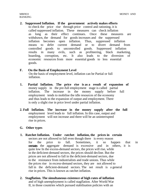**2. Suppressed Inflation. If the government actively makes efforts**  to check the price rise through price control and rationing, it is called suppressed inflation. These measures can check inflation as long as their effect continues. Once these measures are withdrawn, the demand for goods increases and the suppressed inflation becomes open inflation. Thus, suppressed inflation means to defer current demand or to divert demand from controlled goods to uncontrolled goods. Suppressed inflation results in many evils, such as profiteering, black marketing, hoarding, corruption, etc. It also leads to the diversion of economic resources from more essential goods to less essential goods.

# **F. On the Basis of Employment Level**

On the basis of employment level, inflation can be Partial or full inflation.

- **1. Partial Inflation. The price rise is as a result of expansion of**  money supply in the pre-full employment stage is called partial inflation. The increase in the money supply before full employment tends to mobilise the idle resources of the economy and thus leads to the expansion of output and employment. There is only a slight rise in price level under partial inflation.
- **2. Full Inflation. The increase in the money supply after the full**  employment level leads to full inflation. In this case, output and employment will not increase and there will be an uninterrupted rise in prices.

### **G. Other types**

- **1. Ratchet Inflation. Under ratchet inflation, the prices in certain**  sectors are not allowed to fall even though there is every reason for the price to fall. Sometimes, it so happen that in sectors the aggregate demand is excessive and in others, it is quite low In the excess-demand sectors, the prices will rise, while in the deficient-demand sectors, the prices should decline. But the prices are not allowed to fall in the deficient-demand sectors, due to the resistance from industrialists and trade unions. Thus while the prices rise in excess-demand sectors, they are not allowed to fall in the deficient-demand sectors. The net result is a general rise in prices. This is known as ratchet inflation.
- **2. Stagflation. The simultaneous existence of high rates of inflation**  and of high unemployment is called stagflation. After World War II, in those countries which pursued stabilisation policies with an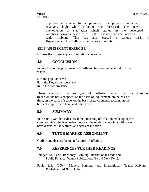objective to achieve full employment, unemployment remained relatively high while inflation rate increased. This new phenomenon of stagflation which started in the developed countries towards the close of 1960's, has now become a world wide problem. This has also caused a serious crisis in **Keynesian and the Phillips curve theories of inflation.** 

#### **SELF-ASSESSMENT EXERCISE**

Discuss the different types of inflation you know.

### **4.0 CONCLUSION**

In conclusion, the phenomenon of inflation has been understood in three ways:

i. In the popular sense ii. In the Keynesian sense and iii. In the modern sense

There are also various types of inflation which can be classified as under: on the basis of speed, on the basis of inducement, on the basis of time, on the basis of scope, on the basis of government reaction, on the basis of employment level and other types.

### **5.0 SUMMARY**

In this unit, we have discussed the meaning of inflation made up of the common view, the Keynesian view and the modern view. In addition we have discussed the features and types of inflation.

### **6.0 TUTOR MARKED ASSIGNMENT**

Outline and discuss the main features of inflation.

### **7.0 REFERENCES/FURTHER READINGS**

Jhingan, M.L. (2004): Money, Banking, International Trade and Public Finance. Vrinda Publications (P) Ltd New Delhi.

Paul, R.R (2004): Money, Banking and International Trade. Kalyani Publishers Ltd New Delhi.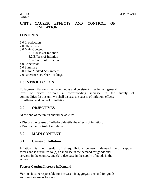### **UNIT 2 CAUSES, EFFECTS AND CONTROL OF INFLATION**

### **CONTENTS**

1.0 Introduction 2.0 Objectives 3.0 Main Content 3.1 Causes of Inflation 3.2 Effects of Inflation 3.3 Control of Inflation 4.0 Conclusion 5.0 Summary

6.0 Tutor Marked Assignment

7.0 References/Further Readings

# **1.0 INTRODUCTION**

To layman inflation is the continuous and persistent rise in the general level of prices without a corresponding increase in the supply of commodities. In this unit we shall discuss the causes of inflation, effects of inflation and control of inflation.

### **2.0 OBJECTIVES**

At the end of the unit it should be able to:

- Discuss the causes of inflation/Identify the effects of inflation.
- Discuss the control of inflations.

# **3.0 MAIN CONTENT**

### **3.1 Causes of Inflation**

Inflation is the result of disequilibrium between demand and supply forces and is attributed to (a) an increase in the demand for goods and services in the country, and (b) a decrease in the supply of goods in the economy.

### **Factors Causing Increase in Demand**

Various factors responsible for increase in aggregate demand for goods and services are as follows.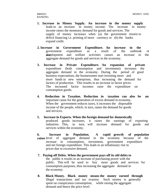- **1. Increase in Money Supply. An increase in the money supply**  leads to an increase in money income. The increase in money income raises the monetary demand for goods and services. The supply of money increases when (a) the government resorts to deficit financing i.e. printing of more currency or (b) the banks expand credit.
- **2. Increase in Government Expenditure. An increase in the**  government expenditure as a result of the outbreak of deter development and welfare activities causes an increase in the aggregate demand for goods and services in the economy.
- **3. Increase in Private Expenditure. An expansion of private**  expenditure (both consumption and investment) increases the aggregate demand in the economy. During the period of good business expectations, the businessmen start investing more and more funds in new enterprises, thus increasing the demand for factors of production. This results in an increase in factor prices. The increased factor incomes raise the expenditure on consumption goods.
- **4. Reduction in Taxation. Reduction in taxation can also be an**  important cause for the generation of excess demand in economy. When the government reduces taxes, it increases the disposable income of the people, which, in turn, raises the demand for goods and services.
- **5. Increase in Exports. When the foreign demand for domestically**  produced goods increases, it raises the earnings of exporting industries. This, in turn, will increase demand for goods and services within the economy.
- **6. Increase in Population. A rapid growth of population raises** level of aggregate demand in the economy because of the increase in consumption, investment, government expenditure and net foreign expenditure. This leads to an inflationary rise in prices due to excessive demand.
- **7. Paying off Debts. When the government pays off its old debts to**  the public it results in an increase of purchasing power with the public. This will be used to buy more goods and services for consumption purposes, thus increasing the aggregate demand in the economy.
- **8. Black Money. Black money means the money earned through**  illegal transactions and tax evasion. Such money is generally spent on conspicuous consumption, while raising the aggregate demand and hence the price level.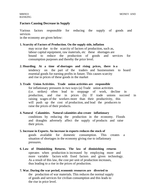#### **Factors Causing Decrease in Supply**

Various factors responsible for reducing the supply of goods and services

in the economy are given below:

#### **1. Scarcity of Factors of Production. On the supply side, inflation**

may occur due to the scarcity of factors of production, such as, labour capital equipment, raw materials, etc these shortages are bound to reduce the production of goods and services for consumption purposes and thereby the price level.

#### **2. Hoarding. At a time of shortages and rising prices, there is a**  tendency on the part of the traders and businessmen to hoard essential goods for earning profits in future. This causes scarcity and rise in prices of these goods in the market

#### **3. Trade Union Activities. Trade union activities are responsible**  for inflationary pressures in two ways (a) Trade union activities (i.e. strikes) often lead to stoppage of work, decline in production, and rise in prices (b) If trade unions succeed in raising wages of the workers more than their productivity, this will push up the cost of production, and lead the producers to raise the prices of their products.

### **4. Natural Calamities. Natural calamities also create inflationary**  conditions by reducing the production in the economy. Floods and draughts adversely affect the supply of products and raise their prices.

- **5. Increase in Exports. An increase in exports reduces the stock of**  goods available for domestic consumption. This creates a situation of shortages in the economy giving rise to inflationary pressures.
- **6. Law of Diminishing Returns. The law of diminishing returns**  operates when production is increased by employing more and more variable factors with fixed factors and given technology. As a result of this law, the cost per unit of production increases, thus leading to a rise in the prices of production.
- **7. War. During the war period, economic resources are diverted to**  the production of war materials. This reduces the normal supply of goods and services for civilian consumption and this leads to the rise in price level.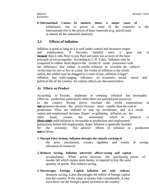**8. International Causes. In modern times, a major cause of**  inflationary rise in prices in most of the countries is the international rise in the prices of basic materials (e.g. petrol) used in almost all the industrial materials.

### **3.2 Effects of Inflation**

Inflation is good so long as it is well under control and increases output and employment. It becomes harmful once it goes out of because then it robs Peter to pay Paul and takes not account of the basic principle of social equality. According to C.N. Vakil, "Inflation may be compared to robber. Both deprive the victim of some possession with the difference that robber is visible, inflation in invisible; the robber's victim may be one or few at a time, the victim of inflation is the whole nation, the robber may be dragged to a court of law, inflation is legal". Inflation has wide-ranging influence on economic, social, moral and political life of the country. Its various effects are discussed below.

#### **A) Effects on Product**

According to Keynes, moderate or creeping inflation has favourable effect on production particularly when there are unemployed resources in the country Rising prices increase the profit expectations of the the entrepreneurs because the prices increase more rapidly than the cost of production. They are induced to step up investment, and, as a result, output and employment increase. Hyper or galloping inflation, on the other hand, creates the uncertainty which is inimical to **From Exercise** mild inflation is favourable to production and employment particularly before full employment, hyper inflation is generally harmful for the economy. The adverse effects of inflation or production stated below:

#### **1. Disrupt Price System. Inflation disrupts the smooth working of**

the price mechanism, creates rigidities and results in wrong allocation of resources

- **2. Reduces Saving. Inflation adversely affects saving and capital**  accumulation. When prices increase, the purchasing power of money fall which means more money is required to buy the same quantity of goods. This reduces saving.
- **3. Discourages Foreign Capital. Inflation not only reduces**  domestic saving, it also discourages the inflow of foreign capital into the country. If the value of money falls considerably, it may even drive out the foreign capital invested in the country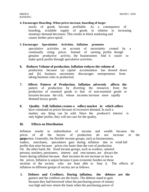#### **4. Encourages Hoarding. When prices increase, hoarding of larger**

stocks of goods become profitable. As a consequence of hoarding, available supply of goods in relation to increasing monetary demand decreases. This results in black marketing and causes further price-spiral.

#### **5. Encourages Speculation Activities. Inflation promotes**

speculative activities on account of uncertainty created by a continually rising prices. Instead of earning profits though genuine productive activity, the businessmen find it easier to make quick profits through speculative activities.

- **6. Reduces Volume of production. Inflation reduces the volume of**  production because (a) capital accumulation has slowed down and (b) business uncertainty discourages entrepreneurs from taking business risks in production.
- **7. Affects Pattern of Production. Inflation adversely affects the**  pattern of production by diverting the resources from the production of essential goods to that of non-essential goods or luxuries because the rich, whose incomes increase more rapidly demand luxury goods.
- **8. Quality Fall. Inflation creates a sellers market in which sellers**  have command on prices because of excessive demand. In such a market, any thing can be sold. Since the producer's interest is only higher profits, they will not care for the quality.

#### **B) Effects on Distribution**

Inflation results in redistribution of income and wealth because the prices of all the factors of production do not increase in the **proportion.** Generally, the flexible income groups, such as businessmen, traders, merchants, speculators gain during inflation due to wind-fall profits that arise because prices rise faster than the cost of production. On the other hand, the fixed income groups, such as workers, salaried persons, teachers, pensioners, interest and rent earners, are always the losers during inflation because their incomes do not increase as fast as the prices. Inflation is unjust because it puts economic burden on those sections of the society who are least able to bear it. The effects of inflation on different groups of society are as follows.

**1. Debtors and Creditors. During inflation, the debtors are the**  gainers and the creditors are the losers. The debtors stand to gain because they had borrowed when the purchasing power of money was high and now return the loans when the purchasing power of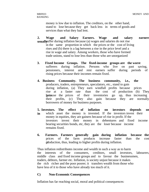money is low due to inflation. The creditors, on the other hand, stand to lose because they get back less in terms of goods and services than what they had lent.

- **2. Wage and Salary Earners. Wage and salary earners usually** uffer during inflation because (a) wages and salaries do not rise in the same proportion in which the prices or the cost of living rises and (b) there is a lag between a rise in the price level and a rise in wage and salary. Among workers, those who have formed trade unions, stand to lose less than those who are unorganized
- **3. Fixed Income Groups. The fixed-income groups are the worst**  sufferers during inflation. Persons who live on past saving, pensioners, interest and rent earners suffer during periods of rising prices because their incomes remain fixed.
- **4. Business Community. The business community, i.e., the**  producers, traders, entrepreneurs, speculators, etc., stand to gain during inflation, (a) They earn windfall profits because prices rise at a faster rate than the cost of production (b) They because the prices of their inventories go up, thus increasing their profits, (c) They also gain because they are normally borrowers of money for business purposes.
- **5. Investors. The effect of inflation on investors depends on in** which asset the money is invested. If the investors invest their money in equities, they are gainers because of rise in profit. If the investors invest their money in debentures and fixed income bearing securities bonds, etc, they are the loser because income remains fixed.
- **6. Farmers. Farmers generally gain during inflation because the**  prices of the farm products increase faster than the cost of production, thus, leading to higher profits during inflation.

Thus inflation redistributes income and wealth in such a way as to harm the interests of the consumers, creditors, small investors, labourers, middle class and fixed income groups and to favour the businessmen, traders, debtors, farmer etc. Inflation, is society unjust because it makes the rich richer and the poor poorer; it transfers wealth from those who have less of it to those who have already too much of it.

#### **C) Non-Economic Consequences**

Inflation has far reaching social, moral and political consequences: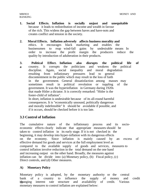- **1. Social Effects. Inflation is socially unjust and unequitable**  because it leads to redistribution of income and wealth in favour of the rich. This widens the gap between haves and have-nots and creates conflict and tension in the society.
- **2. Moral Effects. Inflation adversely affects business morality and**  ethics. It encourages black marketing and enables the businessmen to reap wind-fall gains by undesirable means In order to increase the profit margin the producers reduce the quality by introduction of adulteration in their products.
- **3. Political Effect. Inflation also disrupts the political life of**
- **a** country. It corrupts the politicians and weakens the political discipline. Again, social inequality and moral degradation resulting from inflationary pressures lead to general discontentment in the public which may result in the loss of faith in the government. General dissatisfaction among masses may sometimes result in political revolution or toppling of the government. It was the hyperinflation in Germany during 1920s that made Hitler a dictator. It is correctly remarked: "Hitler is the foster-child of inflation".

In short, inflation is undesirable because of its all-round harmful consequences. It is "economically unsound, politically dangerous and morally indefensible" It should be avoidable if possible, and if it occurs, should be checked before it is too late.

# **3.3 Control of Inflation**

The cumulative nature of the inflationary process and its socioeconomic effects clearly indicate that appropriate measures should be taken to control inflation in its early stage. If it is not checked in the beginning, it may develop into hyper-inflation with its dangerous effects on the economy. Since inflation is mainly caused by an excess of effective demand for goods and services at the full employment level as compared to the available supply of goods and services, measures to control inflation involve reduction in the total demand on the one hand and increasing output on the other hand. Broadly, the measures against inflation can be divide into: (a) Monetary policy, (b) Fiscal policy, (c) Direct controls, and (d) Other measures.

### **A) Monetary Policy**

Monetary policy is adopted, by the monetary authority or the central bank of a country to influence the supply of money and credit branging interest rate structure and availability of credit. Various monetary measures to control inflation are explained below: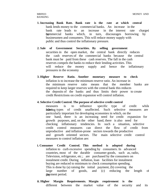- **1. Increasing Bank Rate. Bank rate is the rate at which central**  bank lends money to the commercial banks. An increase in the bank rate leads to an increase in the interest rate charged bommercial banks which, in turn, discourages borrowing by businessmen and consumers. This will reduce money supply with public and thus control the inflationary pressure.
- **2. Sale of Government Securities. By selling government**  securities in the open market, the central bank directly reduces the cash reserves of the commercial banks because the central bank must be paid from these cash reserves. The fall in the cash reserves compels the banks to reduce their lending activities. This will reduce the money supply and hence the inflationary pressures in the economy
- **3. Higher Reserve Ratio. Another monetary measure to check**  inflation is to increase the minimum reserve ratio. An increase in the minimum reserve ratio means that the member banks are required to keep larger reserves with the central bank this reduces the deposits of the banks and thus limits their power to create credit Restrictions on credit expansion will control inflation.

#### **4. Selective Credit Control. The purpose of selective credit control**

measures is to influence specific type of credit while let the types of credit unaffected. Such selective measures are particularly important for developing economies in which, on the one hand, there is an increasing need for credit expansion for growth purposes, and, on the other hand, there is also need for checking inflationary tendencies. In such a situation, selective credit control measures can direct the flow of credit from unproductive and inflation-prone sectors towards the productive and growth oriented sectors. The main selective credit control measures to control inflation are:

- **i. Consumer Credit Control. This method is adopted during**  inflation to curb excessive spending by consumers. In advanced countries, most of the durable consumer goods, such as, radio, Television, refrigerator, etc.; are purchased by the consumers on instalment credit. During inflation, loan facilities for instalment buying are reduced to minimum to check consumption spending. This is done by (a) raising the initial payment, (b) covering the large number of goods, and (c) reducing the length of they ment period.
- **ii. Higher Margin Requirements. Margin requirement is the**  different between the market value of the security and its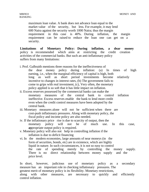maximum loan value. A bank does not advance loan equal to the market value of the security, but less. For example, it may lend 600 Naira against the security worth 1000 Naira; thus the margin requirement in this case is 40%. During inflation, the margin requirement can be raised to reduce the loan one can get on a security.

**Limitations of Monetary Policy: During inflation, a dear money**  policy is recommended which aims at restricting the credit creation activities of the commercial banks. But such an anti-inflationary policy suffers from many limitations:

i. Prof. Galbraith mentions three reasons for the ineffectiveness of the dear money policy during inflation: (a) In times of high earning, i.e., when the marginal efficiency of capital is high, both long as well as short period investments become relatively incentive to changes in interest rates, (b) The government fails to come to grips with real investment, (c), Very often, the monetary

policy applied is so soft that it has little impact on inflation.

- ii. Excess reserves possessed by the commercial banks can make the monetary measures of the central bank to control inflation ineffective. Excess reserves enable the bank to lend more credit even when the credit control measures have been adopted by the central bank.
- iii. Monetary measures alone will not be sufficient when there are cost-push inflationary pressures. Along with monetary policy, the fiscal policy and income policy are also needed.
- iv. If the inflationary price rise is due to scarcity of output, then the monetary policy will not be of much use. In this case, appropriate output policy is required.
- v. Monetary policy will also not help in controlling inflation if the inflation is due to deficit financing
- vi. In the modern economies, large amounts of near moneys (in the form of securities, bonds, etc) are in existence, which are highly liquid in nature. In such circumstances, it is not so easy to control the rate of spending merely by controlling the money supply. There is no direct relationship between money supply and the price level.

In short, however, judicious use of monetary policy as a secondary measure has an important role in checking inflationary pressures. The greatest merit of monetary policy is its flexibility. Monetary restrictions, along with other measures, are necessary to quickly and efficiently control inflation.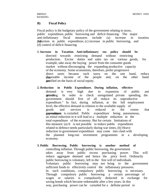#### **B) Fiscal Policy**

Fiscal policy is the budgetary policy of the government relating to taxes, public expenditure, public borrowing and deficit financing. The major anti-inflationary fiscal measures include (a) increase in taxation, (b) reduction in public expenditure, (c) increase in public borrowing, and (d) control of deficit financing

- **1. Increase in Taxation. Anti-inflationary tax policy should be**  directed towards restricting demand without restricting production. Excise duties and sales tax on various goods, for example, take away the buying power from the consumer goods market without discouraging the expanding productive capacity of the economy. Some economists, therefore, prefer progressive direct taxes because such taxes on the one hand, reduce the disposable income of the people and, on the other hand, **are** tified on the basis of social equity.
- **2. Reduction in Public Expenditure. During inflation, effective**  demand is very high due to expansion of public and private spending. In order to check unregulated private spending, the government should first of all reduce its unproductive expenditure." In fact, during inflation, at the full employment level, the effective demand in relation to the available supply of goods and services is reduced to the extent that **expendiment** is curtailed. Public expenditure being autonomous, an initial reduction in it will lead to a multiple reduction in the total expenditure of the economy. But for certain limitations of this measure: (a) It is not possible to reduce public expenditure related to defence needs particularly during war times, (b) Heavy reduction in government expenditure may come into clash with the planned long-run investment programmes in a developing economy.
- **3. Public Borrowing. Public borrowing is another method of**  controlling inflation. Through public borrowing, the government takes away from public excess purchasing power. This will reduce aggregate demand and hence the price level. Ordinarily public borrowing is voluntary, left to the free will of individuals. Voluntary public borrowing may not bring to the government sufficient funds to effectively control the inflationary pressures. In such conditions, compulsory public borrowing is necessary. Through compulsory public borrowing a certain percentage of wages or salaries is compulsorily deducted in exchange for saving bonds which become redeemable after a few years. In this way, purchasing power can be curtailed for a definite period to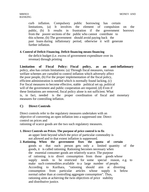curb inflation. Compulsory public borrowing has certain limitations, (a) It involves the element of compulsion on the public, (b) It results in frustration if the government borrows from the poorer sections of the public who cannot contribute to this scheme, (b) The government should avoid paying back the past loans during inflationary period, otherwise it will generate further inflation.

#### **4. Control of Deficit Financing. Deficit financing means financing**

the deficit budget (i.e. excess of government expenditure over its revenue) through printing

**Limitation of Fiscal Policy: Fiscal policy, as an anti-inflationary**  policy, also has certain limitations: (a) Through fiscal measures, various welfare schemes are curtailed to control inflation which adversely affect the poor people, (b) For the proper implementation of the fiscal policy, efficient administration is needed which is normally found lacking, (c) For fiscal measures to become effective, stable political set up, political will of the government and public cooperation are required, (d) Even if these limitations are removed, fiscal policy alone is not sufficient. What is, in fact, needed is the proper coordination of fiscal and monetary measures for controlling inflation.

### **C) Direct Controls**

Direct controls refer to the regulatory measures undertaken with an objective of converting an open inflation into a suppressed one. Direct control on prices and

rationing of scarce goods are the two such regulatory measures.

- **1. Direct Controls on Prices. The purpose of price control is to fix**  an upper limit beyond which the price of particular commodity is not allowed and to that extent inflation is suppressed.
- **2. Rationing. When the government fixes the quota of certain**  goods so that each person gets only a limited quantity of the goods, it is called rationing. Rationing becomes necessary when the essential consumer goods are relatively scarce. The purpose of rationing is to divert consumption from those goods whose supply needs to be restricted for some special reason, e.g. to make such commodities available to a large number of people. According to Kurihara, "rationing should aim at diverting consumption from particular articles whose supply is below normal rather than at controlling aggregate consumption". Thus, rationing aims at achieving the twin objectives of price stability and distributive justice.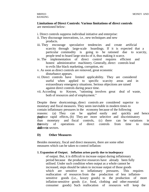#### **Limitations of Direct Controls: Various limitations of direct controls**  are mentioned below:

- i. Direct controls suppress individual initiative and enterprise:
- ii. They discourage innovations, i.e., new techniques and new products.
- iii. They encourage speculative tendencies and create artificial scarcity through large-scale hoardings. If it is expected that a particular commodity is going to be rationed due to scarcity, people tend to hoard large stocks of it, thus making it scarce.
- iv. The implementation of direct control requires efficient and honest administrative machinery. Generally, direct controls lead to evils like black marketing, corruption, etc
- v. As soon as direct controls are removed, great economic disturbance appears.
- vi. Direct controls have limited applicability. They are considered useful when applied to specific scarcity areas and in extraordinary emergency situations. Serious objections are raised against direct controls during peace time.
- vii. According to Keynes, "rationing involves great deal of waste, both of resources and of employment."

Despite these shortcomings, direct controls are considered superior to monetary and fiscal measures. They seem inevitable in modern times to contain inflationary pressures in the economy because of the following reasons: (a) They can be applied easily and quickly and hence the produce rapid effects, (b) They are more selective and discriminatory than monetary and fiscal controls, (c) there can be variations in the ensity of operations of direct controls from time to time different sectors.

#### **D) Other Measures**

Besides monetary, fiscal and direct measures, there are some other measures which can be taken to control inflation:

#### **1. Expansion of Output. Inflation arises partly due to inadequacy**

of output. But, it is difficult to increase output during inflationary period because the productive resources have already been fully utilised. Under such condition when output as a whole cannot be increased, steps should be taken to increase output of those goods which are sensitive to inflationary pressures. This requires reallocation of resources from the production of less inflationsensitive goods (i.e., luxury goods) to the production of more inflation-sensitive goods (i.e. food, clothing and other essential consumer goods) Such reallocation of resources will keep the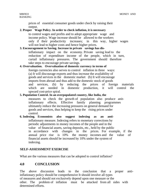prices of essential consumer goods under check by raising their output.

#### **2. Proper Wage Policy. In order to check inflation, it is necessary**

to control wages and profits and to adopt appropriate wage and income policy. Wage increase should be allowed to the workers only if their productivity increases; in this way, higher wages will not lead to higher costs and hence higher prices.

#### **3. Encouragement to Saving. Increase in private savings has dis-**

inflationary impact on the economy. Private saving lead to the reduction of expenditure income of the people, which in turn, curtail inflationary pressures. The government should therefore take steps to encourage private savings.

#### **4. Overvaluation. Overvaluation of domestic currency in terms of**

foreign currencies also serves to control inflation in three ways: (a) It will discourage exports and thus increase the availability of goods and services in the domestic market (b) It will encourage imports from abroad and thus add to the domestic stock of goods and services, (b) by reducing the prices of foreign materials which are needed in domestic production, it will control the upward cost-price spiral.

#### **5. Population Control. In an overpopulated country, like India, the**

measures to check the growth of population also produce anitinflationary effects. Effective family planning programmes ultimately reduce the increasing pressures on general demand for goods and services, thus helping to keep the rising prices under control.

**6. Indexing. Economists also suggest indexing as an anti**inflationary measure. Indexing refers to monetary corrections by periodic adjustments in money incomes of the people and in the value of financial assets, saving deposits, etc., held by the public in accordance with changes in the prices. For example, if the annual price rise is 10% the money incomes and the value of financial assets should be increased by 10% under the system of indexing.

#### **SELF-ASSESSMENT EXERCISE**

What are the various measures that can be adopted to control inflation?

### **4.0 CONCLUSION**

The above discussion leads to the conclusion that a proper antiinflationary policy should be comprehensive It should involve all types of measures and should not exclusively depend upon one measure or the other. The problem of inflation must be attacked from all sides with determined efforts.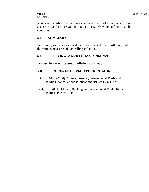# BANKING

You have identified the various causes and effects of inflation. You have also seen that there are various strategies towards which inflation can be controlled.

# **5.0 SUMMARY**

In this unit, we have discussed the causes and effects of inflation, and the various measures of controlling inflation.

### **6.0 TUTOR – MARKED ASSIGNMENT**

Discuss the various causes of inflation you know.

### **7.0 REFERENCES/FURTHER READINGS**

Jhingan, M.L. (2004): Money, Banking, International Trade and Public Finance Vrinda Publications (P) Ltd New Delhi.

Paul, R.R (2004): Money, Banking and International Trade. Kalyani Publishers New Delhi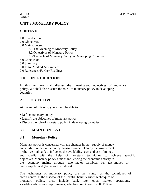# **UNIT 3 MONETARY POLICY**

### **CONTENTS**

- 1.0 Introduction
- 2.0 Objectives
- 3.0 Main Content
	- 3.1 The Meaning of Monetary Policy
	- 3.2 Objectives of Monetary Policy
	- 3.3 The Role of Monetary Policy in Developing Countries
- 4.0 Conclusion
- 5.0 Summary
- 6.0 Tutor Marked Assignment
- 7.0 References/Further Readings

# **1.0 INTRODUCTION**

In this unit we shall discuss the meaning and objectives of monetary policy. We shall also discuss the role of monetary policy in developing countries.

# **2.0 OBJECTIVES**

At the end of this unit, you should be able to:

- Define monetary policy
- Identify the objectives of monetary policy.
- Discuss the role of monetary policy in developing countries.

# **3.0 MAIN CONTENT**

# **3.1 Monetary Policy**

Monetary policy is concerned with the changes in the supply of money and credit it refers to the policy measures undertaken by the government or the central bank to influence the availability, cost and use of money and credit with the help of monetary techniques to achieve specific objectives. Monetary policy aims at influencing the economic activity in the economy mainly through two major variables, i.e., (a) money or credit supply, and (b) the rate of interest.

The techniques of monetary policy are the same as the techniques of credit control at the disposal of the central bank. Various techniques of monetary policy, thus, include bank rate, open market operations, variable cash reserve requirements, selective credit controls. R. P. Kent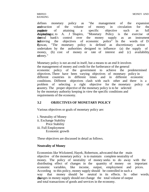defines monetary policy as "the management of the expansion and traction of the volume of money in circulation for the purposite of attaining a specific objective such as full emplot to A. J Shapiro, "Monetary Policy is the exercise of **the** transferred over the money supply as an instrument for achieving the objectives of economic police" In the words of D.<br>Rowan. "The monetary policy is defined as discretionary action C. Rowan, "The monetary policy is defined as discretionary action undertaken by the authorities designed to influence (a) the supply of money, (b) cost of money or rate of interest and (c) availability ofoney."

Monetary policy is not an end in itself, but a means to an end It involves the management of money and credit for the furtherance of the general economic policy of the government to achieve the predetermined objectives. There have been varying objectives of monetary policy in different countries in different times and in different economic conditions. Different objectives clash with each other and there is a problem of selecting a right objective for the monetary policy of a country. The proper objective of the monetary policy is to be selected by the monetary authority keeping in view the specific conditions and requirements of the economy.

### **3.2 OBJECTIVES OF MONETARY POLICY**

Various objectives or goals of monetary policy are:

i. Neutrality of Money ii. Exchange Stability Price Stability iii. Full Employment Economic growth

These objectives are discussed in detail as follows.

#### **Neutrality of Money**

Economists like Wicksteed, Hayek, Robertson, advocated that the main objective of the monetary policy is to maintain complete neutrality of money. The policy of neutrality of money seeks to do away with the distributing effect of changes in the quantity of money on important economic variables, like income, output, employment and prices. According to this policy, money supply should be controlled in such a way that money should be neutral in its effects. In other words the changes in money supply should not change the total volume of output and total transactions of goods and services in the economy.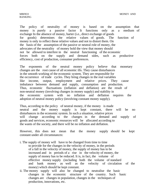The policy of neutrality of money is based on the assumption that money is purely a passive factor It functions only as a medium of exchange In the absence of money, barter (i.e., direct exchange of goods for goods) determines the relative values of goods. The function of money is only to reflect these relative values and not to distort them. On the basis of the assumption of the passive or neutral role of money, the advocates of the neutrality of money hold the view that money should not be allowed to interfere in the neutral functioning of the economic forces both on the supply and demand sides, such as productive efficiency, cost of production, consumer preferences.

The exponents of the neutral money policy believe that monetary changes are the root cause of all economic ills. They cause disturbances in the smooth working of the economic system. They are responsible for the occurrence of trade cycles. They bring changes in the real variables like income, output, employment and relative prices. They cause imbalance between demand and supply, consumption and production. Thus, economic fluctuations (inflation and deflation) are the result of non-neutral money (involving changes in money supply) and stability in the economic system with no inflation and deflation requires the adoption of neutral money policy (involving constant money supply).

Thus, according to the policy of neutral money, if the money is made neutral and the money supply is kept constant, there will be no disturbances in the economic system. In such a situation, relative prices will change according to the changes in the demand and supply of goods and services, economic resources will be allocated according to the wants of the society, and there will be no inflation and deflation.

However, this does not mean that the money supply should be kept constant under all circumstances:

- i. The supply of money will have to be changed from time to time to provide for the changes in the velocity of money, in the periods of a fall in the velocity of money, the supply of money has to be increased and in periods of a rise in the velocity of money, the supply of money has to be reduced. It is, in fact, the volume of effective money supply (including both the volume of standard and bank money as well as the velocity of circulation of the money) which should be kept constant.
- ii. The money supply will also be changed to neutralise the basic changes in the economic structure of the country. Such basic changes are changes in population, changes in the techniques of production, innovations, etc.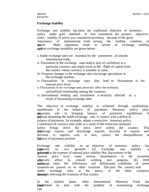#### **Exchange Stability**

Exchange rate stability has been the traditional objective of monetary policy under gold standard. It was considered the primary objective, while stability of prices was considered secondary because of the great importance of international trade among the leading countries of the in tay our of exchange stability and a general exchange instability are given below:

- i. Stable exchange rates are essential for the promotion of smooth international trade,
- ii. Fluctuation in the exchange rates lead to lack of confidence in a particular currency and might result in the flight of capital from the country whose currency is unstable in value,
- iii. Frequent changes in the exchange rates encourage speculation in the exchange markets.
- iv. Fluctuations in exchange rates also lead to fluctuations in the internal price level,
- v. Fluctuations in the exchange rates adversely affect the economic
	- and political relationship among the countries.
- vi. International lending and investment is seriously affected as a result of fluctuating exchange rates.

The objective of exchange stability is achieved through establishing equilibrium in the balance of payments. Monetary policy plays **am** portant role in bringing balance of payments equilibrium in  $t$  whethout disturbing the stable exchange rate. A country with a deficit in balance of payments, for example, adopts a restrictive monetary policy. Contraction of currency and credit as a result of the restrictive monetary policy brings down the price level within the country. This will burage exports and discourage imports. Increase in exports and

decrease in imports will, in turn, correct the disequilibrium in the balance of payments position

Exchange rate stability as an objective of monetary policy has beticised on two grounds: (a) Exchange rate stability is generally at the expense of internal price stability But, fluctuations in the internal price level cause serious disturbances in the economy addersely affect its smooth working and progress, (b) With stable exchange rates, the inflationary and deflationary conditions of some countries are passed on to other countries. This puts the country with stable exchange rates at the mercy of the other countries, **thereby** set affecting the economy of that country.

In the modern times, when International Monetary Fund has **betablished** to deal with the problem of maintaining exchange rate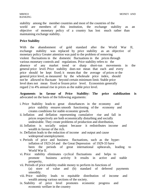stability among the member countries and most of the countries of the world are members of this institution, the exchange stability as an objective of monetary policy of a country has lost much rather than maintaining exchange stability.

#### **Price Stability**

With the abandonment of gold standard after the World War II, exchange stability was replaced by price stability as an objective of monetary policy Greater attention was paid to the problem of removing violent fluctuations in the domestic fluctuations in the prices through various monetary controls and regulations. Price stability refers to the absence of any market trend or sharp short-run movements in the general price level. Price stability does not mean that each and every price should be kept fixed; it means that the average of prices or the general price level, as measured by the wholesale price index, should not be allowed to fluctuate beyond certain minimum limit. Stable price level does not mean fixed or frozen price level. Economists generally regard 2 to 4% annual rise in prices as the stable price level.

#### **Arguments in favour of Price Stability: The price stabilization is**  advocated on the basis of the following arguments:

- i. Price Stability leads to great disturbances in the economy and price stability ensures smooth functioning of the economy and creates conditions for stable economic growth.
- ii. Inflation and deflation representing cumulative rise and fall in prices respectively are both economically disturbing and socially undesirable. They create problems of production and distribution,
- iii. Inflation is socially unjust because it redistributes income and wealth in favour of the rich.
- iv. Deflation leads to the reduction of income and output and cause widespread unemployment.
- v. Periods of price and business fluctuations, such as the hyperinflation of 1923-24 and the Great Depression of 1929-33 have been the periods of great international upheavals, leading to World War II.
- vi. Price stability eliminates cyclical fluctuations and helps to promote business activity It results in active and stable prosperity,
- vii. Periods of price stability enable money to perform its functions of
	- (a) store of value and (b) standard of deferred payments smoothly.
- viii. Price stability leads to equitable distribution of income and wealth among various sections of the society.
- ix. Stability of price level promotes economic progress and economic welfare in the country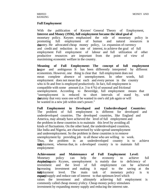#### **Full Employment**

With the publication of Keynes' General Theory of Employment, **Interest and Money (1936), full employment became the ideal goal of**  monetary policy. Keynes emphasised the role of monetary policy in promoting full employment of human and natural resources in **the country.** He advocated cheap money policy, i.e. expansion of currency and credit and reduction in rate of interest, to achieve the goal of full employment Full employment of labour and full utilization of other productive resources are important from the point of view of maximising economic welfare in the country.

**Meaning of Full Employment: The concept of full employment is** and ambiguous It has been differently interpreted by different economists. However, one thing is clear that full employment does not mean complete absence of unemployment. In other words, full employment does not mean that each and every person in the country who is fit and free is employed productively. In fact, full employment is compatible with some amount (i.e. 3 to 4 %) of seasonal and frictional unemployment. According to Beveridge, full employment means that "unemployment is reduced to short intervals of stand by, with **the** checkstainty that very soon one will be wanted in one's old job again or will be wanted in a new job within one's power."

**Full Employment in Developed and Underdeveloped Countries:**  The problem of full employment is different for developed and underdeveloped countries. The developed countries, like England and America, may already have achieved the level of full employment and the problem in these countries is to maintain this level by avoiding all kinds of fluctuations. On the other hand, the underdeveloped countries, like India and Nigeria, are characterised by wide-spread unemployment and underemployment. So the problem in these countries is to remove unemployment by providing job to all those who are willing to work. Thus, the problem in an underdeveloped country is to achieve funiployment, whereas that, in a developed country is to maintain full employment:

**Achievement and Maintenance of Full Employment Level:**  Monetary policy can help the economy to achieve full exactoring to Kcynes, unemployment is mainly due to deficiency of investment and the level of full employment can be achieved by increasing investment and making it equal to the saving at the  $\epsilon$ unthbloyment level. The main task of monetary policy is to expanders supply and reduce rate of interest to that optimum level which raises the investment and ultimately achieving full employment is commonly called cheap money p'olicy. Cheap money policy stimulates investment by expanding money supply and reducing the interest rate.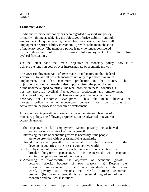#### **Economic Growth**

Traditionally, monetary policy has been regarded as a short-run policy primarily aiming at achieving the objectives of price stability and full employment. But quite recently, the emphasis has been shifted from full employment or price stability to economic growth as the main objective of monetary policy. The monetary policy is now no longer considered as a short-run policy of securing full-employment level free from cyclical fluctuations.

On the other hand the main objective of monetary policy now is to achieve the long-run goal of ever-increasing rate of economic growth.

The USA Employment Act of 1946 made it obligatory on the federal government to take all possible measures not only to promote maximum employment, but also maximum production in the country. The objective of economic growth is also important from the point of view of the underdeveloped countries. The real problem in these countries is not the short-run cyclical fluctuations in production and employment, but is one of long run structural changes aiming at creating conditions necessary for economic development. Thus, the main objective of monetary policy in an underdeveloped country should be to play an active part in the process of economic development.

In fact, economic growth has been aptly made the primary objective of monetary policy. The following arguments can be advanced in favour of economic growth:

- i. The objective of full employment cannot possibly be achieved without raising the rate of economic growth,
- ii. Increasing the rate of economic growth is necessary if the people are to be provided with ever-rising living standards,
- iii. Rapid economic growth is essential for the survival of the developing countries in the present competitive world.
- iv. The objective of economic growth takes into consideration the broader long-term perspective. It is concerned with economic and technological progress of the country.
- v. According to Woodworth, the objective of economic growth deserves priority because of two reasons: (a) Despite the enormous improvement in the living standards in the western world, poverty still remains the world's burning economic problem (b) Economic growth is an essential ingredient of the economic and political institutions.

Some economists have opposed the growth objective of monetary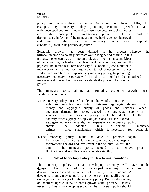policy in underdeveloped countries. According to Howard Ellis, for example, any monetary policy promoting economic growth in an underdeveloped country is doomed to frustration because such countries are highly susceptible to inflationary pressures. But, the most of the economist are in favour of the monetary policy having economic growth and are of the view that monetary policy should explicitly adopomic growth as its primary objectives.

Economic growth has been defined as the process whereby the reational income of a country increases over a long period of time. In this process, money can play an important role as a mobilising agent. Most of the countries, particularly the less developed countries, possess the physical and human resources necessary for economic growth, but their resources remain un-utilized largely due to lack of necessary finances. Under such conditions, an expansionary monetary policy, by providing necessary monetary resources, will be able to mobilise the unutilized resources and thus will activate and accelerate the process of economic growth.

The monetary policy aiming at promoting economic growth must satisfy two conditions:

- i. The monetary policy must be flexible. In other words, it must be
	- able to establish equilibrium between aggregate demand for money and aggregate supply of goods and services. When aggregate demand for money exceeds the aggregate supply of goods a restrictive monetary policy shorJd be adopted. On the contrary, when aggregate supply of goods and services exceeds aggregate monetary demands, an expansionary monetary policy should be adopted. Thus, a flexible monetary **positives** price stabilization which is necessary for economic growth.
- ii. The monetary policy should be able to promote capital formation. In other words, it should create favourable atmosphere for promoting saving and investment in the country. For this, the aim of the monetary policy should be to remove price fluctuations and establish reasonable price stability.

## **3.3 Role of Monetary Policy in Developing Countries**

The monetary policy in a developing economy will have to be different from that of a developed economy mainly due to different conditions and requirements of the two types of economies. A developed country may adopt full employment or price stabilisation or exchange stability as a goal of the monetary policy. But in a developing or underdeveloped country, economic growth is the primary and basic necessity. Thus, in a developing economy, the monetary policy should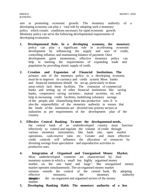aim at promoting economic growth. The monetary authority of a developing economy can play a vital role by adopting such a monetary policy which creates conditions necessary for rapid economic growth. Monetary policy can serve the following developmental requirements of developing economies.

- **1. Developmental Role. In a developing economy, the monetary**  policy can play a significant role in accelerating economic development by influencing the supply and uses of credit, controlling inflation, and maintaining balance of payment. Once development gains momentum, effective monetary policy can help in meeting the requirements of expanding trade and population by providing elastic supply of credit.
- **2. Creation and Expansion of Financial Institutions. The**  primary aim of the monetary policy in a developing economy must be to improve its currency and credit system. More banks and financial institutions should be set up, particularly in those areas which lack these facilities. The extension of commercial banks and setting up of other financial institutions like saving banks, cooperative saving societies-, mutual societies, etc. will help in increasing credit facilities, mobilising voluntary savings of the people, and channelising them into productive uses. It is also the responsibility of the monetary authority to ensure that the funds of the institutions are diverted into priority sectors or industries as per requirements of the development plan of the country.
- **3. Effective Central Banking. To meet the developmental needs,**  the central bank of an underdeveloped country must function effectively to control and regulate the volume of credit through various monetary instruments, like bank rate, open market operations, cash-reserve ratio etc. Greater and more effective credit controls will influence the allocation of resources by diverting savings from speculative and unproductive activities to productive uses.
- **4. Integration of Organised and Unorganised Money Market.**  Most underdeveloped countries are characterised by dual monetary system in which a small but highly organised money market on the one hand and large". But unorganised money market operates simultaneously. The un-organised money market remains outside the control of the central bank. By adopting effective measures, the monetary authority should integrate the un-organised and organised sectors of the money market.
- **5. Developing Banking Habit. The monetary authority of a less**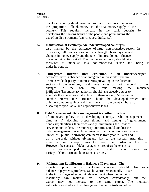developed country should take appropriate measures to increase the proportion of bank money in the total money supply of the country. This requires increase in the bank deposits by developing the banking habits of the people and popularising the use of credit instruments (e.g. cheques, drafts, etc).

#### **6. Monetisation of Economy. An underdeveloped country is**  also marked by the existence of large non-monetised sector. In this sector, all transactions are made through barter system and changes in money supply and the rate of interest do not influence the economic activity at all. The monetary authority should take measures to monetise this non-monetised sector and bring it under its control.

**7. Integrated Interest Rate Structure. In an underdeveloped**  economy, there is absence of an integrated interest rate structure. There is wide disparity of interest rates prevailing in the different sectors of the economy and these rates do not respond to the changes in the bank rate, thus making the monetary **polificantly** into the monetary authority should take effective steps to integrate the interest rate structure of the-economy. Moreover, a suitable interest rate structure should be developed which not only encourages savings and investment in the country but also discourages speculative and unproductive loans.

#### **8. Debt Management. Debt management is another function**

of monetary policy in a developing country. Debt management aims at (a) deciding proper timing and issuing of government bonds, (b) stabilising their prices and (c) minimising the cost of servicing public debt. The monetary authority should conduct the debt management in such a manner that conditions are created "in which public borrowing can increase from year to year and on a big scale without giving any jolt to the system. And this must be on cheap rates to keep the burden of the debt **How's** ver, the success of debt management requires the existence of a well-developed money and capital market along with a variety of short-term and long-term securities.

## **9. Maintaining Equilibrium in Balance of Payments: The**

monetary policy in a developing economy should also solve balance of payments problems. Such a problem generally arises in the initial stages of economic development when the import of machinery, raw material, etc., increase considerably, but the export may not increase to the same extent. The monetary authority should adopt direct foreign exchange controls and other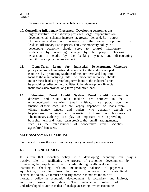measures to correct the adverse balance of payments.

#### **10. Controlling Inflationary Pressures. Developing economies are**

highly sensitive to inflationary pressures. Large expenditures on developmental schemes increase aggregate demand. But output of consumers does not increase in the same proportion. This leads to inflationary rise in prices. Thus, the monetary policy in a developing economy should serve to control inflationary tendencies by increasing savings by the people, checking expansion of credit by the banking system, and discouraging deficit financing by the government.

- **11. Long-Term Loans for Industrial Development. Monetary**  policy can promote industrial development in the underdeveloped countries by promoting facilities of medium-term and long-term loans to the manufacturing units. The monetary authority should induce these banks to grant long-term loans to the industrial units by providing rediscounting facilities. Other development financial institutions also provide long-term productive loans.
- **12. Reforming Rural Credit System. Rural credit system is**  defective and rural credit facilities are deficient in the underdeveloped countries. Small cultivators are poor, have no finance of their own, and are largely dependent on loans from village money lenders and traders who generally exploit the helplessness, ignorance and necessity of these poor borrowers. The monetary authority can play an important role in providing both short-term and long term credit to the small arrangements, such as the establishment of cooperative credit societies, agricultural banks etc.

#### **SELF ASSESSMENT EXERCISE**

Outline and discuss the role of monetary policy in developing countries.

## **4.0 CONCLUSION**

It is true that monetary policy in a developing economy can play a positive role in facilitating the process of economic development by influencing the supply and use of credit through well-developed credit institutions, checking inflation, maintaining balance of payments equilibrium, providing loan facilities to industrial and agricultural sectors, and so on. But it must be clearly borne in mind that the role of monetary policy in economic development is secondary and indirect, and not primary and direct. The fundamental problem of underdeveloped countries is that of inadequate saving which cannot be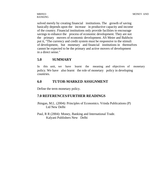solved merely by creating financial institutions. The growth of saving basically depends upon the increase in productive capacity and income of the country. Financial institutions only provide facilities to encourage savings to enhance the process of economic development. They are not the primary movers of economic development. AS Meier and Baldwin put it, "The currency and credit system must be responsive to the stimuli of development, but monetary and financial institutions in themselves cannot be expected to be the primary and active movers of development in a direct sense."

## **5.0 SUMMARY**

In this unit, we have learnt the meaning and objectives of monetary policy. We have also learnt the role of monetary policy in developing countries.

## **6.0 TUTOR-MARKED ASSIGNMENT**

Define the term monetary policy.

## **7.0 REFERENCES/FURTHER READINGS**

Jhingan, M.L. (2004): Principles of Economics. Vrinda Publications (P) Ltd New Delhi

Paul, R R (2004): Money, Banking and International Trade. Kalyani Publishers New Delhi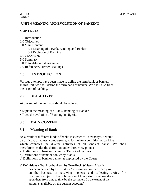## **UNIT 4 MEANING AND EVOLUTION OF BANKING**

#### **CONTENTS**

- 1.0 Introduction
- 2.0 Objectives
- 3.0 Main Content
	- 3.1 Meaning of a Bank, Banking and Banker
	- 3.2 Evolution of Banking
- 4.0 Conclusion
- 5.0 Summary
- 6.0 Tutor-Marked Assignment
- 7.0 References/Further Readings

# **1.0 INTRODUCTION**

Various attempts have been made to define the term bank or banker. In this unit, we shall define the term bank or banker. We shall also trace the origin of banking.

## **2.0 OBJECTIVES**

At the end of the unit, you should be able to:

- Explain the meaning of a Bank, Banking or Banker
- Trace the evolution of Banking in Nigeria.

# **3.0 MAIN CONTENT**

# **3.1 Meaning of Bank**

As a result of different kinds of banks in existence nowadays, it would be difficult, or at least cumbersome, to formulate a definition of banking which connotes the diverse activities of all kinds of banks. We shall therefore consider the definition under three view points:

- a) Definitions of bank or banker by Text-Book Writers
- b) Definitions of bank or banker by Status
- c) Definitions of bank or banker as expressed by the Courts

## **a) Definitions of bank or banker by Text-Book Writers: A bank**

has been defined by Dr. Hart as " a person or company carrying on the business of receiving moneys, and collecting drafts, for customers subject to the obligation of honouring cheques drawn upon them from time to time by the customers Lo the extent of the

amounts available on the current accounts".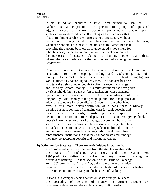In his 8th edition, published in 1972 Paget defined "a bank or banker as a corporation or person (or group of persons) who accounts, pay cheques drawn upon such account on demand and collect cheques for customers, that if such minimum services are afforded to al and sundry without restriction of any kind, the business is a banking business, whether or not other business is undertaken at the same time; that providing the banking business as so understood is not a mere for other business, the person or corporation is a banker or bank for the purposes of statutes relating to banking, other than those where the sole criterion is the satisfaction of some government department".

Chamber's Twentieth Century Dictionary defines a bank as an "institution for the keeping, lending and exchanging, etc of money. Economists have also defined a bank highlighting itarious functions. According to Crowther, "The banker's business is to take the debts of other people to offer his own in exchange, and thereby create money." A similar definition has been given by Kent who defines a bank as "an organisation whose principal operations are concerned with the accumulation of the temporarily idle money of the general public for the purpose of advancing to others for expenditure." Sayets, on the other hand, gives a still more detailed definition of a bank thus: "Ordinary banking business consists of changing cash for bank deposits and band deposits for cash; transferring bank deposits from one person or corporation (one 'depositor') to another; giving bank deposit in exchange for bills of exchange, government bonds, the secured or unsecured promises of businessmen to repay, etc. Thus a bank is an institution, which accepts deposits from the public and in turn advances loans by creating credit. It is different from other financial institutions in that they cannot create credit though they may be accepting deposits and making advances.

#### **b) Definitions by Statutes: There are no definitions by statute that**

are of more value. All we can see from the statutes are that both the Bills of Exchange Act 1882 and the Stamp Act, 189thpted to define a banker as any person carrying on the business of banking. In fact, section 2 of the Bills of Exchange Act, 1882 provides that "in this Act, unless the context otherwise requires ......... a 'banker' includes a body of persons, whether incorporated or not, who carry on the business of banking".

A Bank is "a company which carries on as its principal business the accepting of deposits of money on current account or otherwise, subject to withdrawal by cheque, draft or order".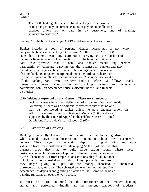The 1958 Banking Ordinance defined banking as "the business of receiving money on current account, of paying and collecting cheques drawn by or paid in by customers, and of making advances to customer".

Section 2 of the bills of exchange Act 1958 defines a banker as follows:

Banker includes a body of persons whether incorporated or not who carry on the business of banking. But section 2 of the Coins Act 1958 state that bankers means any corporation carrying on the business of banker or financial agents. Again section 2.1 of the Nigerian Evidence Act 1958 provides that a bank and banker means any persons, partnership or company carrying on the business of bankers and also include any savings established under the savings bank ordinance and also any banking company incorporated under any ordinance hereto or hereinafter passed relating to such incorporation. Also under section 4.1 of the banking Act 1969 the term bank is defined as follows: Bank means any person who carries on banking business and include a commercial bank, an acceptance house, a discount house and financial institution

#### **c) Definitions as expressed by the Courts: There are a number of**

decided cases where the definition of a banker has been made. For example, there was a traditionally expressed view that no one may be considered a banker unless he pays cheques drawn on self. This was re-affirmed by Justice J. Mocatta (1965) and was supported by the Court of Appeal in the celebrated case of United Dominions Trust Ltd. Versus Kirwood (1966).

## **3.2 Evolution of Banking**

Banking is generally known to have started by the Italian goldsmiths who settled down into business in London in about the seventeenth century. They began by accepting deposits of gold coins and other valuables from their customers for safekeeping As the volume of this business grew they had to build large strong rooms where these customers' valuable items were kept until demands were made on them by the depositors. But from empirical observations, they found out that not all that were deposited were needed at any particular time. And so they began giving out part of the money deposited to interested borrowers by way of loans. They charged some amount of interest. The acceptance of deposits and granting of loans are still some of the basic banking functions all over the world today.

It must be borne in mind that the forerunner of the modern banking started and performed virtually all the present functions of modern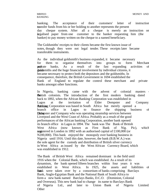# BANKING

banking. The acceptance of their customers' letter of instruction transfer funds from his or her holding to another represents the present day cheque system. After all a cheque is merely an instruction or a legalised paper from one customer to the banker requesting him (the banker) to pay money written on the cheque to a named beneficiary.

The Goldsmiths' receipts to their clients became the first known issue of notes, though they were not legal tender. These receipts later became transferable instruments.

As the individual goldsmith's business expanded, it became necessary for them to organise themselves into groups to form Merchant **anivate** banks. As a result of the fast expanding activities of these goldsmiths and the huge financial involvement by individual citizens, it became necessary to protect both the depositors and the goldsmiths. In consequence, therefore, the British Government in 1694 established the Bank of England to regulate the control these merchant and private banks amongst other functions.

In Nigeria, banking came with the advent of colonial masters -**Breading Series** Colonists. The introduction of the first modern banking dated back to 1892, when the African Banking Corporation was established in Lagos at the invitation of Elder Dempster and Company. **Atrican Banking Corporation was based in South Africa but merely opened a** branch office in Lagos to finance the shipping business of **Elgen** Determination Dempster and Company who was operating steamship services between Liverpool and the West Coast of Africa. Probably as a result of the good performances of the African banking Corporation, another bank opened its branch office in Lagos in 1894. The bank was The Bank of British West Africa (now known as First Bank of Nig. Pic), which was registered in London in 1892 with an authorised capital of £100,000 (or N200,000). This bank enjoyed the monopoly over banking business in Nigeria until 1916. Until this date, however, the bank (B.B.W.A.) was the sole agent for the custody and distribution of British silver currency in West Africa as issued by the West African Currency Board, which was established in 1912.

The Bank of British West Africa remained dominant in the field until 1916 when the Colonial Bank, which was established. As a result of its dynamism, the bank opened fifteen branches within four years it was established in West Africa. In 1925, the assets and liabilities of this bank were taken over by a consortium of banks comprising Barclays Bank, Anglo-Egyptian Bank and the National Bank of South Africa to form a new bank named Barclays Banks, D.C.O. (Dominion, Colonial and Overseas). This new bank had to change its name to Barclays Bank of Nigeria Ltd., and later to Union Bank of Nigeria Limited. **Other**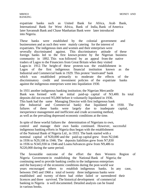expatriate banks such as United Bank for Africa, Arab Bank, International Bank for West Africa, Bank of India, Bank of America later Savannah Bank and Chase Manhattan Bank were later introduced into Nigeria.

These banks were established by the colonial government and businessmen and as such they were mainly catering for the interest of expatriates. The indigenous men and women and their enterprises were severally discriminated against. This discriminatory attitude of these foreign banks led to the first known protest by the Nigerian business community in 1892. This was followed by an appeal from the native traders of Lagos to the Financiers from Great Britain when they visited Lagos in 1912. The height of these protests was the establishment in Lagos of the first indigenous financial institution known as the Industrial and Commercial bank in 1929. This protest "motivated" bank which was established primarily to moderate the effects of the discriminatory credit and investment policies of the expatriate banks against the indigenous enterprises went into liquidation 1930.

In 1931 another indigenous banking institution; the Nigerian Mercantile Bank was formed with an initial paid-up capital of N3,400. Its total deposits did not exceed N5,000 before it voluntarily liquidated in 1936. This bank had the same Managing Director with first indigenous bank (the Industrial and Commercial bank) that liquidated in 1930. The failures of these banks were largely due to inadequate capital, inexperience management and inefficient and crude accounting method, as well as the prevailing depressed economic conditions at the time.

In spite of these woeful failures the determination of Nigerians to own, control and manage their own banks continued. However, successful indigenous banking efforts in Nigeria thus began with the establishment of the National Bank of Nigeria Ltd., in 1933. The bank started with a nominal capital of N20,000 and the paid-up capital grew from N2,046 in 1936 to N29,108 in 1946. The deposits liabilities grew from N7,830 in 1936 to N345,930 in 1946 and Loans/Advances grew from N9,486 to N220,000 during the same period.

The favourable outcome of the effort the then Western Region of Nigeria Government in establishing the National Bank of Nigeria; the continuing need to provide banking credits to the indigenous enterprises and the buoyancy of the economic conditions during the post-world war years encouraged others to establish indigenous banks. In any case, between 1945 and 1960 a total of twenty three indigenous banks were established and twenty of them had either failed or surrendered their licences and three survived. The historical development of commercial banking in Nigeria is well documented. Detailed analysis can be found in various books.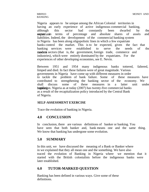# BANKING

Nigeria appears to be unique among the African Colonial territories in having an early experience of active indigenous commercial banking, although this sector had constantly been dwarfed by the **exctatriation** terms of percentage and absolute shares of assets and liabilities. Indeed, the development of the commercial banking system in Nigeria has been along oligopolistic lines in which a few expatriate banks control the market. This is to be expected, given the fact that banking services were established to serve the needs of the masdem sectors (that is, the government, foreign trade, commerce and industries), which were entirely dominated by the expatriates. For the experiences of other developing economies, see E. Nevin.

Between 1951 and 1954 many indigenous banks tottered, faltered, limped and died. In fact these failures were of great magnitude. Various governments in Nigeria have come up with different measures in order to tackle the problem of bank failure. Some of these measures have contributed to strengthening the banking sector of the economy. We shall discuss some of these measures in a latter unit under bankling regulation. Nigeria as at today (2007) has twenty-five commercial banks as a result of the recapitalization policy introduced by the Central Bank of Nigeria.

#### **SELF-ASSESSMENT EXERCISE**

Trace the evolution of banking in Nigeria.

## **4.0 CONCLUSION**

In conclusion, there are various definitions of banker or banking. You have seen that both banker and, bank means one and the same thing. We know that banking has undergone some evolution.

## **5.0 SUMMARY**

In this unit, we have discussed the meaning of a Bank or Banker where in we explained that they all mean one and the something. We have also traced the evolution of Banking in Nigeria where we mention that it started with the British colonialists before the indigenous banks were later established.

# **6.0 TUTOR-MARKED QUESTION**

Banking has been defined in various ways. Give some of these definitions.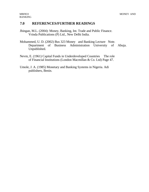## **7.0 REFERENCES/FURTHER READINGS**

- Jhingan, M.L. (2004): Money, Banking, Int. Trade and Public Finance. Vrinda Publications (P) Ltd., New Delhi India.
- Mohammed, U. D. (2002) Bus 323 Money and Banking Lecture Note. Department of Business Administration University of Abuja. Unpublished.
- Nevm, E. (1961) Capital Funds in Underdeveloped Countries The role of Financial Institutions (London Macmillan & Co. Ltd) Page 47.
- Umole, J. A. (1985) Monetary and Banking Systems in Nigeria. Adi publishers, Benin.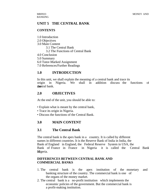# **UNIT 5 THE CENTRAL BANK**

## **CONTENTS**

- 1.0 Introduction
- 2.0 Objectives
- 3.0 Main Content
	- 3.1 The Central Bank
		- 3.2 The Functions of Central Bank
- 4.0 Conclusion
- 5.0 Summary
- 6.0 Tutor-Marked Assignment
- 7.0 References/Further Readings

# **1.0 INTRODUCTION**

In this unit, we shall explain the meaning of a central bank and trace its origin in Nigeria. We shall in addition discuss the functions of the theoretal bank.

## **2.0 OBJECTIVES**

At the end of the unit, you should be able to:

- Explain what is meant by the central bank,
- Trace its origin in Nigeria.
- Discuss the functions of the Central Bank.

# **3.0 MAIN CONTENT**

# **3.1 The Central Bank**

The central bank is the apex bank in a country. It is called by different names in different countries. It is the Reserve Bank of India in India, the Bank of England in England, the Federal Reserve System in USA, the Bank of France in France in Nigeria it is called the Central Bank Migeria.

## **DIFFERENCES BETWEEN CENTRAL BANK AND COMMERCIAL BANKS**

- 1. The central bank is the apex institution of the monetary and banking structure of the country. The commercial bank is one of the organs of the money market.
- 2. The central bank is a no-profit institution which implements the economic policies of the government. But the commercial bank is a profit-making institution.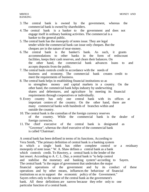- 3. The central bank is owned by the government, whereas the commercial bank is owned by shareholders.
- 4. The central bank is a banker to the government and does not engage itself in ordinary banking activities. The commercial is a banker to the general public.
- 5. The central bank has the monopoly of notes issue. They are legal tender while the commercial bank can issue only cheques. But the cheques are in the nature of near-money.
- 6. The central bank is the banker's bank. As such, it grants accommodations to other banks in the form of rediscount facilities, keeps their cash reserves, and clears their balances. On the other hand, the commercial bank advances loans to and accepts deposits from the public.
- 7. The central bank controls credit in accordance with the needs of business and economy. The commercial bank creates credit to meet the requirements of business.
- 8. The central bank helps in establishing financial institutions so as to strengthen money and capital markets in a country. On the other hand, the commercial bank helps industry by underwriting shares and debentures, and agriculture by meeting its financial requirements through cooperatives or individually.
- 9. Every country has only one central bank with its offices at important centres of the country. On the other hand, there are many commercial banks with hundreds of branches within and outside the country.
- 10. The central bank is the custodian of the foreign currency reserves of the country. While the commercial bank is the dealer of foreign currencies.
- 11. The chief executive of the central bank is designated as "Governor", whereas the chief executive of the commercial bank is called 'Chairman'.

A central bank has been defined in terms of its functions. According to Vera Smith, "The primary definition of central bank is a banking system in which a single bank has either complete control or a residuary monopoly of note issue." W. A. Shaw defines a central bank as a bank which controls credit. To Hawtrey, a central bank is the lender of the last resort. According to A. C. L. Day, a central bank is "to help control and stabilise the monetary and banking system"-according to Sayers. The central bank "is the organ of government that undertakes the major financial operations of the government and by its conduct of these operations and by other means, influences the behaviour of financial institutions so as to support the economic policy of the Government." Sayers refers only to the nature of the central bank as the government's bank. All these definitions are narrow because they refer only to one particular function of a central bank.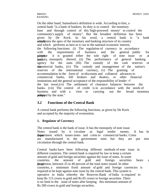# BANKING

On the other hand, Samuelson's definition is wide. According to him, a central bank "is a bank of bankers. Its duty is to control the monetary base and through control of this 'high-powered money' to control the community's supply of money". But the broadest definition has been given by De Kock. In his word, a central bank is "a bank whistitutes the apex of the monetary and banking structure of its country and which performs as best as it can in the national economic interest, the following functions: (i) The regulation of currency in accordance with the requirements of business and the general public for puripolise it is granted either the sole right of note issue or at **heastalle** monopoly thereof, (ii) The performance of general banking agency for the state. (Hi) The custody of the cash reserves of **the** enterprised banks, (iv) The custody and management of the nation's reserves of the international currency, (v) The granting of accommodation in the form of re-discounts and collateral advances to commercial banks, bill brokers and dealers, or other financial institutions and the general acceptance of the responsibility of lender  $\geq f$ the last resort.(vi) The settlement of clearance balances between the banks. (vii) The control of credit is in accordance with the needs of business and with a view to carrying out the broad monetary **poliphed** by the state."

## **3.2 Functions of the Central Bank**

A central bank performs the following functions, as given by De Kock and accepted by the majority of economists.

## **1. Regulator of Currency**

The central bank is the bank of issue. It has the monopoly of note issue. Notes issued by it circulate as legal tender money. It has its issue department which issues notes and coins to commercial banks. Coins are manufactured in the government mint but they are put into circulation through the central bank.

Central banks have been following different methods of note issue in different countries. The central bank is required by law to keep a certain amount of gold and foreign securities against the issue of notes. In some countries, the amount of gold and foreign securities bears a fixed proportion, between 25 to 40 percent of the total notes issued. In other countries, a minimum fixed amount of gold and foreign currencies is required to be kept against note issue by the central bank. This system is operative in India whereby the Reserves Bank of India is required to keep Rs 115 crores in gold and Rs 85 crores in foreign securities. There is no limit to the issue of notes after keeping this minimum amount of Rs 200 crores in gold and foreign securities.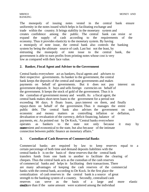The monopoly of issuing notes vested in the central bank ensure uniformity in the notes issued which helps in facilitating exchange and trade within the country. It brings stability in the monetary system and creates confidence among the public. The central bank can resist or expand the supply of cash according to the requirements of the economy. Thus it provides elasticity to the monetary system. By having a monopoly of note issue, the central bank also controls the banking system by being the ultimate source of cash. Last but not the least, by entrusting the monopoly of note issue to the central bank, the government is able to earn profits from printing notes whose cost is very low as compared with their face value.

#### **2. Banker, Fiscal Agent and Adviser to the Government**

Central banks everywhere act as bankers, fiscal agents and advisers to their respective governments. As banker to the government, the central bank keeps the deposits of the central and state governments and makes payments on behalf of governments. But it does not pay interest on government deposits. It buys and sells foreign currencies on behalf of the government. It keeps the stock of gold of the government. Thus it is the custodian of government money and wealth. As a fiscal agent, the central bank makes short-term loans to the government for a period not exceeding 90 days. It floats loans, pays interest on them, and finally repays them on behalf of the government. Thus it manages the entire public debt. The central bank also advises the government on such economic and money matters as controlling inflation or deflation, devaluation or revaluation of the currency, deficit financing, balance of payments, etc. As pointed out by De Kock, "Central banks everywhere operates as bankers to the state not only because it may by **convenient** and economical to the state, but also because of the intimate connection between public finance an monetary affairs."

#### **3. Custodian of Cash Reserves of Commercial Banks**

Commercial banks are required by law to keep reserves equal to a certain percentage of both time and demand deposits liabilities with the central banks It is on the basis of these reserves that the central bank transfers funds from one bank to another to facilitate the clearing of cheques. Thus the central bank acts as the custodian of the cash reserves of commercial banks and helps in facilitating their transactions. There are many advantages of keeping the cash reserves of the commercial banks with the central bank, according to De Kock. In the first place the centralization of cash reserves in the central bank is a source of great strength to the banking system of a country. Secondly, centralised cash reserves can serve as the basis of a large and more elastic structure than if the same amount were scattered among the individual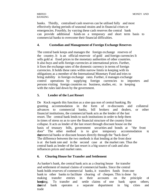banks. Thirdly, centralised cash reserves can be utilised fully and most effectively during periods of seasonal strains and in financial crises or emergencies. Fourthly, by varying these cash reserves the central bank can provide additional funds on a temporary and short term basis to commercial banks to overcome their financial difficulties.

#### **4. Custodian and Management of Foreign Exchange Reserves**

The central bank keeps and manages the foreign exchange reserves of the country. It is an official reservoir of gold and foreign currencies It sells gold at fixed prices to the monetary authorities of other countries. It also buys and sells foreign currencies at international prices. Further, it fixes the exchange rates of the domestic currency in terms of foreign currencies. It holds these rates within narrow limits in keeping with its obligations as a member of the International Monetary Fund and tries to bring stability in foreign exchange rates. Further, it manages exchange control operations by supplying foreign currencies to importers and persons visiting foreign countries on business, studies, etc. in keeping with the rules laid down by the government.

#### **5. Lender of the Last Resort**

De Kock regards this function as a sine qua non of central banking. By granting accommodation in the form of re-discounts and collateral advances to commercial banks, bill brokers and dealers, or other financial institutions, the commercial bank acts as the lender of the last resort. The central bank lends to such institutions in order to help them in times of stress so as to save the financial structure of the country from collapse. It acts as lender of the last resort through discount house on the basis of treasury bills, government securities and bonds at "the front door" The other method is to give temporary accommodation to the the commercial banks or discount houses directly through the "back door". The difference between the two methods is that lending at the front door is at the bank rate and in the second case at the market rate. Thus the central bank as lender of the last resort is a big source of cash and also influences prices and market rates.

#### **6. Clearing House for Transfer and Settlement**

As banker's bank, the central bank acts as a clearing house for transfer and settlement of mutual claims of commercial banks. Since the central bank holds reserves of commercial banks, it transfers funds from one bank to other banks to facilitate clearing of cheques. This is done by making transfer entries in their accounts on the principle of booking. To transfer and settle claims of one bank upon others the transferral bank operates a separate department in big cities and trade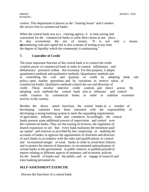centres. This department is known as the "clearing house" and it renders the service free to commercial banks.

When the central bank acts as a clearing agency, it is time-saving and convenient for the commercial banks to settle their claims at one place. It also economizes the use of money. "It is not only a means of economizing cash and capital but is also a means of testing at any time the degree of liquidity which the community is maintaining."

#### **7. Controller of Credit**

The most important function of the central bank is to control the credit creation power of commercial bank in order to control inflationary and deflationary pressures within this economy. For this purpose, it adopts quantitative methods and qualitative methods. Quantitative methods aim at controlling the cost and quantity of credit by adopting bank rate policy, open market operations, and by variations in reserve ratios of commercial banks. Qualitative methods control the use and direction of credit. These involve selective credit controls and direct action. By adopting such methods the central bank tries to influence and control credit creation by commercial banks in order to stabilize economic activity in the country.

Besides the above noted functions, the central banks in a number of developing countries have been entrusted with the responsibility of developing a strong banking system to meet the expanding requirements of agriculture, industry, trade and commerce. Accordingly, the central banks possess some additional powers of supervision and control over the commercial banks. They are the issuing of licences, the regulation of branch expansion; to see that every bank maintains the minimum paid up capital and reserves as provided by law; inspecting or auditing the accounts of banks; to approve the appointment of chairmen and directors of such banks in accordance with the rules and qualifications; to control and recommend merger of weak banks in order to avoid their failures and to protect the interest of depositors; to recommend nationalisation of certain banks to the government in public interest; to publish periodical reports relating to different aspects of monetary and economic policies for the benefit of banks and the public; and to engage in research and train banking personnel etc.

#### **SELF-ASSESSMENT EXERCISE**

Discuss the functions of a central bank.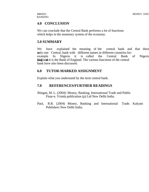## **4.0 CONCLUSION**

We can conclude that the Central Bank performs a lot of functions which helps in the monetary system of the economy.

## **5.0 SUMMARY**

We have explained the meaning of the central bank and that there inly one Central, bank with different names in different countries forexample In Nigeria it is called the Central Bank of Nigeria and in England it is the Bank of England. The various functions of the central bank have also been discussed.

## **6.0 TUTOR-MARKED ASSIGNMENT**

Explain what you understand by the term central bank.

## **7.0 REFERENCES/FURTHER READINGS**

- Jhingan, M. L. (2004): Money, Banking, International Trade and Public Finar-e. Vrinda publication (p) Ltd New Delhi India.
- Paul, R.R. (2004) Money, Banking and International Trade. Kalyani Publishers New Delhi India.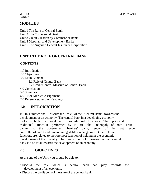BANKING

# **MODULE 3**

Unit 1 The Role of Central Bank Unit 2 The Commercial Bank Unit 3 Credit Creation by Commercial Bank Unit 4 Merchant and Development Banks Unit 5 The Nigerian Deposit Insurance Corporation

# **UNIT 1 THE ROLE OF CENTRAL BANK**

## **CONTENTS**

- 1.0 Introduction
- 2.0 Objectives
- 3.0 Main Content
	- 3.1 Role of Central Bank
	- 3.2 Credit Control Measure of Central Bank
- 4.0 Conclusion
- 5.0 Summary
- 6.0 Tutor-Marked Assignment
- 7.0 References/Further Readings

# **1.0 INTRODUCTION**

In this unit we shall discuss the role of the Central Bank towards the development of an economy. The central bank in a developing economy performs both traditional and non-traditional functions. The principal traditional function performed by it are the monopoly of note issue, banker to the government, bankers' bank, lender of the last resort controller of credit and maintaining stable exchange rate. But all these functions are related to the foremost function of helping in the economic development of the country. The credit control measure of the central bank is also vital towards the development of an economy.

# **2.0 OBJECTIVES**

At the end of the Unit, you should be able to:

- Discuss the role which a central bank can play towards the development of an economy.
- Discuss the credit control measure of the central bank.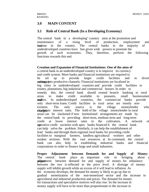## **3.0 MAIN CONTENT**

## **3.1 Role of Central Bank (In a Developing Economy)**

The central bank in a developing" country aims at the promotion and maintenance of a rising level of production, employment and readme in the country. The central banks in the majority of underdeveloped countries have bee given wide powers to promote the growth of such economies. They, therefore, perform the following functions towards this end.

#### **Creation and Expansion of Financial Institutions: One of the aims of**

a central bank in an underdeveloped country is to improve its currency and credit system. More banks and financial institutions are required to be set up to provide larger credit facilities and to divert solumearinto productive channels. Financial institutions are localized in big cities in underdeveloped countries and provide credit facilities to estates, plantations, big industrial and commercial houses. In order to remedy this, the central bank should extend branch banking to rural areas to make credit available to peasants, small businessmen and traders. In underdeveloped countries, the commercial banks provide only short-term loans. Credit facilities in rural areas are mostly nonexistent. The only source is the village moneylender who **exarbitant** interest rates. The hold of the village moneylender in rural areas can be slackened if new institutional arrangements are made by the central bank in providing short-term, medium term and long-term credit at lower interest rates to the cultivators. A network of **operative credit** societies with apex banks financed b the central bank can help solve the problem. Similarly, it can help the establishment of lead banks and through them regional rural banks for providing credit facilities to marginal farmers, landless agricultural workers and other weaker sections. With the vast resources at its command, the central bank can also help in establishing industrial banks and financial corporations in order to finance large and small industries.

**Proper Adjustment between Demands for and Supply of Money:**  The central bank plays an important role in bringing about a proposiument between demand for and supply of money. An imbalance between the two is reflected in the price level. A shortage of money supply will inhibit growth while an excess of it will lead to inflation. As the economy develops, the demand for money is likely to go up due to gradual monetization of the non-monetized sector and the increase in agricultural and industrial production and prices. The demand for money for transactions and speculative motives will also rise. So the increase in money supply will have to be more than proportionate to the increase in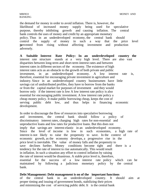the demand for money in order to avoid inflation. There is, however, the likelihood of increased money supply being used for speculative purpose, thereby inhibiting growth and causing inflation. The central bank controls the uses of money and credit by an appropriate monetary policy. Thus in an underdeveloped economy, the central bank should control the supply of money in such a way that the price level is prevented from rising without affecting investment and production adversely.

**A Suitable Interest Rate Policy: In an underdeveloped country the**  interest rate structure stands at a very high level. There are also vast disparities between long-term and short-term interest rates and between interest rates in different sectors of the economy. The existence of high interest rates acts as an obstacle to the growth of both private and public investment, in an underdeveloped economy. A low interest rate is, therefore, essential for encouraging private investment in agriculture and industry. Since in an underdeveloped country businessmen have little savings cut of undistributed profiles, they have to borrow from the banks or from the capital market for purposes of investment and they would borrow only if the interest rate is low A low interest rate policy is also essential for encouraging public investment. A low interest rate policy a cheap money policy. It make public borrowing cheap, keeps the cost of serving public debt low, and thus helps in financing economic development.

In order to discourage the flow of resources into speculative borrowing and investment, the central bank should follow a policy of discriminatory interest rates, charging high rates for non-essential and unproductive loans and low rates for productive loans. But this does not imply that savings are interest-elastic in an underdeveloped economy. Since the level of income is low in such economies, a high rate of interest is not likely to raise the propensity to save. In the context of economic growth, as the economy develops, a progressive rise in the price level is inevitable. The value of money falls and the propensity to save declines further. Money conditions become tight and there is a tendency for the rate of interest to rise automatically. This would result in inflation. In such a situation any effort to control inflation by raising the rate of interest would be disastrous. A stable price level is, therefore, essential for the success of a low interest rate policy which can be maintained by following a judicious monetary policy by the central bank.

#### **Debt Management: Debt management is on of the important functions**

of the central bank in an underdeveloped country. It should aim at proper timing and issuing of government bonds, stabilizing their prices and minimizing the cost of servicing public debt. It is the central bank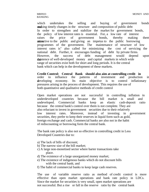# BANKING

which undertakes the selling and buying of government bonds **ana** king timely changes in the structure and composition of public debt In order to strengthen and stabilize the market for government bonds, the policy of low interest rates is essential. For, a low rate of interest raises the price of government bonds, thereby making them **attractive to the public and giving an impetus to the public borrowing** programmes of the government. The maintenance of structure of low interest rates is" also called for minimizing the cost of servicing the national debt. Further, it encourages funding of debt by private firms. However, the success of debt management would depend upon the existence of well-developed money and capital markets in which wide range of securities exist both for short and long periods. It is the central bank which can help in the development of these markets.

**Credit Control: Central Bank should also aim at controlling credit in**  order to influence the patterns of investment and production in developing economy. Its main objective is to control inflationary pressures arising in the process of development. This requires the use of both quantitative and qualitative methods of credit control

Open market operations are not successful in controlling inflation in underdeveloped countries because the bill market is small and undeveloped. Commercial banks keep an elastic cash-deposit ratio because the central bank's control over them is not complete. They are also reluctant to invest in government securities due to their relatively low interest rates. Moreover, instead of investing in government securities, they prefer to keep their reserves in liquid form such as gold, foreign exchange and cash. Commercial banks are also not in the habit of rediscounting or borrowing form the central bank.

The bank rate policy is also not so effective in controlling credit in Less Developed Countries due to:

- a) The lack of bills of discount;
- b) The narrow size of the bill market;
- c) A large non-monetised sector where barter transactions take place.
- d) The existence of a large unorganized money market;
- e) The existence of indigenous banks which do not discount bills with the central bank; and
- f) The habit of commercial banks to keep large cash reserves.

The use of variable reserve ratio as method of credit control is more effective than open market operations and bank rate policy in LDCs. Since the market for securities is very small, open market operations are not successful. But a rise or fall in the reserve ratio by the central bank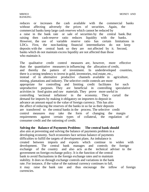reduces or increases the cash available with the commercial banks without affecting adversely the prices of securities. Again, the commercial banks keep large cash reserves which cannot be reduced by a raise in the bank rate or sale of securities by the central bank. But raising then cash-reserve ratio reduces liquidity with the banks. However, the use of variable reserve ratio has certain limitations in LDCs. First, the non-banking financial intermediaries do not keep deposits with the central bank so they are not affected by it. Second, banks which do not maintain excess liquidity are not affected than those who maintain it.

The qualitative credit control measures are, however, more effective than the quantitative measurers in influencing the allocation of credit, and thereby the pattern of investment. In underdeveloped countries, there is a strong tendency to invest in gold, inventories, real estate, etc., instead of in alternative productive channels available in agriculture, mining, plantations and industry. The selective credit controls are more appropriate for controlling and limiting credit facilitates for such unproductive purposes. They are beneficial in controlling speculative activities in food grains and raw materials. They prove more useful in controlling 'sectional inflations' in the economy. They curtail the demand for imports by making it obligatory on importers to deposit in advance an amount equal to the value of foreign currency. This has also the affect of reducing the reserves of the banks in so far as their deposits are transferred to the central banks in the process. The selective credit control measures may take the form of changing the margin requirements against certain types of collateral, the regulation of consumer credit and the rationing of credit.

#### **Solving the Balance of Payments Problem: The central bank should**

also aim at preventing and solving the balance of payments problem in a developing economy. Such economies face serious balance of payments difficulties to fulfill the targets of development plans. An imbalance is created between imports and exports which continue to widen with development. The central bank manages and controls the foreign exchange of the country and also acts as the technical adviser to the government on foreign exchange policy. It is the function of the central bank to avoid fluctuations in the foreign exchange rates and to maintain stability. It does so through exchange controls and variations in the bank rate. For instance, if the value of the national currency continues to fall, it may raise the bank rate and thus encourage the inflow of foreign currencies.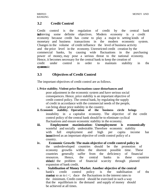## **3.2 Credit Control**

Credit control is the regulation of credit by the central bank for achieving some definite objectives. Modern economy is a credit economy because credit has come to play a major in setting kinds of monetary and business transactions in the modern economic system. Changes in the volume of credit influence the level of business activity and the price level in the economy. Unrestricted credit creation by the commercial banks, by causing wide fluctuations in the purchasing power of money, may pose a serious threat to the national economy. Hence, it becomes necessary for the central bank to keep the creation of credit under control in order to maintain stability in the evstrom.ic

## **3.3 Objectives of Credit Control**

The important objectives of credit control are as follows.

**i. Price stability. Violent price fluctuations cause disturbances and** 

poor adjustment in the economic system and have serious social consequences. Hence, price stability is an important objective of credit control policy. The central bank, by regulating the supply of credit in accordance with the commercial needs of the people, can bring about price stability in the country.<br> **nomic** stability. Operation of the business

- **ii. Economic stability. Operation of the business circle brings**  instability in a capitalist economy. The objective of the credit control policy of the central bank should be to eliminate cyclical fluctuations and ensure economic stability in the economy.
- **iii. Employment maximization: Unemployment is economically**  wasteful and socially undesirable. Therefore economic stability with full employment and high per capita income has been policy of a been control policy of a been control policy of a country.
- **iv. Economic Growth: The main objective of credit control policy in**  the underdeveloped countries should be the promotion of economy growths within the shortest possible time. These countries generally suffer from the deficiency of financial resources. Hence, the central banks in these countries should the problem of financial scarcity through planned expansion of bank credit.
- **v. Stabilisation of Money Market. Another objective of the central**  bank's credit control policy is the stabilisation of the **market** so as to  $i < i$  duce the fluctuations in the interest rates to the minimum. Credit control should be exercised in such a way that the equilibrium in the demand and supply of money should be achieved at all times.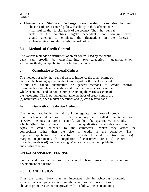**vi. Change rate Stability. Exchange rate stability can also be an**  objective of credit control policy. Instability in the exchange rates is harmful for the foreign trade of the country. Thus, the central bank, in the countries largely dependent upon foreign trade, should attempt to eliminate the fluctuations in the foreign exchange rates through its credit control policy.

## **3.4 Methods of Credit Control**

The various methods or instrument of credit control used by the central bank can broadly be classified into two categories: quantitative or general methods, and qualitative or selective methods.

## **a) Quantitative or General Methods**

The methods used by the central bank to influence the total volume of credit in the banking system, without any regard for the use to which it is put, are called quantitative or general methods of credit control. These methods regulate the lending ability of the financial sector of the whole economy and do not discriminate among the various sectors of the economy. The important quantitative methods of credit control are (a) bank rates (b) open market operations and (c) cash-reserve ratio.

#### **b) Qualitative or Selective Methods**

The methods used by the central bank to regulate the flows of credit into particular directions of the economy are called qualitative or selective methods of credit control. Unlike the quantitative methods, which affect the volume of credit, the qualitative methods affect the types of credit extended by the commercial banks; they affect the composition rather than the size of credit in the economy. The important qualitative or selective methods of credit control are; (a) marginal requirements, (b) regulation of consumer credit (c) control through directives (d) credit rationing (e) moral suasion and publicity and (f) direct action.

#### **SELF-ASSESSMENT EXERCISE**

Outline and discuss the role of central bank towards the economic development of a nation.

## **4.0 CONCLUSION**

Thus the central bank plays an important role in achieving economic growth of a developing country through the various measures discussed above. It promotes; economic growth with stability, helps in attaining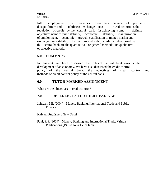full employment of resources, overcomes balance of payments disequilibrium and stabilizes; exchange rates. Credit control is the regulation of credit by the central bank for achieving some definite objectives namely, price stability, economic stability, maximization of employment, economic growth, stabilisation of money market and exchange rate stability. The various methods of credit control used by the central bank are the quantitative or general methods and qualitative or selective methods.

## **5.0 SUMMARY**

In this unit we have discussed the roles of central bank towards the development of an economy. We have also discussed the credit control policy of the central bank, the objectives of credit control and the thods of credit control policy of the central bank.

## **6.0 TUTOR-MARKED ASSIGNMENT**

What are the objectives of credit control?

# **7.0 REFERENCES/FURTHER READINGS**

Jhingan, ML (2004) Money, Banking, International Trade and Public Finance.

Kalyani Publishers New Delhi

Paul, R R (2004) Money, Banking and International Trade. Vrinda Publications (P) Ltd New Delhi India.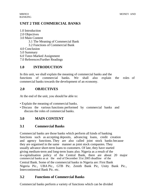# **UNIT 2 THE COMMERCIAL BANKS**

- 1.0 Introduction
- 2.0 Objectives
- 3.0 Main Content
	- 3.1 The Meaning of Commercial Bank
	- 3.2 Functions of Commercial Bank
- 4.0 Conclusion
- 5.0 Summary
- 6.0 Tutor-Marked Assignment
- 7.0 References/Further Readings

# **1.0 INTRODUCTION**

In this unit, we shall explain the meaning of commercial banks and the functions of commercial banks. We shall also explain the roles of commercial banks towards the development of an economy.

# **2.0 OBJECTIVES**

At the end of the unit, you should be able to:

- Explain the meaning of commercial banks.
- Discuss the various functions performed by commercial banks and discuss the roles of commercial banks.

# **3.0 MAIN CONTENT**

# **3.1 Commercial Banks**

Commercial banks are those banks which perform all kinds of banking functions such as accepting deposits, advancing loans, credit creation and agency functions. They are also called joint stock banks because they are organised in the same manner as joint stock companies. They usually advance short-term loans to customers. Of late, they have started giving medium-term and long-term loans also. Nigeria as a result of the re-capitalisation policy of the Central Bank, there are about 20 major commercial banks as at the end of December 31st 2005 deadline of the Central Bank. Some of the commercial banks in Nigeria are: First Bank Nigeria Pic., UBA Pic., GTB Pic. Zenith Bank Pic, Unity Bank Pic., Intercontinental Bank Pic. etc.

# **3.2 Functions of Commercial Banks**

Commercial banks perform a variety of functions which can be divided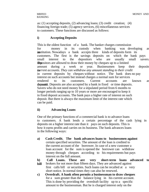as: (1) accepting deposits, (2) advancing loans; (3) credit creation; (4) financing foreign trade; (5) agency services, (6) miscellaneous services to customers. These functions are discussed as follows:

#### **i) Accepting Deposits**

This is the oldest function of a bank. The banker charges commission for money in its custody when banking was developing as **an** institution. Nowadays a bank accepts three kinds of deposits form its customers. The first is the savings deposits on which the bank pays small interest to the depositors who are usually small savers. **The deprosition are allowed to draw their money by cheques up to a limited** amount during a week or year. Businessmen keep their deposits **in** *current accounts. They can withdraw any amount standing to their credit* in current deposits by cheques without notice. The bank does no pay interest on such accounts but instead charges a normal sum for services rendered to its customers. Current accounts are known as deposits. Deposits are also accepted by a bank in fixed or time deposits. Savers who do not need money for a stipulated period from 6 months to longer periods ranging up to 10 years or more are encouraged to keep it in fixed deposit accounts. The bank pays a higher rate of interest on such deposit. But there is always the maximum limit of the interest rate which can be paid.

#### **ii) Advancing Loans**

One of the primary functions of a commercial bank is to advance loans to customers. A bank lends a certain percentage of the cash lying in deposits on a higher interest rate than it pays on such deposits. This is how it earns profits and carries on its business. The bank advances loans in the following ways:

- **a) Cash Credit. The bank advances loans to businessmen against**  certain specified securities. The amount of the loan is credited to the current account of the borrower. In case of a new customer a loan account for the sum is opened the borrower can withdraw money through cheques according to his requirements but pays interest on the full amount.
- **b) Call Loans. These are very short-term loans advanced to**
- **bill** brokers for not more than fifteen days. They are advanced against first calls bill or securities. Such loans can be recalled at a very short notice. In normal times they can also be renewed.
- **c) Overdraft. A bank often permits a businessman to draw cheques**  for a sum greater than the balance lying in his current account. This is done by providing the overdraft facility up to a specific amount to the businessman. But he is charged interest only on the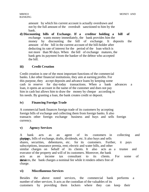amount by which his current account is actually overdrawn and not by the full amount of the overdraft sanctioned to him by the bank.

**d) Discounting bills of Exchange. If a creditor holding a bill of**  exchange wants money immediately, the bank provides him the money by discounting the bill of exchange. It deposits the amount of the bill in the current account of the bill-holder after deducting its rate of interest for the period of the loan which is not more than 90 days. When the bill of exchange matures, the bank gets its payment from the banker of the debtor who accepted the bill.

#### **iii) Credit Creation**

Credit creation is one of the most important functions of the commercial banks. Like other financial institutions, they aim at earning profits. For this purpose, they accept deposits and advance loans by keeping some cash in reserve for day-today transactions. When a bank advances a loan, it opens an account in the name of the customer and does not pay him in cash but allows him to draw the money by cheque according to his needs. By granting a loan, the bank creates credit or deposit.

#### **iv) Financing Foreign Trade**

A commercial bank finances foreign trade of its customers by accepting foreign bills of exchange and collecting them from foreign banks. It also transacts other foreign exchange business and buys and sells foreign currency.

#### **v) Agency Services**

A bank acts as an agent of its customers in collecting and phygings, bills of exchange, drafts, dividends, etc. It also buys and sells shares, securities, debentures, etc. for its customers. Further, it pays subscriptions, insurance premia, rent; electric and water bills, and other similar charges on behalf of its clients. It also acts as a trustee and executor of the property and will of its customers. Moreover, the bank acts as an income tax consultant to its clients. For some of they seeks the bank charges a nominal fee while it renders others free of charge.

#### **vi) Miscellaneous Services**

Besides the above noted services, the commercial bank performs a number of other services. It acts as the custodian of the valuables of its customers by providing them lockers where they can keep their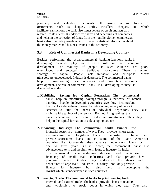jewellery and valuable documents. It issues various forms of **credit instruments,** such as cheques, drafts, travellers' cheques, etc. which facilitate transactions the bank also issues letters of credit and acts as a referee to its clients. It underwrites shares and debentures of companies and helps in the collection of funds from the public. Some commercial banks also publish journals which provide statistical information about the money market and business trends of the economy.

## **3.3 Role of Commercial Banks in a Developing Country**

Besides performing the usual commercial banking functions, banks in developing countries play an effective role in their economic development The majority of people in such countries are poor, unemployed and engaged in traditional agriculture There is acute shortage of capital. People lack initiative and enterprise. Means transport are undeveloped. Industry is depressed. The commercial banks help in overcoming these obstacles and promoting economic development. The role of commercial bank in a developing country is discussed as under.

- **1. Mobilising Savings for Capital Formation: The commercial**  banks help in mobilizing savings through a network of branch banking. People in developing countries have low incomes but the banks induce them to save by introducing variety of deposit schemes to suit the needs of individual depositors. They also mobilize idle savings of the few rich. By mobilizing savings, the banks channelise them into productive investments. Thus they help in the capital formation of a developing country.
- **2. Financing Industry: The commercial banks finance the**  industrial sector in a number of ways. They provide short-term, medium-term and long-term loans to industry in India they provide short-term loans and in some of the Latin American countries like Guatemala they advance medium-term loans for one to three years. But in Korea, the commercial banks also advance long-term and medium-term loans to industry. In India. The commercial banks undertake short-term and medium-term financing of small scale industries, and also provide hirepurchase finance. Besides, they underwrite the shares and debentures of large scale industries. Thus they not only provide finance for industry but also help in developing the **capiket** which is undeveloped in such countries.

#### **3. Financing Trade: The commercial banks help in financing both**

internal and external trade. The banks provide loans to retailers and wholesalers to stock goods in which they deal. They also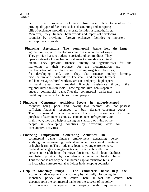help in the movement of goods from one place to another by proving all types of facilities such as discounting and accepting bills of exchange, providing overdraft facilities, issuing drafts etc. Moreover, they finance both exports and imports of developing countries by providing foreign exchange facilities to importers and exporters of goods.

- **4. Financing Agriculture: The commercial banks help the large**  agricultural see, or in developing countries in a number of ways. They provide loans to traders in agricultural commodities. They open a network of branches in rural areas to provide agricultural credit. They provide finance directly to agriculturists for the marketing of their produce, for the modernization and mechanisation of their farms, for providing, irrigation facilities, for developing land, etc. They also finance poultry farming, pisci- culture and horti-culture. The small and marginal farmers and landless agricultural workers, artisans and petty shopkeepers in rural areas are provided financial assistance through the regional rural banks in India. These regional rural banks operate under a commercial bank. Thus the commercial banks meet the credit requirements of all types of rural people.
- **5. Financing Consumer Activities: People in underdeveloped**  countries being poor and having low incomes do not possess sufficient financial resources to buy durable consumer goods. The commercial banks advance loans to consumers for the purchase of such items as house, scooters, fans, refrigerators, etc. In this way, they also help in raising the standard of living of the people in developing countries by providing loans for consumptive activities.
- **6. Financing Employment Generating Activities: The**  commercial banks finance employment generating person studying in engineering, medical and other vocational institutes of higher learning. They advance loans to young entrepreneurs, medical and engineering graduates, and other technically trained persons in establishing their own business. Such loan facilities are being provided by a number of commercial banks in India. Thus the banks not only help in human capital formation but also in increasing entrepreneurial activities in developing countries.
- **7. Help in Monetary Policy: The commercial banks help the**  economic development of a country by faithfully following the monetary policy of the central bank. In fact, the central bank depends upon the commercial banks for the success of its policy of monetary management in keeping with requirements of a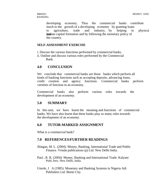developing economy. Thus the commercial banks contribute much to the growth of a developing economy by granting loans to agriculture, trade and industry, by helping in physical human capital formation and by following the monetary policy of the country.

#### **SELF-ASSESSMENT EXERCISE**

- i. Discuss the various functions performed by commercial banks.
- ii. Outline and discuss various roles performed by the Commercial Bank.

### **4.0 CONCLUSION**

We conclude that commercial banks are those banks which perform all kinds of banking functions such as accepting deposits, advancing loans, credit creation and agency functions. Commercial banks perform varieties of function in an economy.

Commercial banks also perform various roles towards the development of an economy.

# **5.0 SUMMARY**

In this unit, we have learnt the meaning and functions of commercial banks. We have also learnt that these banks play so many roles towards the development of an economy.

### **6.0 TUTOR-MARKED ASSIGNMENT**

What is a commercial bank?

### **7.0 REFERENCES/FURTHER READINGS**

- Jhingan, M. L. (2004): Money, Banking, International Trade and Public Finance. Vrinda publications (p) Ltd. New Delhi India.
- Paul , R. R. (2004): Money, Banking and International Trade. Kalyani Publ; hers. New Delhi, India.
- Umole, J A (1985): Monetary and Banking Systems in Nigeria Adi Publishers Ltd. Benin City.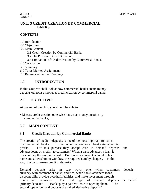BANKING

# **UNIT 3 CREDIT CREATION BY COMMERCIAL BANKS**

#### **CONTENTS**

1.0 Introduction 2.0 Objectives 3.0 Main Content 3.1 Credit Creation by Commercial Banks 3.2 The Process of Credit Creation 3.3 Limitations of Credit Creation by Commercial Banks 4.0 Conclusion 5.0 Summary 6.0 Tutor-Marked Assignment 7.0 References/Further Readings

# **1.0 INTRODUCTION**

In this Unit, we shall look at how commercial banks create money deposits otherwise known as credit creation by commercial banks.

# **2.0 OBJECTIVES**

At the end of the Unit, you should be able to:

• Discuss credit creation otherwise known as money creation by commercial banks,

# **3.0 MAIN CONTENT**

# **3.1 Credit Creation by Commercial Banks**

The creation of credit or deposits is one of the most important functions of commercial banks. Like other corporations, banks aim at earning profits. For this purpose, they accept cash in demand deposits, and advance loans on credit to customers.' When a bank advances a loan, it does not pay the amount in cash. But it opens a current account in his name and allows him to withdraw the required sum by cheques. In this way, the bank creates credit or deposits.

Demand deposits arise in two ways: one, when customers deposit currency with commercial banks, and two, when banks advances loans, discount bills, provide overdraft facilities, and make investment through bonds and securities. The first type of demand deposits is called 'primary deposits'. Banks play a passive role in opening them. The second type of demand deposits are called 'derivative deposits"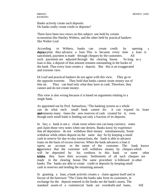Banks actively create such deposits. Do banks really create credit or deposits?

There have been two views on this subject: one held by certain economists like Hartley Withers, and the other held by practical bankers like Walter Leaf.

According to Withers, banks can create credit by opening deposit, time they advance a loan. This is because every time a loan is sanctioned, payment is made through cheques by the customers. All such payments are adjusted through the clearing house. So long as a loan is due, a deposit of that amount remains outstanding in the books of the bank. Thus every loan creates a deposit. But this is an exaggerated and extreme view.

Dr Leaf and practical bankers do not agree with this view. They go to the opposite extreme. They hold that banks cannot create money out of thin air. They can lend only what they have in cash. Therefore, they cannot and do not create money.

This view is also wrong because it is based on arguments relating to a single bank.

As appointed out by Prof. Samuelson, "The banking system as a whole can do what each small bank cannot do: it can expand its loans **an**d investments many times the new reserves of cash created for it, even though each small bank is lending out only a fraction of its deposits.

In fact, a bank is not a cloak room where one can keep currency notes and claim those very notes when one desires. Banks know by experience that all depositors do not withdraw their money simultaneously. Some withdraw while others deposit on the same day. So by keeping a small cash in reserve for day-to-day transactions, the bank is able to advance loans on the basis of excess reserves. When the bank advances a loan it opens an account in the name of the customer. The bank knows by perience that the customer will withdraw money by cheques which will be deposited by his creditors in this bank or some will be deposited by his creditors in this bank or some other **bandom** they have their accounts. Settlements of all such cheques are made in the clearing house. The same procedure is followed in other banks. The banks are able to create credit or deposits by keeping small cash in reserves and lending the remaining amount.

In granting a loan, a bank actively creates a claim against itself and in favour of the borrower "The Claim the banks take from its customers, in exchange for the deposit entered in the books are the bank's assets. The standard assets of a commercial bank are overdrafts and loans, bill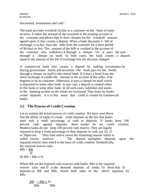discounted, investments and cash".

The bank provides overdraft facility to a customer on the basis of some security. It enters the amount of the overdraft in the existing account of the customer and allows him to draw cheques for the overdraft amount agreed upon. It thus creates a deposit. When a bank discounts a bill of exchange, it in fact, buys the bills from the customer for a short period of 90 days or less. The amount of the bills is credited in the account of the customer who withdraws it through a cheque. Or, it pays the sum through a cheque on itself. In both cases, the bank creates a deposit equal to the amount of the bill of exchange less the discount charged.

A commercial bank also creates a deposit by making investments by buying government bonds and securities. The bank pays for the bonds through a cheque on itself to the central bank. If it buys a bond from the stock exchange, it credits the amount in the account of the seller, if he happens to be its customer. Otherwise, it pays a cheque on itself which is deposited in some other bank. In any case, a deposit is created either in this bank or some other bank. In all such cases, liabilities and assets in the banking system on the whole are increased. Thus loans by banks create deposits. It is in this sense that credit is created by commercial banks.

# **3.2 The Process of Credit Creation**

Let us explain the actual process of credit creation. We have seen above that the ability of banks to create credit depends on the fact that banks need only a small percentage of cash to deposits. If banks keep 100 percent cash against deposits, there would be no credit creation. Modern banks do not keep 100 percent cash reserve. They are legally required to keep a fixed percentage of their deposits in cash, say 10, 15 or 20percent. They lend and/or invest the remaining amount which is called excess reserves. The deposit multiplier depends upon the required reserve ratio which is the basis of credit creation. Symbolically, the required reserve ratio:  $RRr = RR$ D

 $Or RR = RRx D$ 

Where RR are the required cash reserves with banks, RRr is the required reserve ratio and D is the demand deposits of banks. To show that D depends on RR and RRr, divide both sides of the above equation by RRr:

 $RR$  = RRr x D RRr RRr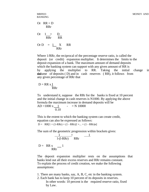BANKING  
\nOr RR = D  
\nRRT  
\nOr 
$$
1\frac{P}{RRr}
$$
  $\frac{D}{RR}$   
\nOr D =  $1\frac{X}{RRr}$  RR

Where 1/RRr, the reciprocal of the percentage reserve ratio, is called the deposit (or credit) expansion multiplier. It determines the limits to the deposit expansion of a bank. The maximum amount of demand deposits which the banking system can support with any given amount of RR is by applying the multiplier to RR. Taking the initial change in the value of deposits  $(D)$  and in cash reserves  $(RR)$ , it follows from any given percentage of RRr that

 $D = RR \times I$ RRr

To understand it, suppose the RRr for the banks is fixed at 10 percent and the initial change in cash reserves is N1000. By applying the above formula the maximum increase in demand deposits will be

 $AD = 1000 x$  1 -  $=N 10000$ 0.10

This is the extent to which the banking system can create credit, equation can also be expressed as follows:

 $D = RR[1 + (1-RRr) + (1-RRr)2 + ... + (1-RRr)n]$ 

The sum of the geometric progression within brackets gives:

$$
\frac{1}{1-(1-RRr)} = \frac{1}{RRr}
$$
  
D = RR x  
RRr<sup>-1</sup>

The deposit expansion multiplier rests on the assumptions that banks lend out all their excess reserves and RRr remains constant. To explain the process of credit creation, we make the following assumptions:

- 1. There are many banks, say, A, B, C, etc in the banking system.
- 2. Each bank has to keep 10 percent of its deposits in reserves. In other words: 10 percent is the required reserve ratio, fixed by Law.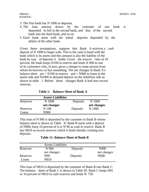- 3. The first bank has N 1000 as deposits.
- 4. The loan amount drawn by the customer of one bank is deposited in full in the second bank, and that of the second bank into the third bank, and so on.
- 5. Each bank starts with the initial deposits deposited by the debtor of the other bank.

Given these assumptions, suppose that Bank A receives a cash deposit of N 1000 to begin with. This is the cash in hand with the bank which is its assets and this amount is also the liability of the bank by way of deposits it holds. Given the reserve ratio of 10 percent, the bank keeps N100 in reserve and lends N 900 to one of its customers who, in turn, gives a cheque to some person from whom he borrows or bys something. The net changes in Bank A's balance sheet  $are + N100$  in reserve  $and + N900$  in loans in the assets side and N1000 in demand deposit on the liabilities side as shown in table 1. Before these changes Bank A had zero excess reserves.

|  |  | <b>Table 1: Balance Sheet of Bank A</b> |
|--|--|-----------------------------------------|
|--|--|-----------------------------------------|

|          | <b>Assets Liabilities</b> |          |             |
|----------|---------------------------|----------|-------------|
| Reserves | N 1000                    | Deposits | N 1000      |
|          | net changes               |          | net changes |
| Reserves | N 100                     | Deposits | N 1000      |
| Loans    | N900                      |          |             |

This loan of N 900 is deposited by the customer in Bank B whose balance sheet is shown in Table II. Bank B starts with a deposit of N900, keep 10 percent of it or N 90 as cash in reserve. Bank B has N810 as excess reserves which it lends thereby creating new deposits.

 **Table 11: Balance Sheet of Bank B**

|          | <b>Assets Liabilities</b> |          |             |
|----------|---------------------------|----------|-------------|
| Reserves | N 900                     | Deposits | N900        |
|          | net changes               |          | net changes |
| Reserves | N90                       | Deposits | N900        |
| Loans    | N810                      |          |             |

This loan of N810 is deposited by the customer of Bank B into Bank C. The balance sheet of Bank C is shown in Table III. Bank C keeps N81 or 10 percent of N810 in cash reserves and lends N. 729.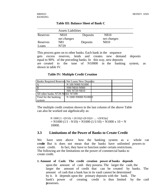|                  | <b>Assets Liabilities</b> |          |                     |  |
|------------------|---------------------------|----------|---------------------|--|
| Reserves         | N810<br>net changes       | Deposits | N810<br>net changes |  |
| Reserves<br>oans | N81<br>N729               | Deposits | N810                |  |

**Table III: Balance Sheet of Bank C**

This process goes on to other banks. Each bank in the sequence gets excess reserves, lends and creates new demand deposits equal to 90% of the preceding banks. In this way, new deposits are created to the tune of N10000 in the banking system, as shown in table IV.

**Table IV: Multiple Credit Creation**

| <b>Banks Required Reserves Net Loans New Deposits</b> |                     |  |
|-------------------------------------------------------|---------------------|--|
|                                                       | N 100 N900 N1000    |  |
| ĪВ                                                    | N90 N810 N900       |  |
|                                                       | N81 N729 N810       |  |
| All other banks N729 N6561 N7290                      |                     |  |
| Total for the banking                                 | N 1000 N9000 N10000 |  |
| system                                                |                     |  |

The multiple credit creation shown in the last column of the above Table can also be worked out algebraically as:

> N 1000  $[1 + (9/10) + (9/10)2 + (9/10)3 + ... + (9/10)n]$  $= N1000 (1/1 - 9/10) = N1000 (1/1/10) = N1000 x 10 = N$ 10000.

### **3.3 Limitations of the Power of Banks to Create Credit**

We have seen above how the banking system as a whole can credite But is does not mean that the banks have unlimited powers to create credit. In fact, they have to function under certain restrictions. The following are the limitations on the power of commercial banks to create credit.

**1. Amount of Cash: The credit creation power of banks depends**  upon the amount of cash they possess. The larger the cash, the larger the amount of credit that can be created by banks. The amount of cash that a bank has in its vault cannot be determined by it. It depends upon the primary deposits with the bank. The bank's power of creating credit is thus limited by the cash itossesses.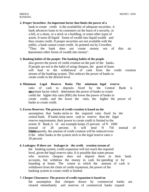#### **2. Proper Securities: An important factor that limits the power of a**

bank to create credit is the availability of adequate securities. A bank advances loans to its customers on the basis of a security, or a bill, or a share, or a stock or a building, or some other types of assets. It turns ill-liquid forms of wealth into liquid wealth and thus creates credit. If proper securities are not available with the public, a bank cannot create credit. As pointed out by Crowther, "Thus the bank does not create money out of thin air it transmutes other forms of wealth into money".

#### **3. Banking habits of the people: The banking habits of the people**

also govern the power of credit creation on the part of the banks. If people are not in the habit of using cheques, the grant of loans will lead to the withdrawal of cash from the credit creation stream of the banking system. This reduces the power of banks to create credit to the desired level.

**4. Minimum Legal Reserve Ratio: The minimum legal reserve**  ratio of cash to deposits fixed by the Central Bank is important factor which determines the power of banks to create credit the higher this ratio (RRr) the lower the power of banks to create credit, and the lower the ratio, the higher the power of banks to create credit.

#### **5. Excess Reserves: The process of credit creation is based on the**

assumption that banks sticks to the required ratio fixed by the central bank. If banks keep more cash in reserve than the legal reserve requirements, their power to create credit is limited to the extent. If Bank A of our example keeps 25 percent of N 1000 instead of 20 percent. It will lend N 750 instead of N800. Consequently, the amount of credit creation will be reduced even if the other banks in the system stick to the legal reserve ratio o 20 percent

#### **6. Leakages: If there are leakages in the credit creation stream of**

the banking system, credit expansion will not reach the required level, given the legal reserve ratio. It is possible that some person who receives cheques does not deposit them in their bank accounts, but withdraw the money in cash for spending or for hoarding at home. The extent to which the amount of cash is withdrawn from the chain of credit expansion, the power of the banking system to create credit is limited.

#### **7. Cheque Clearances: The process of credit expansion is based on**

the assumption that cheques drawn by commercial banks are cleared immediately and reserves of commercial banks expand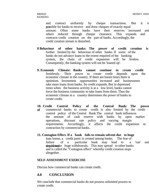and contract uniformly by cheque transactions. But it is not possible for banks to receive and draw cheques of exactly equal amount. Often some banks have their reserves increased and others reduced through cheque clearance. This expands and contracts credit creation on the part of banks. Accordingly, the credit creation stream is disturbed.

- **8 Behaviour of other banks: The power of credit creation is**  further limited by the behaviour of other banks. If some of the banks do not advance loans to the extent required of the banking system, the chain of credit expansion will be broken. Consequently, the banking system will not be 'loaned up'.
- **9. Economic Climate: Banks cannot continue to create credit**  limitlessly. Their power to create credit depends upon the economic climate in the country. If there are boom times there is optimism. Investment opportunities increased and businessmen take more loans from banks. So credit expands. But in depressed times when the business activity is at a low level, banks cannot force the business community to take loans from them. Thus the economic climate in a country determines the power of banks to create credit.
- **10. Credit Control Policy of the Central Bank: The power of** commercial banks to create credit is also limited by the credit control policy of the Central Bank The central bank influences the amount of cash reserve with banks by open market operations, discount rate policy and varying margin requirements. Accordingly, it affects the credit expansion or contraction by commercial banks.
- **11. Contagion Effect. If a bank fails to remain solvent due to huge**  loan losses, a credit panic is created among banks. The fear of failure of a particular bank may lead to a 'run' and **deputed make** huge withdrawals. This may spread to other banks and is called the "Contagion effect" whereby credit creation stops altogether.

#### **SELF-ASSESSMENT EXERCISE**

Discuss how commercial banks can create credit.

# **4.0 CONCLUSION**

We conclude that commercial banks do not possess unlimited powers to create credit.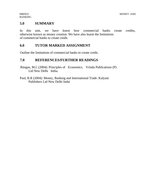# **5.0 SUMMARY**

In this unit, we have learnt how commercial banks create credits, otherwise known as money creation. We have also learnt the limitations of commercial banks to create credit.

# **6.0 TUTOR MARKED ASSIGNMENT**

Outline the limitations of commercial banks to create credit.

# **7.0 REFERENCES/FURTHER READINGS**

Jhingan, M.L (2004): Principles of Economics. Vrinda Publications (P) Ltd New Delhi India.

Paul, R.R (2004): Money, Banking and International Trade. Kalyani Publishers Ltd New Delhi Indai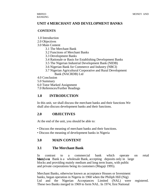# **UNIT 4 MERCHANT AND DEVELOPMENT BANKS**

### **CONTENTS**

- 1.0 Introduction
- 2.0 Objectives
- 3.0 Main Content
	- 3.1 The Merchant Bank
	- 3.2 Functions of Merchant Banks
	- 3.3 Development Banks
	- 3.4 Rationale or Basis for Establishing Development Banks
	- 3.5 The Nigerian Industrial Development Bank (NIDB)
	- 3.6 Nigerian Bank for Commerce and Industry (NBCI)
	- 3.7 Nigerian Agricultural Corporative and Rural Development Bank (NACRDB) Ltd
- 4.0 Conclusion
- 5.0 Summary
- 6.0 Tutor Marked Assignment
- 7.0 References/Further Readings

# **1.0 INTRODUCTION**

In this unit, we shall discuss the merchant banks and their functions We shall also discuss development banks and their functions.

### **2.0 OBJECTIVES**

At the end of the unit, you should be able to:

- Discuss the meaning of merchant banks and their functions.
- Discuss the meaning of development banks in Nigeria

# **3.0 MAIN CONTENT**

### **3.1 The Merchant Bank**

In contrast to a commercial bank which operate on retail **Merchant** Bank is a wholesale Bank, accepting deposits only in large blocks and providing mainly medium and long term loans, with public and private corporations being its customers (Magaji 1995).

Merchant Banks, otherwise known as acceptance Houses or Investment banks, began operation in Nigeria in 1960 when the Philiph Hill (Nig) Ltd and the Nigerian Acceptances Limited (NAL) were registered. These two Banks merged in 1969 to form NAL. In 1974, first National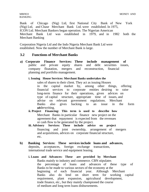Bank of Chicago (Nig) Ltd, first National City Bank of New York (Nig) Ltd, and Chase Merchant Bank Ltd. were established. In 1975, ICON Ltd. Merchant Bankers began operation. The Nigerian American Merchant Bank Ltd was established in 1979, and in 1982 both the Merchant Banking

Corporation Nigeria Ltd and the Indo Nigeria Merchant Bank Ltd were established. Now the number of Merchant Bank is large.

### **3.2 Functions of Merchant Banks**

**a) Corporate Finance Services: These include management of**  public and private equity shares and debt securities issues, company floatation, mergers and reconstruction, financial planning and portfolio management.

#### **i. Issuing House Services: Merchant Banks undertakes the**

sales of shares to their client. They act as issuing Houses in the capital market by, among other things, offering financial services to corporate entities desiring to raise long-term finance for their operations, given advices on type of capital structure, appropriate time of issues, and advise on relevant government regulations. Merchant Banks also gives backing to an issue in the form **underwriting.** 

- **ii. Project Financing: This term is used to describe how**  Merchant Banks in particular finance new project on the agreement that repayment is expected from the revenues or cash flow to be generated by the project.
- **iii. Advisory Services: These include advice on project**  financing and joint ownership, arrangement of mergers and acquisitions, advices on corporate financial structure, etc.
- **b) Banking Services: These services include loans and advances,**  deposits, acceptances, foreign exchange transactions, international trade service and equipment leasing.
	- **i. Loans and Advances: These are provided by Merchant**  Banks mainly to industry and commerce. CBN stipulates the percentage of loans and advances of these type of Banks to be made to various sectors of the economy at the beginning of each financial year. Although Merchant Banks also do lend on short term for working capital requirement, plant expansion, agricultural development, trade finance, etc., but they mainly championed the course of medium and long term loans disbursements.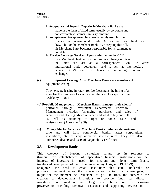#### **ii. Acceptance of Deposit: Deposits in Merchant Banks are**

made in the form of fixed term, usually by corporate and non corporate customers, in large amount,

# **iii. Acceptances: Acceptance business is mainly used for the**

finance of international trade. A customer or client can draw a bill on his merchant Bank. By accepting this bill, his Merchant Bank becomes responsible for its payment at due date.

#### **iv. Foreign Exchange Service: Upon authorization by CBN**

for a Merchant Bank to provide foreign exchange services, the later can act as a correspondent Bank to assist international trade settlement and to act as intermediary between CBN and its clients in obtaining foreign exchange.

#### **(c) Equipment Leasing: Most Merchant Banks are members of**  equipment leasing.

They execute leasing in return for fee. Leasing is the hiring of an asset foe the duration of its economic life or up to a specific time (Adekanye 1986).

#### **(d) Portfolio Management: Merchant Banks manages their clients'**  portfolios through Investment Departments. Portfolio Management includes "arranging purchases and sales of securities and offering advice on when and what to buy and sell, as well as attending to right or bonus issues and registrations" (Adekanye 1986).

**(e) Money Market Services: Merchant Banks mobilises deposits on**  time and call from commercial banks, larger corporations, institutions, etc. at very attractive interest rates. They are also authorised dealers and users of Negotiable Certificates

# **3.3 Development Banks**

This category of banking institutions sprang up in response to the class of specialized financial institutions for the interests of investors in need for medium and long term finance for clearated development of the Nigerian economy. Okigbo (1981:129) recognizes the need to create institutions that could undertake or promote investment where the private sector inspired by private gain, might for the moment be reluctant to go. He finds the answer in the creation of development institutions to provide funds for direct investment on medium and long term basis, or for assisting privative or providing technical assistance and supporting services in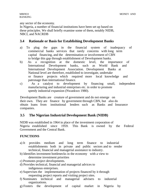any sector of the economy.

In Nigeria, a number of financial institutions have been set up based on these principles. We shall briefly examine some of them, notably NIDB, NBCI, and NACRDB

# **3.4 Rationale or Basis for Establishing Development Banks**

- a) To plug the gaps in the financial system of inadequacy of commercial banks services that rarely concerns with long term capital financing, and the determination or involvement of CBN to bridge this gap through establishment of Development banks.
- b) As a recognition at the domestic level, the importance of International Development banks, such as World Bank and International Development Association. Development Banks at National level are therefore, established to investigate, undertake or finance projects which required more local knowledge and patronage than international finance.
- c) As a catalyst to development by financing small, independent manufacturing and industrial enterprises etc. in order to promote speedy industrial expansion (Nwankwo 1980).

Development Banks are creature of government and do not emerge on their own. They are finance by government through CBN, but also do obtain loans from institutional lenders such as Banks and Insurance companies.

# **3.5 The Nigerian Industrial Development Bank (NIDB)**

NIDB was established in 1964 in place of the investment corporation of Nigeria established since 1959. This Bank is owned by the Federal Government and the Central Bank.

# **FUNCTIONS**

- a) It provides medium and long term finance to industrial establishments both in private and public sectors and to render technical, financial and managerial assistance to industry.
- b) Identifies investment bottlenecks in the economy with a view to determine investment priorities
- c) Promotes project developments.
- d) Provides technical, financial and managerial advices to indigenous enterprises.
- e) Supervises the implementation of projects financed by it through requesting project reports and visiting project sites.
- f) Nominates technical and managerial advisers to industrial organizations.
- g) Fosters the development of capital market in Nigeria by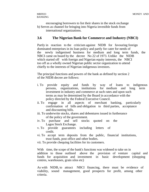encouraging borrowers to list their shares in the stock exchange h) Serves as channel for bringing into Nigeria investible funds from international organizations.

#### **3.6 The Nigerian Bank for Commerce and Industry (NBCI)**

Partly in reaction to the criticism against NIDB for favouring foreign dominated enterprises in its loan policy and partly for cater for needs of the newly indigenised business for medium and long term funds, the NBCI came on board by the decree No 22 of 1973. Unlike the NIDB which started off with foreign and Nigerian equity interests, the NBCI too off as a wholly owned Nigerian public sector organization to attend chiefly to the interests of Nigerian indigenous investors.

The principal functions and powers of the bank as defined by section 2 of the NIDB decree are follows:

- i. To provide equity and funds by way of loans to indigenous persons, organizations, institutions for medium and long term persons, organizations, institutions for medium and long term investment in industry and commerce at such rates and upon such terms as may be determined by the Board in accordance with the policy directed by the Federal Executive Council.
- ii. To engage in all aspects of merchant banking, particularly confirmation of bills and obligation to third parties, acceptance and discounting bills.
- iii. To underwrite stocks, shares and debentures issued in furtherance of the policy of the government.
- iv. To purchase and sell stocks quoted on the Lagos Stock Exchange.
- v. To provide guarantees including letters of credit.
- vi. To accept term deposits from the public, financial institutions, trust funds, post office and other bodies.
- vii. To provide chequing facilities for its customers.

With time, the scope of the bank's functions was widened to take on in addition to those outlined above the provision of venture capital and funds for acquisition and investment in basic development (shopping centres, warehouses, grain silos etc)

As with NIDB, to attract NBCI financing, there must be evidence of viability, sound management, good prospects for profit, among other criteria.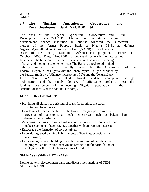# **3.7 The Nigerian Agricultural Cooperative and Rural Development Bank (NACRDB) Ltd**

The birth of the Nigerian Agricultural, Cooperative and Rural Development Bank (NACRDB) Limited as the single largest development finance institution in Nigeria followed the successful merger of the former People's Bank of Nigeria (PBN), the defunct Nigerian Agricultural and Co-operative Bank (NACB) Ltd. and the risk assets of the Family Economic Advancement programme (FEAP) in October, 2000. Thus, NACRDB is dedicated primarily to agricultural financing at both the micro and macro levels, as well as micro financing of small and medium scale enterprises The Bank is a registered limited liability company that is wholly owned by the Government of the Federal Republic of Nigeria with the share capital fully subscribed by the Federal ministry of Finance Incorporated 60% and the Central Bank I of Nigeria 40%. The Bank's broad mandate encompasses savings mobilization and the timely delivery of affordable credit to meet the funding requirements of the teeming Nigerian population in the agricultural sectors of the national economy.

### **FUNCTIONS OF NACRDB**

- Providing all classes of agricultural loans for fanning, livestock, poultry and fisheries etc:
- Developing the economic base of the low income groups through the provision of loans to small scale enterprises, such as bakers, hair dressers, petty traders etc;
- Accepting savings from individuals and co-operative societies and make repayment of such savings together with appropriate interest;
- Encourage the formation of co-operatives;
- Engendering good banking habits amongst Nigerians, especially the target group,
- Encouraging capacity building through the training of beneficiaries on proper loan utilization, repayment, savings and the formulation of strategies for the profitable marketing of products.

### **SELF-ASSESSMENT EXERCISE**

Define the term development bank and discuss the functions of NIDB, NBCI and NACRDB.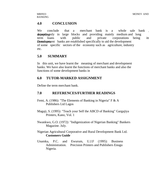### **4.0 CONCLUSION**

We conclude that a merchant bank is a whole sale bank depersiting only in large blocks and providing mainly medium and long term loans with public and private corporations being its **Development** banks are established specifically to aid the development of some specific sectors of the economy such as agriculture, industry etc.

### **5.0 SUMMARY**

In this unit, we have learnt the meaning of merchant and development banks. We have also learnt the functions of merchant banks and also the functions of some development banks in

### **6.0 TUTOR-MARKED ASSIGNMENT**

Define the term merchant bank.

### **7.0 REFERENCES/FURTHER READINGS**

- Femi, A. (1986): "The Elements of Banking in Nigeria" F & A Publishers Ltd Lagos
- Magaji, S. (1995): "Teach your Self the ABCD of Banking" Gargajiya Printers, Kano, Vol. 1
- Nwankwo, G.O. (1972): "Indigenization of Nigerian Banking" Bankers Magazine. July.
- Nigerian Agricultural Corporative and Rural Development Bank Ltd. **Customers Guide**
- Unamka, P.C. and Ewurum, U.J.F (1995): Business Administration. Precision Printers and Publishers Enugu Nigeria.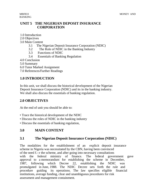BANKING

### **UNIT 5 THE NIGERIAN DEPOSIT INSURANCE CORPORATION**

- 1.0 Introduction
- 2.0 Objectives
- 3.0 Main Content
	- 3.1 The Nigerian Deposit Insurance Corporation (NDIC)
	- 3.2 The Role of NDIC in the Banking Industry
	- 3.3 Functions of NDIC
	- 3.4 Essentials of Banking Regulation
- 4.0 Conclusion
- 5.0 Summary
- 6.0 Tutor Marked Assignment
- 7.0 References/Further Readings

# **1.0 INTRODUCTION**

In this unit, we shall discuss the historical development of the Nigerian Deposit Insurance Corporation (NDIC) and its in the banking industry. We shall also discuss the essentials of banking regulation.

# **2.0 OBJECTIVES**

At the end of unit you should be able to:

- Trace the historical development of the NDIC
- Discuss the roles of NDIC in the banking industry
- Discuss the essentials of banking regulation,

# **3.0 MAIN CONTENT**

# **3.1 The Nigerian Deposit Insurance Corporation (NDIC)**

The modalities for the establishment of an explicit deposit insurance scheme in Nigeria was necessitated by the CBN, having been convinced of the need f.--r the scheme, and after going into necessary consultations with the federal ministry of finance. The federal government gave approval to a memorandum for establishing the scheme in December, 1987, following which Decree 22, establishing the NDIC was promulgated in June, 1988. The NDIC Decree sets forth the rule and procedure guiding its operations. The law specifies eligible financial institutions, average funding, clear and unambiguous procedures for risk assessment and management containment.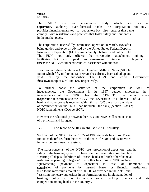The NIDC was an autonomous body which acts as an additivisal supervisory authority over licensed banks. The corporation not only provides financial guarantee to depositors but also ensures that banks comply with regulations and practices that foster safety and soundness in the market place.

The corporation successfully commenced operation in March, 1988after being guided and expertly advised by the United States Federal Deposit Insurance Corporation (FDIC), immediately before and after take off. The FDIC not only offered the corporation attachment training facilitates, but also paid an assessment mission to Nigeria to asses the NDIC would need technical assistance without cost.

Its authorized share capital was One Hundred Million Naira (NIOOm) out of which fifty million naira (N50m) has already been called up and paid up by the subscribers. The CBN and Federal paid up by the subscribers. The CBN and Federal Government their ownership of 60% and 40% respectively.

To further boost the activities of the corporation as well as its independence, the Government in its 1997 budget announced the independence of the NDIC from the CBN To that effect, when independence of the NDIC from the CBN To that effect, where the corporation recommends to the CBN the revocation of a license of a bank and no response is received within thirty (30) days from the date of recommendation the NDIC can liquidate the bank, (section 23c (2) NDIC (amendments) Decree 1997).

However the relationship between the CBN and NDIC still remains that of a principal and its agent.

# **3.2 The Role of NDIC in the Banking Industry**

Section 5.of the NDIC Decree No 22 of 1988 states its functions. These functions therefore, form the core of the role of NDIC and its activities in the Nigerian Financial System.

The major concerns of the NDIC are protection of depositors and the safety of the banking system. These derive from its core function of "insuring all deposit liabilities of licensed banks and such other financial institutions operating in Nigeria" The other functions of NDIC include "guaranteeing payment to depositors in case of imminent or auspension of payments by insured banks or financial institutions fl up to the maximum amount of N50, 000 as provided in the Act" and "assisting monetary authorities in the formulation and implementation of banking policy so as to ensure sound banking practice and fair competition among banks in the country".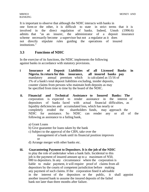It is important to observe that although the NDIC interacts with banks in one form or the other, it is difficult to state in strict terms that it is involved in the direct regulation of banks. Indeed, Umoh (1996:6) admits that "as an insurer, the administrator of a deposit insurance scheme necessarily become a supervisor but not a regulator as it does not directly stipulate rules guiding the operations of insured institutions."

# **3.3 Functions of NDIC**

In the exercise of its functions, the NDIC implements the following against banks in accordance with statutory provisions.

- **i Insurance of Deposit Liabilities of all Licensed Banks in Nigeria. In return for this insurance, all insured banks pay**  mandatory annual premium which is calculated as 15/16 of 1% of a bank's total deposit liabilities excluding, insider deposits, counter claims from persons who maintain both deposits as may be specified from time to time by the board of the NDIC.
- **ii. Financial and Technical Assistance to Insured Banks: The**  corporation is expected to render assistance in the interest of depositors of banks faced with actual financial difficulties, as liquidity deficiencies and accumulated loss, which has nearly or completely eroded the shareholders funds, may approach the NDIC for assistance. So NDIC can render any or all of the following as assistance to a failing bank,
	- a) Grant Loans
	- b) Give guarantee for loans taken by the bank
	- c) Subject to the approval of the CBN, take over the management of a bank until its financial position improves or
	- d) Arrange merger with other banks etc.

### **iii. Guaranteeing Payment to Depositors. It is the job of the NDIC**

to play the role of undertaker when a bank fails. Incidental to this job is the payment of insured amount up to a maximum of N50, 000 to depositors. In any circumstance where the corporation is liable to make payment, it will require proof of claims from all depositors by the courts of competent jurisdiction before making any payment of such claims. If the corporation fined it advisable in the interest of the depositors or the public, it shall appoint another insured bank to assume the insured deposits of the failed bank not later than three months after failure.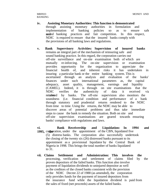- **iv. Assisting Monetary Authorities: This function is demonstrated**  through assisting monetary authorities in formulation and implementation of banking policies so as to ensure safe and banking practices and fair competition. In this respect, NDIC is required to ensure that the insured banks comply with the provisions of all banking laws and regulations.
- **v. Bank Supervisory Activities: Supervision of insured banks**  remains an integral part of the mechanism of reinsuring safe and sound banking practice. In this regard, the corporation carries out off-site surveillance and on-site examination both of which are mutually re-inforcing. The on-site supervision or examination provides opportunity for the organization to appreciate the financial health of, and inherent risks it has undertaken in insuring a particular bank or the entire banking system. This is ascertained through an analysis and evaluation of the banks' finances under such international parameters as, the capital adequacy, asset quality, management, earnings and liquidity (CAMEL). Indeed, it is through on site examinations that the NDIC verifies the authenticity of data it received via rendered by banks. The off-site supervision also monitors the soundness (i.e. financial condition and performance of a bank through statutory and prudential returns rendered to the NDIC from time to time. Using the returns, the NDIC may be able to discover areas of potential problems and thus take immediate steps to cause the bank to remedy the situation. Both on site and off-site supervision examinations are geared towards ensuring banks' compliance with regulations and laws.
- **vi. Bank Receivership and Liquidation: In 1994 and 1995, comporation, under the appointment of the CBN, liquidated five** (5) distress banks. The corporation also successfully undertook the closing of the twenty six (26) distressed banks pursuant to its appointment as a provisional liquidator by the Central Bank of Nigeria in 1998. This brings the total number of banks liquidated to 31.
- **vii. Claims Settlement and Administration: This involves the**  processing, verification and settlement of claims filed by the proven depositors of the failed banks. This function also involve payment of liquidation dividends to uninjured depositor as well as the creditors of the closed banks consistent with the provision of the NDIC Decree 22 of 1988 (as amended), the corporation only provides funds for the payment of insured depositors from the insurance fund while the liquidation dividend is paid from the sales of fixed (net proceeds) assets of the failed banks.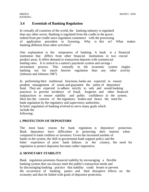# **3.4 Essentials of Banking Regulation**

In virtually all countries of the world, the banking industry is regulated than any other sector. Banking is regulated from the cradle to the grave; indeed from pre-cradle since regulation commence with the processing of application precedent to licensing. Why is this so? What makes banking different from other activities?

One explanation is the uniqueness of banking. A bank is a financial institution that differs from other financial institutions in two crucial product areas. It offers demand or transaction deposits with commercial lending rates. It is central to a nation's payments system and savings / investment process. This centrally in the economic system singles banking out for much heavier regulation than any other activity (Johnson and Johnson 1987)

In performing their traditional functions, banks are expected to ensure prudent management of assets and guarantee the safety of depositors' fund. They are expected to adhere strictly to safe and sound banking practices to prevent incidence of fraud, forgeries and other financial malpractices to ensure stability and public confidence in the system. Here lies the concern of the regulatory bodies and hence the need for bank regulation by the regulatory and supervisory authorities. In brief, regulation of banking evolved to serve many goals which include the following:

### **i. PROTECTION OF DEPOSITORS**

The most basic reason for bank regulation is depositors' protection. Bank depositors have difficulties in protecting their interest when compared to bank creditors or investors. Given the increased number of banks in the system, the shift in government bank support policy and the bitter experience of prior bank failures in the country, the need for regulation to protect depositor becomes rather imperative.

### **ii. MONETARY STABILITY**

Bank regulation promotes financial stability by encouraging a flexible banking system that can always meet the public's transaction needs and by discouraging banking practice that stability could lessen or prevent the occurrence of banking panics and their disruptive effects on the economy and thus be linked with goals of depositor protection.